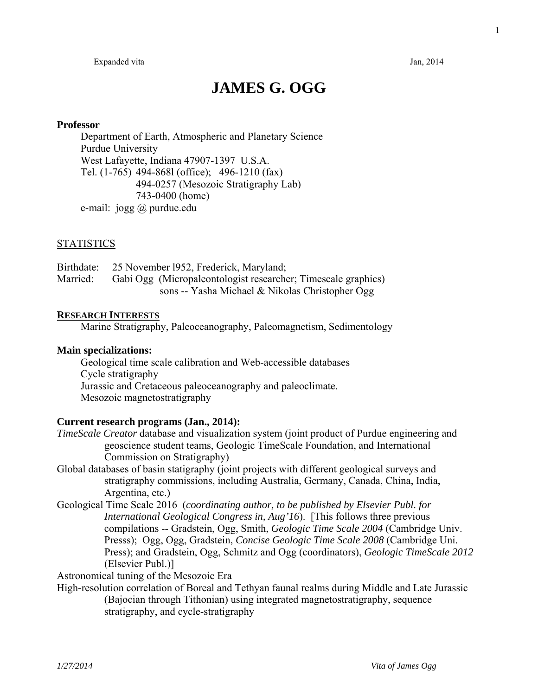# **JAMES G. OGG**

#### **Professor**

 Department of Earth, Atmospheric and Planetary Science Purdue University West Lafayette, Indiana 47907-1397 U.S.A. Tel. (1-765) 494-868l (office); 496-1210 (fax) 494-0257 (Mesozoic Stratigraphy Lab) 743-0400 (home) e-mail: jogg @ purdue.edu

## **STATISTICS**

|          | Birthdate: 25 November 1952, Frederick, Maryland;             |
|----------|---------------------------------------------------------------|
| Married: | Gabi Ogg (Micropaleontologist researcher; Timescale graphics) |
|          | sons -- Yasha Michael & Nikolas Christopher Ogg               |

#### **RESEARCH INTERESTS**

Marine Stratigraphy, Paleoceanography, Paleomagnetism, Sedimentology

#### **Main specializations:**

 Geological time scale calibration and Web-accessible databases Cycle stratigraphy Jurassic and Cretaceous paleoceanography and paleoclimate. Mesozoic magnetostratigraphy

#### **Current research programs (Jan., 2014):**

- *TimeScale Creator* database and visualization system (joint product of Purdue engineering and geoscience student teams, Geologic TimeScale Foundation, and International Commission on Stratigraphy)
- Global databases of basin statigraphy (joint projects with different geological surveys and stratigraphy commissions, including Australia, Germany, Canada, China, India, Argentina, etc.)
- Geological Time Scale 2016 (*coordinating author, to be published by Elsevier Publ. for International Geological Congress in, Aug'16*). [This follows three previous compilations -- Gradstein, Ogg, Smith, *Geologic Time Scale 2004* (Cambridge Univ. Presss); Ogg, Ogg, Gradstein, *Concise Geologic Time Scale 2008* (Cambridge Uni. Press); and Gradstein, Ogg, Schmitz and Ogg (coordinators), *Geologic TimeScale 2012* (Elsevier Publ.)]

Astronomical tuning of the Mesozoic Era

High-resolution correlation of Boreal and Tethyan faunal realms during Middle and Late Jurassic (Bajocian through Tithonian) using integrated magnetostratigraphy, sequence stratigraphy, and cycle-stratigraphy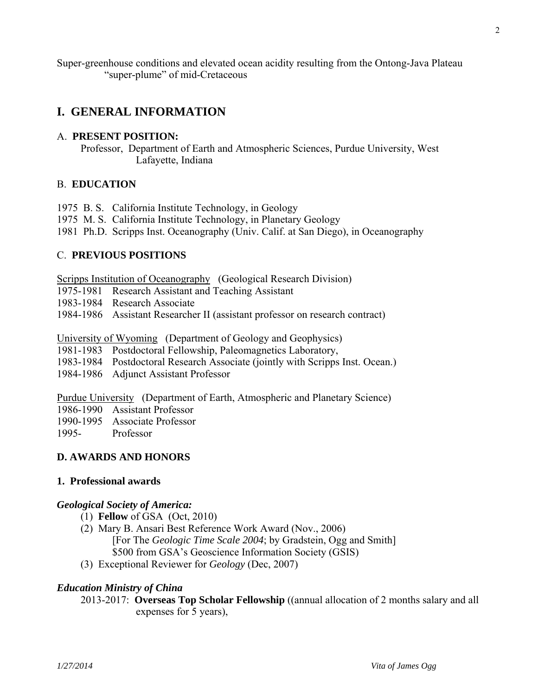Super-greenhouse conditions and elevated ocean acidity resulting from the Ontong-Java Plateau "super-plume" of mid-Cretaceous

## **I. GENERAL INFORMATION**

#### A. **PRESENT POSITION:**

Professor, Department of Earth and Atmospheric Sciences, Purdue University, West Lafayette, Indiana

## B. **EDUCATION**

- 1975 B. S. California Institute Technology, in Geology
- 1975 M. S. California Institute Technology, in Planetary Geology
- 1981 Ph.D. Scripps Inst. Oceanography (Univ. Calif. at San Diego), in Oceanography

## C. **PREVIOUS POSITIONS**

Scripps Institution of Oceanography (Geological Research Division)

- 1975-1981 Research Assistant and Teaching Assistant
- 1983-1984 Research Associate
- 1984-1986 Assistant Researcher II (assistant professor on research contract)

University of Wyoming (Department of Geology and Geophysics)

- 1981-1983 Postdoctoral Fellowship, Paleomagnetics Laboratory,
- 1983-1984 Postdoctoral Research Associate (jointly with Scripps Inst. Ocean.)
- 1984-1986 Adjunct Assistant Professor

Purdue University (Department of Earth, Atmospheric and Planetary Science)

- 1986-1990 Assistant Professor
- 1990-1995 Associate Professor
- 1995- Professor

## **D. AWARDS AND HONORS**

#### **1. Professional awards**

#### *Geological Society of America:*

- (1) **Fellow** of GSA (Oct, 2010)
- (2) Mary B. Ansari Best Reference Work Award (Nov., 2006) [For The *Geologic Time Scale 2004*; by Gradstein, Ogg and Smith] \$500 from GSA's Geoscience Information Society (GSIS)
- (3) Exceptional Reviewer for *Geology* (Dec, 2007)

#### *Education Ministry of China*

 2013-2017: **Overseas Top Scholar Fellowship** ((annual allocation of 2 months salary and all expenses for 5 years),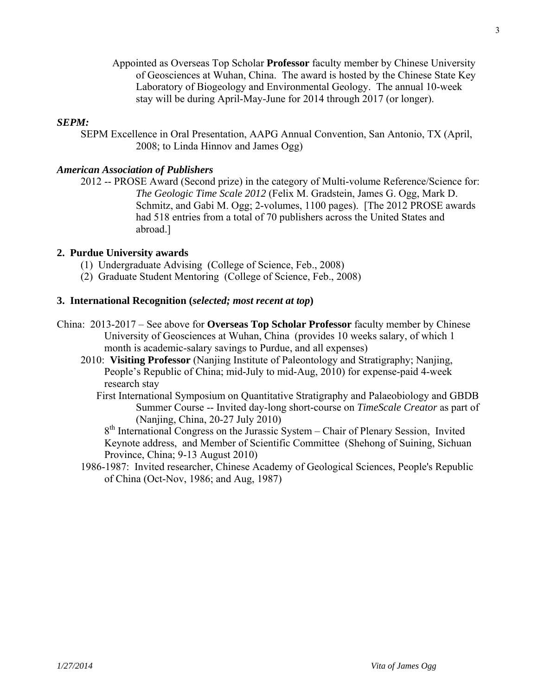Appointed as Overseas Top Scholar **Professor** faculty member by Chinese University of Geosciences at Wuhan, China. The award is hosted by the Chinese State Key Laboratory of Biogeology and Environmental Geology. The annual 10-week stay will be during April-May-June for 2014 through 2017 (or longer).

## *SEPM:*

 SEPM Excellence in Oral Presentation, AAPG Annual Convention, San Antonio, TX (April, 2008; to Linda Hinnov and James Ogg)

#### *American Association of Publishers*

 2012 -- PROSE Award (Second prize) in the category of Multi-volume Reference/Science for: *The Geologic Time Scale 2012* (Felix M. Gradstein, James G. Ogg, Mark D. Schmitz, and Gabi M. Ogg; 2-volumes, 1100 pages). [The 2012 PROSE awards had 518 entries from a total of 70 publishers across the United States and abroad.]

## **2. Purdue University awards**

- (1) Undergraduate Advising (College of Science, Feb., 2008)
- (2) Graduate Student Mentoring (College of Science, Feb., 2008)

#### **3. International Recognition (***selected; most recent at top***)**

- China: 2013-2017 See above for **Overseas Top Scholar Professor** faculty member by Chinese University of Geosciences at Wuhan, China (provides 10 weeks salary, of which 1 month is academic-salary savings to Purdue, and all expenses)
	- 2010: **Visiting Professor** (Nanjing Institute of Paleontology and Stratigraphy; Nanjing, People's Republic of China; mid-July to mid-Aug, 2010) for expense-paid 4-week research stay
		- First International Symposium on Quantitative Stratigraphy and Palaeobiology and GBDB Summer Course -- Invited day-long short-course on *TimeScale Creator* as part of (Nanjing, China, 20-27 July 2010)

 8th International Congress on the Jurassic System – Chair of Plenary Session, Invited Keynote address, and Member of Scientific Committee (Shehong of Suining, Sichuan Province, China; 9-13 August 2010)

 1986-1987: Invited researcher, Chinese Academy of Geological Sciences, People's Republic of China (Oct-Nov, 1986; and Aug, 1987)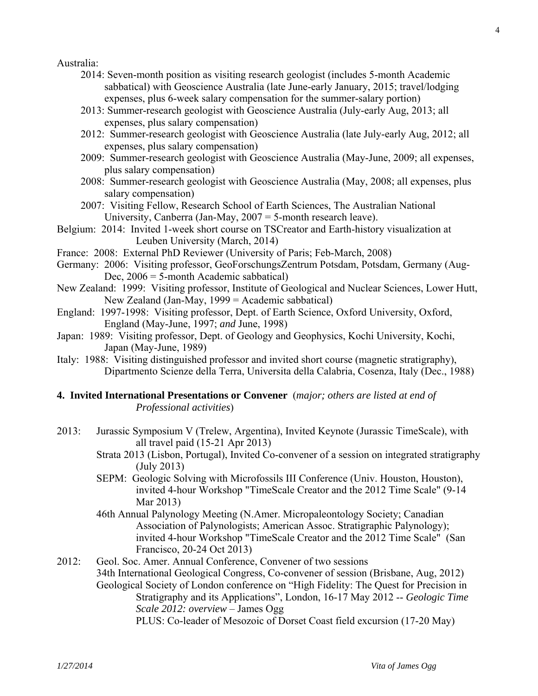Australia:

- 2014: Seven-month position as visiting research geologist (includes 5-month Academic sabbatical) with Geoscience Australia (late June-early January, 2015; travel/lodging expenses, plus 6-week salary compensation for the summer-salary portion)
- 2013: Summer-research geologist with Geoscience Australia (July-early Aug, 2013; all expenses, plus salary compensation)
- 2012: Summer-research geologist with Geoscience Australia (late July-early Aug, 2012; all expenses, plus salary compensation)
- 2009: Summer-research geologist with Geoscience Australia (May-June, 2009; all expenses, plus salary compensation)
- 2008: Summer-research geologist with Geoscience Australia (May, 2008; all expenses, plus salary compensation)
- 2007: Visiting Fellow, Research School of Earth Sciences, The Australian National University, Canberra (Jan-May, 2007 = 5-month research leave).
- Belgium: 2014: Invited 1-week short course on TSCreator and Earth-history visualization at Leuben University (March, 2014)
- France: 2008: External PhD Reviewer (University of Paris; Feb-March, 2008)
- Germany: 2006: Visiting professor, GeoForschungsZentrum Potsdam, Potsdam, Germany (Aug-Dec,  $2006 = 5$ -month Academic sabbatical)
- New Zealand: 1999: Visiting professor, Institute of Geological and Nuclear Sciences, Lower Hutt, New Zealand (Jan-May, 1999 = Academic sabbatical)
- England: 1997-1998: Visiting professor, Dept. of Earth Science, Oxford University, Oxford, England (May-June, 1997; *and* June, 1998)
- Japan: 1989: Visiting professor, Dept. of Geology and Geophysics, Kochi University, Kochi, Japan (May-June, 1989)
- Italy: 1988: Visiting distinguished professor and invited short course (magnetic stratigraphy), Dipartmento Scienze della Terra, Universita della Calabria, Cosenza, Italy (Dec., 1988)
- **4. Invited International Presentations or Convener** (*major; others are listed at end of Professional activities*)
- 2013: Jurassic Symposium V (Trelew, Argentina), Invited Keynote (Jurassic TimeScale), with all travel paid (15-21 Apr 2013)
	- Strata 2013 (Lisbon, Portugal), Invited Co-convener of a session on integrated stratigraphy (July 2013)
	- SEPM: Geologic Solving with Microfossils III Conference (Univ. Houston, Houston), invited 4-hour Workshop "TimeScale Creator and the 2012 Time Scale" (9-14 Mar 2013)
	- 46th Annual Palynology Meeting (N.Amer. Micropaleontology Society; Canadian Association of Palynologists; American Assoc. Stratigraphic Palynology); invited 4-hour Workshop "TimeScale Creator and the 2012 Time Scale" (San Francisco, 20-24 Oct 2013)
- 2012: Geol. Soc. Amer. Annual Conference, Convener of two sessions 34th International Geological Congress, Co-convener of session (Brisbane, Aug, 2012) Geological Society of London conference on "High Fidelity: The Quest for Precision in Stratigraphy and its Applications", London, 16-17 May 2012 -- *Geologic Time Scale 2012: overview* – James Ogg PLUS: Co-leader of Mesozoic of Dorset Coast field excursion (17-20 May)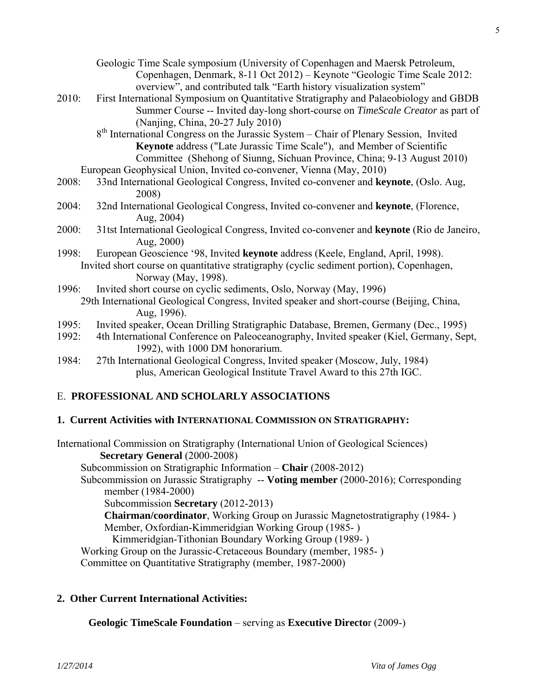- Geologic Time Scale symposium (University of Copenhagen and Maersk Petroleum, Copenhagen, Denmark, 8-11 Oct 2012) – Keynote "Geologic Time Scale 2012: overview", and contributed talk "Earth history visualization system"
- 2010: First International Symposium on Quantitative Stratigraphy and Palaeobiology and GBDB Summer Course -- Invited day-long short-course on *TimeScale Creator* as part of (Nanjing, China, 20-27 July 2010)
	- 8<sup>th</sup> International Congress on the Jurassic System Chair of Plenary Session, Invited **Keynote** address ("Late Jurassic Time Scale"), and Member of Scientific Committee (Shehong of Siunng, Sichuan Province, China; 9-13 August 2010) European Geophysical Union, Invited co-convener, Vienna (May, 2010)
- 2008: 33nd International Geological Congress, Invited co-convener and **keynote**, (Oslo. Aug, 2008)
- 2004: 32nd International Geological Congress, Invited co-convener and **keynote**, (Florence, Aug, 2004)
- 2000: 31tst International Geological Congress, Invited co-convener and **keynote** (Rio de Janeiro, Aug, 2000)
- 1998: European Geoscience '98, Invited **keynote** address (Keele, England, April, 1998). Invited short course on quantitative stratigraphy (cyclic sediment portion), Copenhagen, Norway (May, 1998).
- 1996: Invited short course on cyclic sediments, Oslo, Norway (May, 1996) 29th International Geological Congress, Invited speaker and short-course (Beijing, China, Aug, 1996).
- 1995: Invited speaker, Ocean Drilling Stratigraphic Database, Bremen, Germany (Dec., 1995)
- 1992: 4th International Conference on Paleoceanography, Invited speaker (Kiel, Germany, Sept, 1992), with 1000 DM honorarium.
- 1984: 27th International Geological Congress, Invited speaker (Moscow, July, 1984) plus, American Geological Institute Travel Award to this 27th IGC.

## E. **PROFESSIONAL AND SCHOLARLY ASSOCIATIONS**

## **1. Current Activities with INTERNATIONAL COMMISSION ON STRATIGRAPHY:**

International Commission on Stratigraphy (International Union of Geological Sciences) **Secretary General** (2000-2008) Subcommission on Stratigraphic Information – **Chair** (2008-2012) Subcommission on Jurassic Stratigraphy -- **Voting member** (2000-2016); Corresponding member (1984-2000) Subcommission **Secretary** (2012-2013) **Chairman/coordinator**, Working Group on Jurassic Magnetostratigraphy (1984- ) Member, Oxfordian-Kimmeridgian Working Group (1985- ) Kimmeridgian-Tithonian Boundary Working Group (1989- ) Working Group on the Jurassic-Cretaceous Boundary (member, 1985- ) Committee on Quantitative Stratigraphy (member, 1987-2000)

## **2. Other Current International Activities:**

 **Geologic TimeScale Foundation** – serving as **Executive Directo**r (2009-)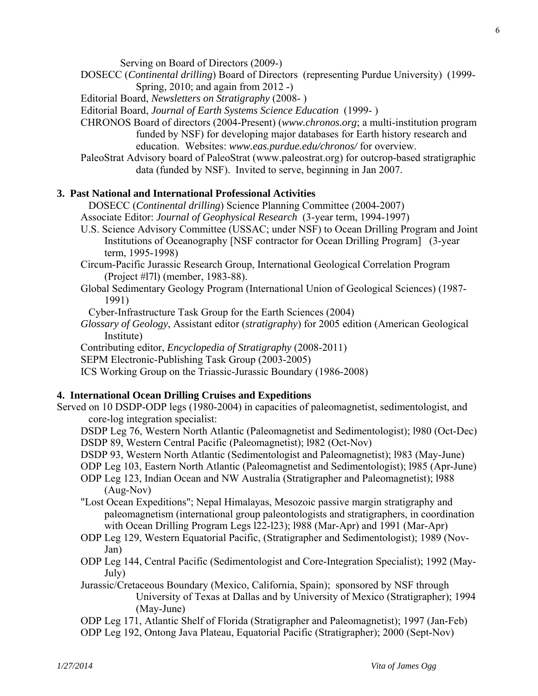Serving on Board of Directors (2009-)

- DOSECC (*Continental drilling*) Board of Directors (representing Purdue University) (1999- Spring, 2010; and again from 2012 -)
- Editorial Board, *Newsletters on Stratigraphy* (2008- )
- Editorial Board, *Journal of Earth Systems Science Education* (1999- )
- CHRONOS Board of directors (2004-Present) (*www.chronos.org*; a multi-institution program funded by NSF) for developing major databases for Earth history research and education. Websites: *www.eas.purdue.edu/chronos/* for overview.
- PaleoStrat Advisory board of PaleoStrat (www.paleostrat.org) for outcrop-based stratigraphic data (funded by NSF). Invited to serve, beginning in Jan 2007.

## **3. Past National and International Professional Activities**

DOSECC (*Continental drilling*) Science Planning Committee (2004-2007)

- Associate Editor: *Journal of Geophysical Research* (3-year term, 1994-1997)
- U.S. Science Advisory Committee (USSAC; under NSF) to Ocean Drilling Program and Joint Institutions of Oceanography [NSF contractor for Ocean Drilling Program] (3-year term, 1995-1998)
- Circum-Pacific Jurassic Research Group, International Geological Correlation Program (Project #l7l) (member, 1983-88).
- Global Sedimentary Geology Program (International Union of Geological Sciences) (1987- 1991)
- Cyber-Infrastructure Task Group for the Earth Sciences (2004)
- *Glossary of Geology*, Assistant editor (*stratigraphy*) for 2005 edition (American Geological Institute)

Contributing editor, *Encyclopedia of Stratigraphy* (2008-2011)

SEPM Electronic-Publishing Task Group (2003-2005)

ICS Working Group on the Triassic-Jurassic Boundary (1986-2008)

## **4. International Ocean Drilling Cruises and Expeditions**

Served on 10 DSDP-ODP legs (1980-2004) in capacities of paleomagnetist, sedimentologist, and core-log integration specialist:

- DSDP Leg 76, Western North Atlantic (Paleomagnetist and Sedimentologist); l980 (Oct-Dec) DSDP 89, Western Central Pacific (Paleomagnetist); l982 (Oct-Nov)
- DSDP 93, Western North Atlantic (Sedimentologist and Paleomagnetist); l983 (May-June)
- ODP Leg 103, Eastern North Atlantic (Paleomagnetist and Sedimentologist); l985 (Apr-June)
- ODP Leg 123, Indian Ocean and NW Australia (Stratigrapher and Paleomagnetist); l988 (Aug-Nov)
- "Lost Ocean Expeditions"; Nepal Himalayas, Mesozoic passive margin stratigraphy and paleomagnetism (international group paleontologists and stratigraphers, in coordination with Ocean Drilling Program Legs l22-l23); l988 (Mar-Apr) and 1991 (Mar-Apr)
- ODP Leg 129, Western Equatorial Pacific, (Stratigrapher and Sedimentologist); 1989 (Nov-Jan)
- ODP Leg 144, Central Pacific (Sedimentologist and Core-Integration Specialist); 1992 (May-July)
- Jurassic/Cretaceous Boundary (Mexico, California, Spain); sponsored by NSF through University of Texas at Dallas and by University of Mexico (Stratigrapher); 1994 (May-June)

ODP Leg 171, Atlantic Shelf of Florida (Stratigrapher and Paleomagnetist); 1997 (Jan-Feb)

ODP Leg 192, Ontong Java Plateau, Equatorial Pacific (Stratigrapher); 2000 (Sept-Nov)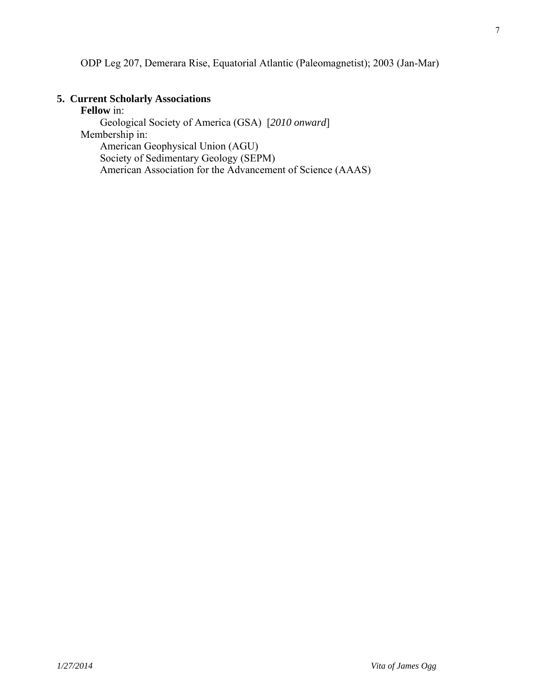ODP Leg 207, Demerara Rise, Equatorial Atlantic (Paleomagnetist); 2003 (Jan-Mar)

## **5. Current Scholarly Associations**

**Fellow** in: Geological Society of America (GSA) [*2010 onward*] Membership in: American Geophysical Union (AGU) Society of Sedimentary Geology (SEPM) American Association for the Advancement of Science (AAAS)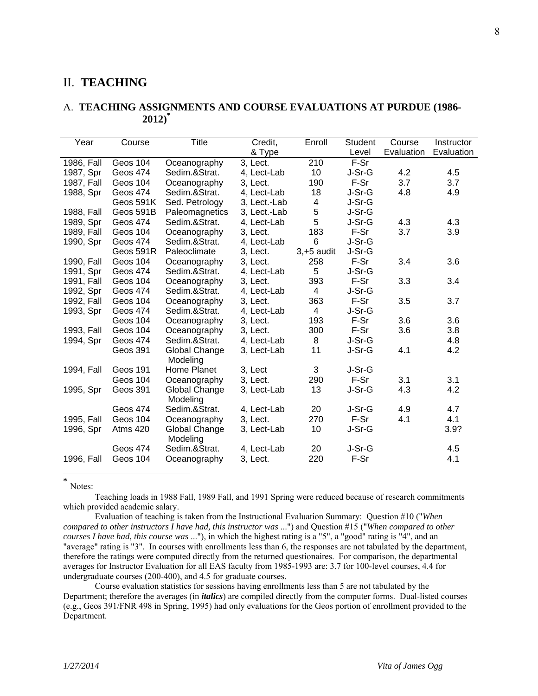## II. **TEACHING**

#### A. **TEACHING ASSIGNMENTS AND COURSE EVALUATIONS AT PURDUE (1986- 2012)\***

| Year       | Course          | <b>Title</b>              | Credit,      | Enroll         | <b>Student</b> | Course     | Instructor |
|------------|-----------------|---------------------------|--------------|----------------|----------------|------------|------------|
|            |                 |                           | & Type       |                | Level          | Evaluation | Evaluation |
| 1986, Fall | Geos 104        | Oceanography              | 3, Lect.     | 210            | F-Sr           |            |            |
| 1987, Spr  | <b>Geos 474</b> | Sedim.&Strat.             | 4, Lect-Lab  | 10             | J-Sr-G         | 4.2        | 4.5        |
| 1987, Fall | Geos 104        | Oceanography              | 3, Lect.     | 190            | $F-Sr$         | 3.7        | 3.7        |
| 1988, Spr  | Geos 474        | Sedim.&Strat.             | 4. Lect-Lab  | 18             | J-Sr-G         | 4.8        | 4.9        |
|            | Geos 591K       | Sed. Petrology            | 3, Lect.-Lab | $\overline{4}$ | J-Sr-G         |            |            |
| 1988, Fall | Geos 591B       | Paleomagnetics            | 3, Lect.-Lab | 5              | J-Sr-G         |            |            |
| 1989, Spr  | Geos 474        | Sedim.&Strat.             | 4, Lect-Lab  | 5              | J-Sr-G         | 4.3        | 4.3        |
| 1989, Fall | Geos 104        | Oceanography              | 3, Lect.     | 183            | F-Sr           | 3.7        | 3.9        |
| 1990, Spr  | <b>Geos 474</b> | Sedim.&Strat.             | 4, Lect-Lab  | 6              | J-Sr-G         |            |            |
|            | Geos 591R       | Paleoclimate              | 3, Lect.     | $3, +5$ audit  | J-Sr-G         |            |            |
| 1990, Fall | Geos 104        | Oceanography              | 3, Lect.     | 258            | F-Sr           | 3.4        | 3.6        |
| 1991, Spr  | Geos 474        | Sedim.&Strat.             | 4, Lect-Lab  | 5              | J-Sr-G         |            |            |
| 1991, Fall | Geos 104        | Oceanography              | 3. Lect.     | 393            | F-Sr           | 3.3        | 3.4        |
| 1992, Spr  | Geos 474        | Sedim.&Strat.             | 4, Lect-Lab  | 4              | J-Sr-G         |            |            |
| 1992, Fall | Geos 104        | Oceanography              | 3, Lect.     | 363            | F-Sr           | 3.5        | 3.7        |
| 1993, Spr  | <b>Geos 474</b> | Sedim.&Strat.             | 4, Lect-Lab  | 4              | J-Sr-G         |            |            |
|            | Geos 104        | Oceanography              | 3, Lect.     | 193            | F-Sr           | 3.6        | 3.6        |
| 1993, Fall | Geos 104        | Oceanography              | 3, Lect.     | 300            | F-Sr           | 3.6        | 3.8        |
| 1994, Spr  | Geos 474        | Sedim.&Strat.             | 4, Lect-Lab  | 8              | J-Sr-G         |            | 4.8        |
|            | Geos 391        | Global Change<br>Modeling | 3, Lect-Lab  | 11             | J-Sr-G         | 4.1        | 4.2        |
| 1994, Fall | Geos 191        | Home Planet               | 3, Lect      | 3              | J-Sr-G         |            |            |
|            | Geos 104        | Oceanography              | 3, Lect.     | 290            | F-Sr           | 3.1        | 3.1        |
| 1995, Spr  | Geos 391        | Global Change             | 3, Lect-Lab  | 13             | J-Sr-G         | 4.3        | 4.2        |
|            |                 | Modeling                  |              |                |                |            |            |
|            | Geos 474        | Sedim.&Strat.             | 4, Lect-Lab  | 20             | J-Sr-G         | 4.9        | 4.7        |
| 1995, Fall | Geos 104        | Oceanography              | 3, Lect.     | 270            | F-Sr           | 4.1        | 4.1        |
| 1996, Spr  | Atms 420        | Global Change<br>Modeling | 3, Lect-Lab  | 10             | J-Sr-G         |            | 3.9?       |
|            | <b>Geos 474</b> | Sedim.&Strat.             | 4, Lect-Lab  | 20             | J-Sr-G         |            | 4.5        |
| 1996, Fall | Geos 104        | Oceanography              | 3, Lect.     | 220            | F-Sr           |            | 4.1        |
|            |                 |                           |              |                |                |            |            |

**\*** Notes:

 Teaching loads in 1988 Fall, 1989 Fall, and 1991 Spring were reduced because of research commitments which provided academic salary.

 Evaluation of teaching is taken from the Instructional Evaluation Summary: Question #10 ("*When compared to other instructors I have had, this instructor was* ...") and Question #15 ("*When compared to other courses I have had, this course was* ..."), in which the highest rating is a "5", a "good" rating is "4", and an "average" rating is "3". In courses with enrollments less than 6, the responses are not tabulated by the department, therefore the ratings were computed directly from the returned questionaires. For comparison, the departmental averages for Instructor Evaluation for all EAS faculty from 1985-1993 are: 3.7 for 100-level courses, 4.4 for undergraduate courses (200-400), and 4.5 for graduate courses.

 Course evaluation statistics for sessions having enrollments less than 5 are not tabulated by the Department; therefore the averages (in *italics*) are compiled directly from the computer forms. Dual-listed courses (e.g., Geos 391/FNR 498 in Spring, 1995) had only evaluations for the Geos portion of enrollment provided to the Department.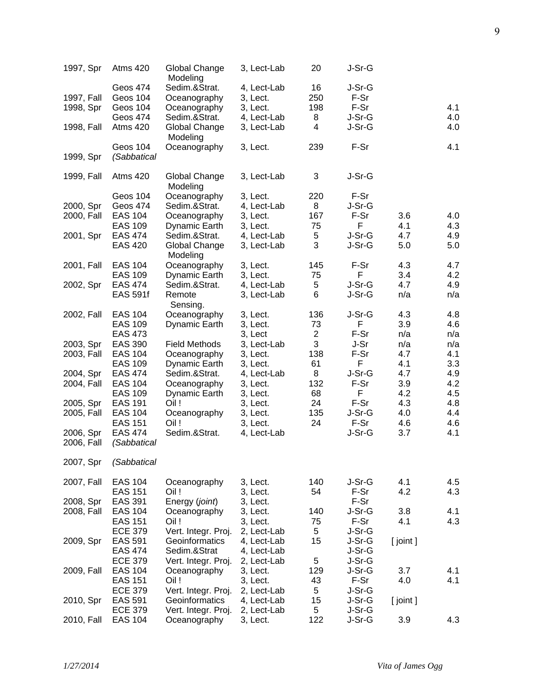| 1997, Spr  | Atms 420                         | Global Change<br>Modeling     | 3, Lect-Lab             | 20             | J-Sr-G         |            |            |
|------------|----------------------------------|-------------------------------|-------------------------|----------------|----------------|------------|------------|
| 1997, Fall | Geos 474<br>Geos 104             | Sedim.&Strat.<br>Oceanography | 4, Lect-Lab<br>3, Lect. | 16<br>250      | J-Sr-G<br>F-Sr |            |            |
| 1998, Spr  | Geos 104                         | Oceanography                  | 3, Lect.                | 198            | F-Sr           |            | 4.1        |
|            | Geos 474                         | Sedim.&Strat.                 | 4, Lect-Lab             | 8              | J-Sr-G         |            | 4.0        |
| 1998, Fall | Atms 420                         | Global Change<br>Modeling     | 3, Lect-Lab             | 4              | J-Sr-G         |            | 4.0        |
| 1999, Spr  | Geos 104<br>(Sabbatical          | Oceanography                  | 3, Lect.                | 239            | F-Sr           |            | 4.1        |
| 1999, Fall | <b>Atms 420</b>                  | Global Change<br>Modeling     | 3, Lect-Lab             | 3              | J-Sr-G         |            |            |
|            | Geos 104                         | Oceanography                  | 3, Lect.                | 220            | F-Sr           |            |            |
| 2000, Spr  | Geos 474                         | Sedim.&Strat.                 | 4, Lect-Lab             | 8              | J-Sr-G         |            |            |
| 2000, Fall | <b>EAS 104</b>                   | Oceanography                  | 3, Lect.                | 167            | F-Sr           | 3.6        | 4.0        |
|            | <b>EAS 109</b>                   | Dynamic Earth                 | 3, Lect.                | 75             | F              | 4.1        | 4.3        |
| 2001, Spr  | <b>EAS 474</b>                   | Sedim.&Strat.                 | 4, Lect-Lab             | 5              | J-Sr-G         | 4.7        | 4.9        |
|            | <b>EAS 420</b>                   | Global Change<br>Modeling     | 3, Lect-Lab             | 3              | J-Sr-G         | 5.0        | 5.0        |
| 2001, Fall | <b>EAS 104</b>                   | Oceanography                  | 3, Lect.                | 145            | F-Sr           | 4.3        | 4.7        |
|            | <b>EAS 109</b>                   | Dynamic Earth                 | 3, Lect.                | 75             | F              | 3.4        | 4.2        |
| 2002, Spr  | <b>EAS 474</b>                   | Sedim.&Strat.                 | 4, Lect-Lab             | 5              | J-Sr-G         | 4.7        | 4.9        |
|            | <b>EAS 591f</b>                  | Remote<br>Sensing.            | 3, Lect-Lab             | 6              | J-Sr-G         | n/a        | n/a        |
| 2002, Fall | <b>EAS 104</b>                   | Oceanography                  | 3, Lect.                | 136            | J-Sr-G         | 4.3        | 4.8        |
|            | <b>EAS 109</b>                   | Dynamic Earth                 | 3, Lect.                | 73             | F              | 3.9        | 4.6        |
|            | <b>EAS 473</b>                   |                               | 3, Lect                 | $\overline{2}$ | F-Sr           | n/a        | n/a        |
| 2003, Spr  | <b>EAS 390</b>                   | <b>Field Methods</b>          | 3, Lect-Lab             | 3              | J-Sr           | n/a        | n/a        |
| 2003, Fall | <b>EAS 104</b>                   | Oceanography                  | 3, Lect.                | 138            | F-Sr           | 4.7        | 4.1        |
|            | <b>EAS 109</b>                   | Dynamic Earth                 | 3, Lect.                | 61             | F              | 4.1        | 3.3        |
| 2004, Spr  | <b>EAS 474</b>                   | Sedim.&Strat.                 | 4, Lect-Lab             | 8              | J-Sr-G         | 4.7        | 4.9        |
| 2004, Fall | <b>EAS 104</b>                   | Oceanography                  | 3, Lect.                | 132            | F-Sr           | 3.9        | 4.2        |
|            | <b>EAS 109</b>                   | Dynamic Earth                 | 3, Lect.                | 68             | F              | 4.2        | 4.5        |
| 2005, Spr  | <b>EAS 191</b>                   | Oil!                          | 3, Lect.                | 24             | F-Sr           | 4.3        | 4.8        |
| 2005, Fall | <b>EAS 104</b>                   | Oceanography                  | 3, Lect.                | 135            | J-Sr-G         | 4.0        | 4.4        |
| 2006, Spr  | <b>EAS 151</b><br><b>EAS 474</b> | Oil !<br>Sedim.&Strat.        | 3, Lect.                | 24             | F-Sr<br>J-Sr-G | 4.6<br>3.7 | 4.6<br>4.1 |
| 2006, Fall | (Sabbatical                      |                               | 4, Lect-Lab             |                |                |            |            |
|            |                                  |                               |                         |                |                |            |            |
| 2007, Spr  | (Sabbatical                      |                               |                         |                |                |            |            |
| 2007, Fall | <b>EAS 104</b>                   | Oceanography                  | 3, Lect.                | 140            | J-Sr-G         | 4.1        | 4.5        |
|            | <b>EAS 151</b>                   | Oil !                         | 3, Lect.                | 54             | F-Sr           | 4.2        | 4.3        |
| 2008, Spr  | <b>EAS 391</b>                   | Energy (joint)                | 3, Lect.                |                | F-Sr           |            |            |
| 2008, Fall | <b>EAS 104</b>                   | Oceanography                  | 3, Lect.                | 140            | J-Sr-G         | 3.8        | 4.1        |
|            | <b>EAS 151</b>                   | Oil !                         | 3, Lect.                | 75             | F-Sr           | 4.1        | 4.3        |
|            | <b>ECE 379</b>                   | Vert. Integr. Proj.           | 2, Lect-Lab             | 5              | J-Sr-G         |            |            |
| 2009, Spr  | <b>EAS 591</b>                   | Geoinformatics                | 4, Lect-Lab             | 15             | J-Sr-G         | [ joint ]  |            |
|            | <b>EAS 474</b>                   | Sedim.&Strat                  | 4, Lect-Lab             |                | J-Sr-G         |            |            |
|            | <b>ECE 379</b>                   | Vert. Integr. Proj.           | 2, Lect-Lab             | 5              | J-Sr-G         |            |            |
| 2009, Fall | <b>EAS 104</b>                   | Oceanography                  | 3, Lect.                | 129            | J-Sr-G         | 3.7        | 4.1        |
|            | <b>EAS 151</b>                   | Oil!                          | 3, Lect.                | 43             | F-Sr           | 4.0        | 4.1        |
|            | <b>ECE 379</b>                   | Vert. Integr. Proj.           | 2, Lect-Lab             | 5              | J-Sr-G         |            |            |
| 2010, Spr  | EAS 591                          | Geoinformatics                | 4, Lect-Lab             | 15             | J-Sr-G         | [ joint ]  |            |
|            | <b>ECE 379</b>                   | Vert. Integr. Proj.           | 2, Lect-Lab             | 5              | J-Sr-G         |            |            |
| 2010, Fall | <b>EAS 104</b>                   | Oceanography                  | 3, Lect.                | 122            | J-Sr-G         | 3.9        | 4.3        |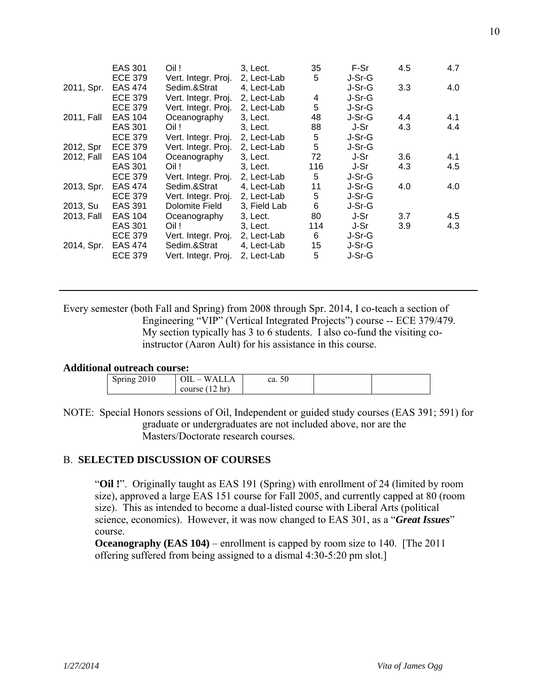|            | EAS 301<br><b>ECE 379</b> | Oil !<br>Vert. Integr. Proj. | 3, Lect.<br>2, Lect-Lab | 35<br>5 | F-Sr<br>J-Sr-G | 4.5 | 4.7 |
|------------|---------------------------|------------------------------|-------------------------|---------|----------------|-----|-----|
| 2011, Spr. | <b>EAS 474</b>            | Sedim.&Strat                 | 4, Lect-Lab             |         | J-Sr-G         | 3.3 | 4.0 |
|            | <b>ECE 379</b>            | Vert. Integr. Proj.          | 2, Lect-Lab             | 4       | J-Sr-G         |     |     |
|            | <b>ECE 379</b>            | Vert. Integr. Proj.          | 2, Lect-Lab             | 5       | J-Sr-G         |     |     |
| 2011, Fall | EAS 104                   | Oceanography                 | 3. Lect.                | 48      | J-Sr-G         | 4.4 | 4.1 |
|            | EAS 301                   | Oil !                        | 3, Lect.                | 88      | J-Sr           | 4.3 | 4.4 |
|            | <b>ECE 379</b>            | Vert. Integr. Proj.          | 2, Lect-Lab             | 5       | J-Sr-G         |     |     |
| 2012, Spr  | <b>ECE 379</b>            | Vert. Integr. Proj.          | 2, Lect-Lab             | 5       | J-Sr-G         |     |     |
| 2012, Fall | <b>EAS 104</b>            | Oceanography                 | 3, Lect.                | 72      | J-Sr           | 3.6 | 4.1 |
|            | EAS 301                   | Oil !                        | 3. Lect.                | 116     | J-Sr           | 4.3 | 4.5 |
|            | <b>ECE 379</b>            | Vert. Integr. Proj.          | 2, Lect-Lab             | 5       | J-Sr-G         |     |     |
| 2013, Spr. | <b>EAS 474</b>            | Sedim.&Strat                 | 4, Lect-Lab             | 11      | J-Sr-G         | 4.0 | 4.0 |
|            | <b>ECE 379</b>            | Vert. Integr. Proj.          | 2, Lect-Lab             | 5       | J-Sr-G         |     |     |
| 2013, Su   | <b>EAS 391</b>            | Dolomite Field               | 3, Field Lab            | 6       | J-Sr-G         |     |     |
| 2013, Fall | <b>EAS 104</b>            | Oceanography                 | 3, Lect.                | 80      | J-Sr           | 3.7 | 4.5 |
|            | EAS 301                   | Oil !                        | 3. Lect.                | 114     | J-Sr           | 3.9 | 4.3 |
|            | <b>ECE 379</b>            | Vert. Integr. Proj.          | 2, Lect-Lab             | 6       | J-Sr-G         |     |     |
| 2014, Spr. | EAS 474                   | Sedim.&Strat                 | 4, Lect-Lab             | 15      | J-Sr-G         |     |     |
|            | <b>ECE 379</b>            | Vert. Integr. Proj.          | 2, Lect-Lab             | 5       | J-Sr-G         |     |     |
|            |                           |                              |                         |         |                |     |     |

Every semester (both Fall and Spring) from 2008 through Spr. 2014, I co-teach a section of Engineering "VIP" (Vertical Integrated Projects") course -- ECE 379/479. My section typically has 3 to 6 students. I also co-fund the visiting coinstructor (Aaron Ault) for his assistance in this course.

#### **Additional outreach course:**

| Spring 2010 | WALLA<br>$JIL =$        | ca. 50 |  |
|-------------|-------------------------|--------|--|
|             | $\pm 2$ hr)<br>course ( |        |  |

NOTE: Special Honors sessions of Oil, Independent or guided study courses (EAS 391; 591) for graduate or undergraduates are not included above, nor are the Masters/Doctorate research courses.

## B. **SELECTED DISCUSSION OF COURSES**

 "**Oil !**". Originally taught as EAS 191 (Spring) with enrollment of 24 (limited by room size), approved a large EAS 151 course for Fall 2005, and currently capped at 80 (room size). This as intended to become a dual-listed course with Liberal Arts (political science, economics). However, it was now changed to EAS 301, as a "*Great Issues*" course.

**Oceanography (EAS 104)** – enrollment is capped by room size to 140. [The 2011] offering suffered from being assigned to a dismal 4:30-5:20 pm slot.]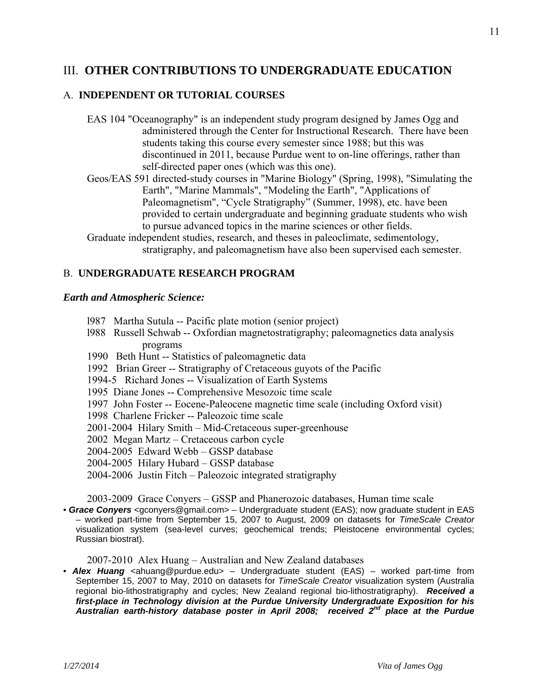## III. **OTHER CONTRIBUTIONS TO UNDERGRADUATE EDUCATION**

## A. **INDEPENDENT OR TUTORIAL COURSES**

- EAS 104 "Oceanography" is an independent study program designed by James Ogg and administered through the Center for Instructional Research. There have been students taking this course every semester since 1988; but this was discontinued in 2011, because Purdue went to on-line offerings, rather than self-directed paper ones (which was this one).
- Geos/EAS 591 directed-study courses in "Marine Biology" (Spring, 1998), "Simulating the Earth", "Marine Mammals", "Modeling the Earth", "Applications of Paleomagnetism", "Cycle Stratigraphy" (Summer, 1998), etc. have been provided to certain undergraduate and beginning graduate students who wish to pursue advanced topics in the marine sciences or other fields.
- Graduate independent studies, research, and theses in paleoclimate, sedimentology, stratigraphy, and paleomagnetism have also been supervised each semester.

## B. **UNDERGRADUATE RESEARCH PROGRAM**

## *Earth and Atmospheric Science:*

- l987 Martha Sutula -- Pacific plate motion (senior project)
- l988 Russell Schwab -- Oxfordian magnetostratigraphy; paleomagnetics data analysis programs
- 1990 Beth Hunt -- Statistics of paleomagnetic data
- 1992 Brian Greer -- Stratigraphy of Cretaceous guyots of the Pacific
- 1994-5 Richard Jones -- Visualization of Earth Systems
- 1995 Diane Jones -- Comprehensive Mesozoic time scale
- 1997 John Foster -- Eocene-Paleocene magnetic time scale (including Oxford visit)
- 1998 Charlene Fricker -- Paleozoic time scale
- 2001-2004 Hilary Smith Mid-Cretaceous super-greenhouse
- 2002 Megan Martz Cretaceous carbon cycle
- 2004-2005 Edward Webb GSSP database
- 2004-2005 Hilary Hubard GSSP database
- 2004-2006 Justin Fitch Paleozoic integrated stratigraphy

2003-2009 Grace Conyers – GSSP and Phanerozoic databases, Human time scale

• *Grace Conyers* <gconyers@gmail.com> – Undergraduate student (EAS); now graduate student in EAS – worked part-time from September 15, 2007 to August, 2009 on datasets for *TimeScale Creator* visualization system (sea-level curves; geochemical trends; Pleistocene environmental cycles; Russian biostrat).

2007-2010 Alex Huang – Australian and New Zealand databases

• **Alex Huang** <ahuang@purdue.edu> – Undergraduate student (EAS) – worked part-time from September 15, 2007 to May, 2010 on datasets for *TimeScale Creator* visualization system (Australia regional bio-lithostratigraphy and cycles; New Zealand regional bio-lithostratigraphy). *Received a first-place in Technology division at the Purdue University Undergraduate Exposition for his Australian earth-history database poster in April 2008; received 2nd place at the Purdue*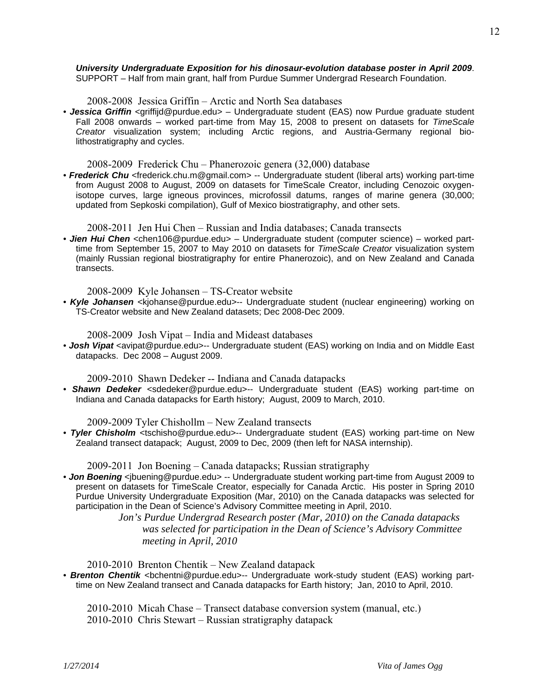#### *University Undergraduate Exposition for his dinosaur-evolution database poster in April 2009*. SUPPORT – Half from main grant, half from Purdue Summer Undergrad Research Foundation.

2008-2008 Jessica Griffin – Arctic and North Sea databases

• Jessica Griffin <griffijd@purdue.edu> – Undergraduate student (EAS) now Purdue graduate student Fall 2008 onwards – worked part-time from May 15, 2008 to present on datasets for *TimeScale Creator* visualization system; including Arctic regions, and Austria-Germany regional biolithostratigraphy and cycles.

2008-2009 Frederick Chu – Phanerozoic genera (32,000) database

• *Frederick Chu* <frederick.chu.m@gmail.com> -- Undergraduate student (liberal arts) working part-time from August 2008 to August, 2009 on datasets for TimeScale Creator, including Cenozoic oxygenisotope curves, large igneous provinces, microfossil datums, ranges of marine genera (30,000; updated from Sepkoski compilation), Gulf of Mexico biostratigraphy, and other sets.

2008-2011 Jen Hui Chen – Russian and India databases; Canada transects

• *Jien Hui Chen* <chen106@purdue.edu> – Undergraduate student (computer science) – worked parttime from September 15, 2007 to May 2010 on datasets for *TimeScale Creator* visualization system (mainly Russian regional biostratigraphy for entire Phanerozoic), and on New Zealand and Canada transects.

2008-2009 Kyle Johansen – TS-Creator website

• *Kyle Johansen* <kjohanse@purdue.edu>-- Undergraduate student (nuclear engineering) working on TS-Creator website and New Zealand datasets; Dec 2008-Dec 2009.

2008-2009 Josh Vipat – India and Mideast databases

• **Josh Vipat** <avipat@purdue.edu>-- Undergraduate student (EAS) working on India and on Middle East datapacks. Dec 2008 – August 2009.

2009-2010 Shawn Dedeker -- Indiana and Canada datapacks

• *Shawn Dedeker* <sdedeker@purdue.edu>-- Undergraduate student (EAS) working part-time on Indiana and Canada datapacks for Earth history; August, 2009 to March, 2010.

2009-2009 Tyler Chishollm – New Zealand transects

• *Tyler Chisholm* <tschisho@purdue.edu>-- Undergraduate student (EAS) working part-time on New Zealand transect datapack; August, 2009 to Dec, 2009 (then left for NASA internship).

2009-2011 Jon Boening – Canada datapacks; Russian stratigraphy

• **Jon Boening** <jbuening@purdue.edu> -- Undergraduate student working part-time from August 2009 to present on datasets for TimeScale Creator, especially for Canada Arctic. His poster in Spring 2010 Purdue University Undergraduate Exposition (Mar, 2010) on the Canada datapacks was selected for participation in the Dean of Science's Advisory Committee meeting in April, 2010.

 *Jon's Purdue Undergrad Research poster (Mar, 2010) on the Canada datapacks was selected for participation in the Dean of Science's Advisory Committee meeting in April, 2010* 

2010-2010 Brenton Chentik – New Zealand datapack

• **Brenton Chentik** <bchentni@purdue.edu>-- Undergraduate work-study student (EAS) working parttime on New Zealand transect and Canada datapacks for Earth history; Jan, 2010 to April, 2010.

 2010-2010 Micah Chase – Transect database conversion system (manual, etc.) 2010-2010 Chris Stewart – Russian stratigraphy datapack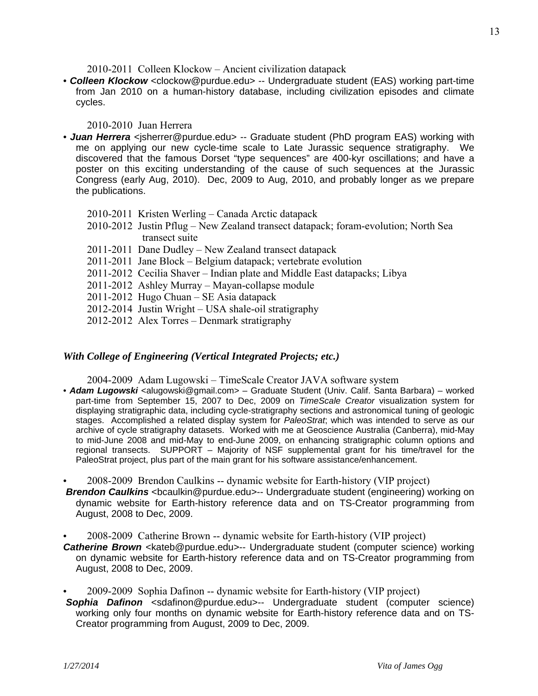2010-2011 Colleen Klockow – Ancient civilization datapack

• **Colleen Klockow** <clockow@purdue.edu> -- Undergraduate student (EAS) working part-time from Jan 2010 on a human-history database, including civilization episodes and climate cycles.

## 2010-2010 Juan Herrera

- **Juan Herrera** <isherrer@purdue.edu> -- Graduate student (PhD program EAS) working with me on applying our new cycle-time scale to Late Jurassic sequence stratigraphy. We discovered that the famous Dorset "type sequences" are 400-kyr oscillations; and have a poster on this exciting understanding of the cause of such sequences at the Jurassic Congress (early Aug, 2010). Dec, 2009 to Aug, 2010, and probably longer as we prepare the publications.
	- 2010-2011 Kristen Werling Canada Arctic datapack
	- 2010-2012 Justin Pflug New Zealand transect datapack; foram-evolution; North Sea transect suite
	- 2011-2011 Dane Dudley New Zealand transect datapack
	- 2011-2011 Jane Block Belgium datapack; vertebrate evolution
	- 2011-2012 Cecilia Shaver Indian plate and Middle East datapacks; Libya
	- 2011-2012 Ashley Murray Mayan-collapse module
	- 2011-2012 Hugo Chuan SE Asia datapack
	- 2012-2014 Justin Wright USA shale-oil stratigraphy
	- 2012-2012 Alex Torres Denmark stratigraphy

## *With College of Engineering (Vertical Integrated Projects; etc.)*

2004-2009 Adam Lugowski – TimeScale Creator JAVA software system

- Adam Lugowski <alugowski@gmail.com> Graduate Student (Univ. Calif. Santa Barbara) worked part-time from September 15, 2007 to Dec, 2009 on *TimeScale Creator* visualization system for displaying stratigraphic data, including cycle-stratigraphy sections and astronomical tuning of geologic stages. Accomplished a related display system for *PaleoStrat*; which was intended to serve as our archive of cycle stratigraphy datasets. Worked with me at Geoscience Australia (Canberra), mid-May to mid-June 2008 and mid-May to end-June 2009, on enhancing stratigraphic column options and regional transects. SUPPORT – Majority of NSF supplemental grant for his time/travel for the PaleoStrat project, plus part of the main grant for his software assistance/enhancement.
- 2008-2009 Brendon Caulkins -- dynamic website for Earth-history (VIP project)
- **Brendon Caulkins** < bcaulkin@purdue.edu>-- Undergraduate student (engineering) working on dynamic website for Earth-history reference data and on TS-Creator programming from August, 2008 to Dec, 2009.
- 2008-2009 Catherine Brown -- dynamic website for Earth-history (VIP project)
- **Catherine Brown** <kateb@purdue.edu>-- Undergraduate student (computer science) working on dynamic website for Earth-history reference data and on TS-Creator programming from August, 2008 to Dec, 2009.
- 2009-2009 Sophia Dafinon -- dynamic website for Earth-history (VIP project) *Sophia Dafinon* <sdafinon@purdue.edu>-- Undergraduate student (computer science) working only four months on dynamic website for Earth-history reference data and on TS-Creator programming from August, 2009 to Dec, 2009.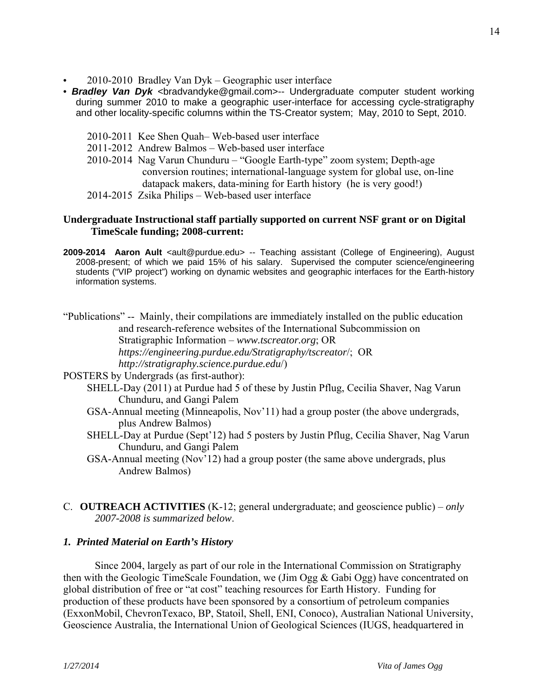- 2010-2010 Bradley Van Dyk Geographic user interface
- **Bradley Van Dyk** <bradvandyke@gmail.com>-- Undergraduate computer student working during summer 2010 to make a geographic user-interface for accessing cycle-stratigraphy and other locality-specific columns within the TS-Creator system; May, 2010 to Sept, 2010.
	- 2010-2011 Kee Shen Quah– Web-based user interface
	- 2011-2012 Andrew Balmos Web-based user interface
	- 2010-2014 Nag Varun Chunduru "Google Earth-type" zoom system; Depth-age conversion routines; international-language system for global use, on-line datapack makers, data-mining for Earth history (he is very good!)
	- 2014-2015 Zsika Philips Web-based user interface

## **Undergraduate Instructional staff partially supported on current NSF grant or on Digital TimeScale funding; 2008-current:**

**2009-2014 Aaron Ault** <ault@purdue.edu> -- Teaching assistant (College of Engineering), August 2008-present; of which we paid 15% of his salary. Supervised the computer science/engineering students ("VIP project") working on dynamic websites and geographic interfaces for the Earth-history information systems.

"Publications" -- Mainly, their compilations are immediately installed on the public education and research-reference websites of the International Subcommission on Stratigraphic Information – *www.tscreator.org*; OR *https://engineering.purdue.edu/Stratigraphy/tscreator*/; OR *http://stratigraphy.science.purdue.edu*/)

- POSTERS by Undergrads (as first-author):
	- SHELL-Day (2011) at Purdue had 5 of these by Justin Pflug, Cecilia Shaver, Nag Varun Chunduru, and Gangi Palem
		- GSA-Annual meeting (Minneapolis, Nov'11) had a group poster (the above undergrads, plus Andrew Balmos)
		- SHELL-Day at Purdue (Sept'12) had 5 posters by Justin Pflug, Cecilia Shaver, Nag Varun Chunduru, and Gangi Palem
		- GSA-Annual meeting (Nov'12) had a group poster (the same above undergrads, plus Andrew Balmos)
- C. **OUTREACH ACTIVITIES** (K-12; general undergraduate; and geoscience public) *only 2007-2008 is summarized below*.

## *1. Printed Material on Earth's History*

 Since 2004, largely as part of our role in the International Commission on Stratigraphy then with the Geologic TimeScale Foundation, we (Jim Ogg & Gabi Ogg) have concentrated on global distribution of free or "at cost" teaching resources for Earth History. Funding for production of these products have been sponsored by a consortium of petroleum companies (ExxonMobil, ChevronTexaco, BP, Statoil, Shell, ENI, Conoco), Australian National University, Geoscience Australia, the International Union of Geological Sciences (IUGS, headquartered in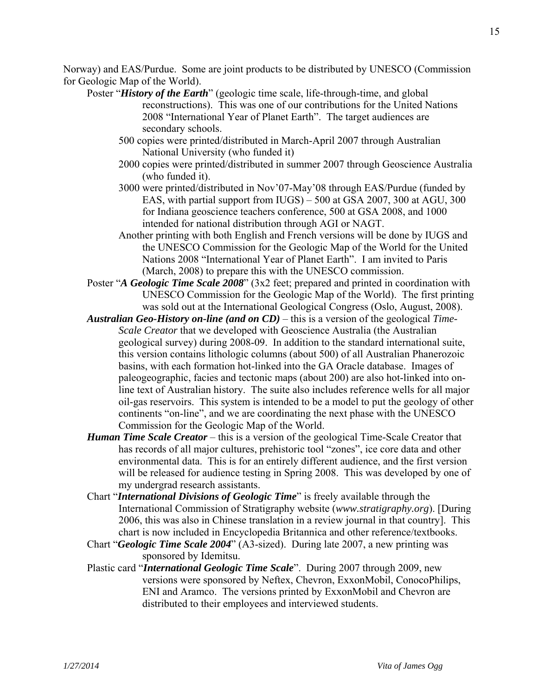Norway) and EAS/Purdue. Some are joint products to be distributed by UNESCO (Commission for Geologic Map of the World).

- Poster "*History of the Earth*" (geologic time scale, life-through-time, and global reconstructions). This was one of our contributions for the United Nations 2008 "International Year of Planet Earth". The target audiences are secondary schools.
	- 500 copies were printed/distributed in March-April 2007 through Australian National University (who funded it)
	- 2000 copies were printed/distributed in summer 2007 through Geoscience Australia (who funded it).
	- 3000 were printed/distributed in Nov'07-May'08 through EAS/Purdue (funded by EAS, with partial support from IUGS) – 500 at GSA 2007, 300 at AGU, 300 for Indiana geoscience teachers conference, 500 at GSA 2008, and 1000 intended for national distribution through AGI or NAGT.
	- Another printing with both English and French versions will be done by IUGS and the UNESCO Commission for the Geologic Map of the World for the United Nations 2008 "International Year of Planet Earth". I am invited to Paris (March, 2008) to prepare this with the UNESCO commission.
- Poster "*A Geologic Time Scale 2008*" (3x2 feet; prepared and printed in coordination with UNESCO Commission for the Geologic Map of the World). The first printing was sold out at the International Geological Congress (Oslo, August, 2008).
- *Australian Geo-History on-line (and on CD)* this is a version of the geological *Time-Scale Creator* that we developed with Geoscience Australia (the Australian geological survey) during 2008-09. In addition to the standard international suite, this version contains lithologic columns (about 500) of all Australian Phanerozoic basins, with each formation hot-linked into the GA Oracle database. Images of paleogeographic, facies and tectonic maps (about 200) are also hot-linked into online text of Australian history. The suite also includes reference wells for all major oil-gas reservoirs. This system is intended to be a model to put the geology of other continents "on-line", and we are coordinating the next phase with the UNESCO Commission for the Geologic Map of the World.
- *Human Time Scale Creator* this is a version of the geological Time-Scale Creator that has records of all major cultures, prehistoric tool "zones", ice core data and other environmental data. This is for an entirely different audience, and the first version will be released for audience testing in Spring 2008. This was developed by one of my undergrad research assistants.
- Chart "*International Divisions of Geologic Time*" is freely available through the International Commission of Stratigraphy website (*www.stratigraphy.org*). [During 2006, this was also in Chinese translation in a review journal in that country]. This chart is now included in Encyclopedia Britannica and other reference/textbooks.
- Chart "*Geologic Time Scale 2004*" (A3-sized). During late 2007, a new printing was sponsored by Idemitsu.
- Plastic card "*International Geologic Time Scale*". During 2007 through 2009, new versions were sponsored by Neftex, Chevron, ExxonMobil, ConocoPhilips, ENI and Aramco. The versions printed by ExxonMobil and Chevron are distributed to their employees and interviewed students.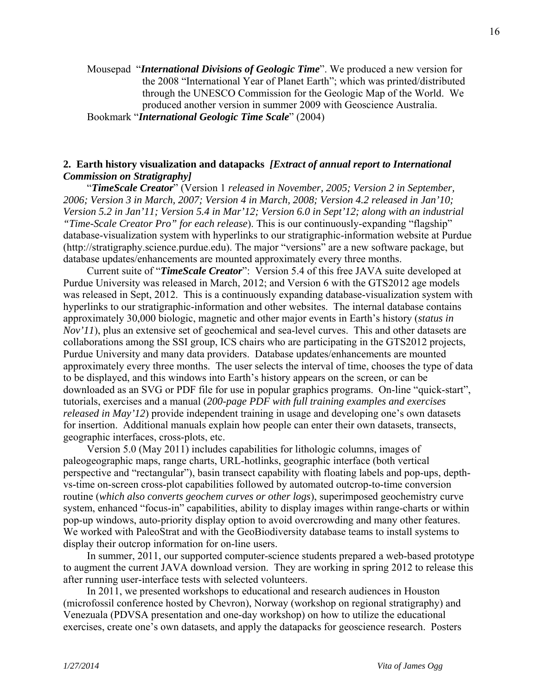Mousepad "*International Divisions of Geologic Time*". We produced a new version for the 2008 "International Year of Planet Earth"; which was printed/distributed through the UNESCO Commission for the Geologic Map of the World. We produced another version in summer 2009 with Geoscience Australia. Bookmark "*International Geologic Time Scale*" (2004)

## **2. Earth history visualization and datapacks** *[Extract of annual report to International Commission on Stratigraphy]*

 "*TimeScale Creator*" (Version 1 *released in November, 2005; Version 2 in September, 2006; Version 3 in March, 2007; Version 4 in March, 2008; Version 4.2 released in Jan'10; Version 5.2 in Jan'11; Version 5.4 in Mar'12; Version 6.0 in Sept'12; along with an industrial "Time-Scale Creator Pro" for each release*). This is our continuously-expanding "flagship" database-visualization system with hyperlinks to our stratigraphic-information website at Purdue (http://stratigraphy.science.purdue.edu). The major "versions" are a new software package, but database updates/enhancements are mounted approximately every three months.

 Current suite of "*TimeScale Creator*": Version 5.4 of this free JAVA suite developed at Purdue University was released in March, 2012; and Version 6 with the GTS2012 age models was released in Sept, 2012. This is a continuously expanding database-visualization system with hyperlinks to our stratigraphic-information and other websites. The internal database contains approximately 30,000 biologic, magnetic and other major events in Earth's history (*status in Nov'11*), plus an extensive set of geochemical and sea-level curves. This and other datasets are collaborations among the SSI group, ICS chairs who are participating in the GTS2012 projects, Purdue University and many data providers. Database updates/enhancements are mounted approximately every three months. The user selects the interval of time, chooses the type of data to be displayed, and this windows into Earth's history appears on the screen, or can be downloaded as an SVG or PDF file for use in popular graphics programs. On-line "quick-start", tutorials, exercises and a manual (*200-page PDF with full training examples and exercises released in May'12*) provide independent training in usage and developing one's own datasets for insertion. Additional manuals explain how people can enter their own datasets, transects, geographic interfaces, cross-plots, etc.

 Version 5.0 (May 2011) includes capabilities for lithologic columns, images of paleogeographic maps, range charts, URL-hotlinks, geographic interface (both vertical perspective and "rectangular"), basin transect capability with floating labels and pop-ups, depthvs-time on-screen cross-plot capabilities followed by automated outcrop-to-time conversion routine (*which also converts geochem curves or other logs*), superimposed geochemistry curve system, enhanced "focus-in" capabilities, ability to display images within range-charts or within pop-up windows, auto-priority display option to avoid overcrowding and many other features. We worked with PaleoStrat and with the GeoBiodiversity database teams to install systems to display their outcrop information for on-line users.

 In summer, 2011, our supported computer-science students prepared a web-based prototype to augment the current JAVA download version. They are working in spring 2012 to release this after running user-interface tests with selected volunteers.

 In 2011, we presented workshops to educational and research audiences in Houston (microfossil conference hosted by Chevron), Norway (workshop on regional stratigraphy) and Venezuala (PDVSA presentation and one-day workshop) on how to utilize the educational exercises, create one's own datasets, and apply the datapacks for geoscience research. Posters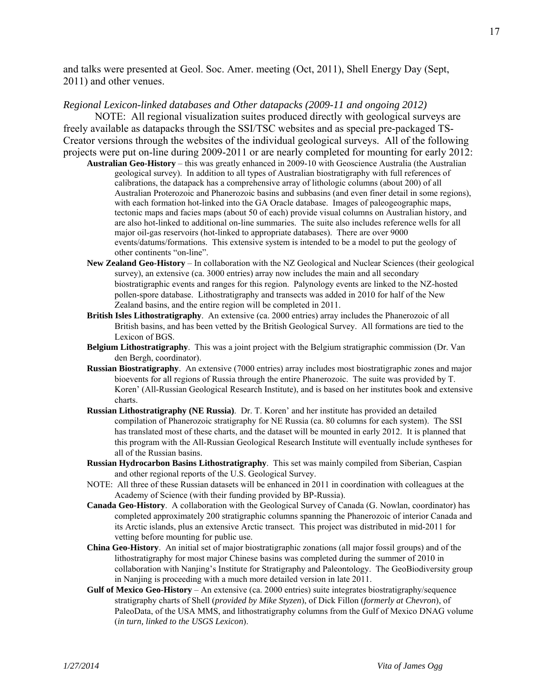and talks were presented at Geol. Soc. Amer. meeting (Oct, 2011), Shell Energy Day (Sept, 2011) and other venues.

#### *Regional Lexicon-linked databases and Other datapacks (2009-11 and ongoing 2012)*

 NOTE: All regional visualization suites produced directly with geological surveys are freely available as datapacks through the SSI/TSC websites and as special pre-packaged TS-Creator versions through the websites of the individual geological surveys. All of the following projects were put on-line during 2009-2011 or are nearly completed for mounting for early 2012:

- **Australian Geo-History** this was greatly enhanced in 2009-10 with Geoscience Australia (the Australian geological survey). In addition to all types of Australian biostratigraphy with full references of calibrations, the datapack has a comprehensive array of lithologic columns (about 200) of all Australian Proterozoic and Phanerozoic basins and subbasins (and even finer detail in some regions), with each formation hot-linked into the GA Oracle database. Images of paleogeographic maps, tectonic maps and facies maps (about 50 of each) provide visual columns on Australian history, and are also hot-linked to additional on-line summaries. The suite also includes reference wells for all major oil-gas reservoirs (hot-linked to appropriate databases). There are over 9000 events/datums/formations. This extensive system is intended to be a model to put the geology of other continents "on-line".
- **New Zealand Geo-History**  In collaboration with the NZ Geological and Nuclear Sciences (their geological survey), an extensive (ca. 3000 entries) array now includes the main and all secondary biostratigraphic events and ranges for this region. Palynology events are linked to the NZ-hosted pollen-spore database. Lithostratigraphy and transects was added in 2010 for half of the New Zealand basins, and the entire region will be completed in 2011.
- **British Isles Lithostratigraphy**. An extensive (ca. 2000 entries) array includes the Phanerozoic of all British basins, and has been vetted by the British Geological Survey. All formations are tied to the Lexicon of BGS.
- **Belgium Lithostratigraphy**. This was a joint project with the Belgium stratigraphic commission (Dr. Van den Bergh, coordinator).
- **Russian Biostratigraphy**. An extensive (7000 entries) array includes most biostratigraphic zones and major bioevents for all regions of Russia through the entire Phanerozoic. The suite was provided by T. Koren' (All-Russian Geological Research Institute), and is based on her institutes book and extensive charts.
- **Russian Lithostratigraphy (NE Russia)**. Dr. T. Koren' and her institute has provided an detailed compilation of Phanerozoic stratigraphy for NE Russia (ca. 80 columns for each system). The SSI has translated most of these charts, and the dataset will be mounted in early 2012. It is planned that this program with the All-Russian Geological Research Institute will eventually include syntheses for all of the Russian basins.
- **Russian Hydrocarbon Basins Lithostratigraphy**. This set was mainly compiled from Siberian, Caspian and other regional reports of the U.S. Geological Survey.
- NOTE: All three of these Russian datasets will be enhanced in 2011 in coordination with colleagues at the Academy of Science (with their funding provided by BP-Russia).
- **Canada Geo-History**. A collaboration with the Geological Survey of Canada (G. Nowlan, coordinator) has completed approximately 200 stratigraphic columns spanning the Phanerozoic of interior Canada and its Arctic islands, plus an extensive Arctic transect. This project was distributed in mid-2011 for vetting before mounting for public use.
- **China Geo-History**. An initial set of major biostratigraphic zonations (all major fossil groups) and of the lithostratigraphy for most major Chinese basins was completed during the summer of 2010 in collaboration with Nanjing's Institute for Stratigraphy and Paleontology. The GeoBiodiversity group in Nanjing is proceeding with a much more detailed version in late 2011.
- Gulf of Mexico Geo-History An extensive (ca. 2000 entries) suite integrates biostratigraphy/sequence stratigraphy charts of Shell (*provided by Mike Styzen*), of Dick Fillon (*formerly at Chevron*), of PaleoData, of the USA MMS, and lithostratigraphy columns from the Gulf of Mexico DNAG volume (*in turn, linked to the USGS Lexicon*).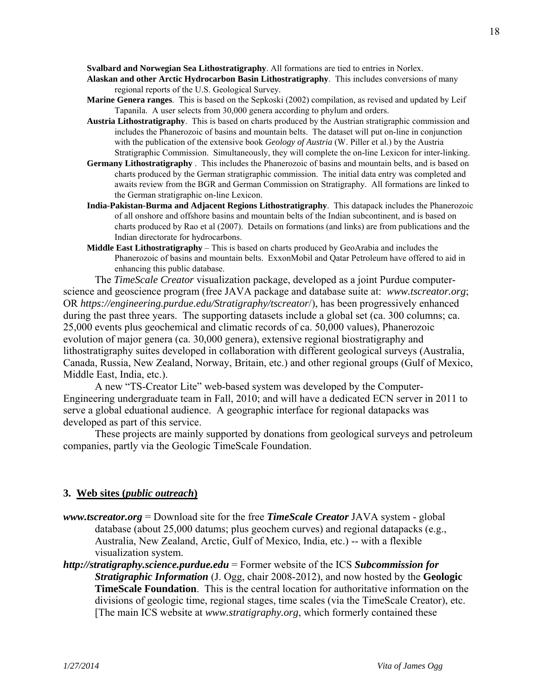**Svalbard and Norwegian Sea Lithostratigraphy**. All formations are tied to entries in Norlex.

- **Alaskan and other Arctic Hydrocarbon Basin Lithostratigraphy**. This includes conversions of many regional reports of the U.S. Geological Survey.
- **Marine Genera ranges**. This is based on the Sepkoski (2002) compilation, as revised and updated by Leif Tapanila. A user selects from 30,000 genera according to phylum and orders.
- **Austria Lithostratigraphy**. This is based on charts produced by the Austrian stratigraphic commission and includes the Phanerozoic of basins and mountain belts. The dataset will put on-line in conjunction with the publication of the extensive book *Geology of Austria* (W. Piller et al.) by the Austria Stratigraphic Commission. Simultaneously, they will complete the on-line Lexicon for inter-linking.
- **Germany Lithostratigraphy** . This includes the Phanerozoic of basins and mountain belts, and is based on charts produced by the German stratigraphic commission. The initial data entry was completed and awaits review from the BGR and German Commission on Stratigraphy. All formations are linked to the German stratigraphic on-line Lexicon.
- **India-Pakistan-Burma and Adjacent Regions Lithostratigraphy**. This datapack includes the Phanerozoic of all onshore and offshore basins and mountain belts of the Indian subcontinent, and is based on charts produced by Rao et al (2007). Details on formations (and links) are from publications and the Indian directorate for hydrocarbons.
- **Middle East Lithostratigraphy** This is based on charts produced by GeoArabia and includes the Phanerozoic of basins and mountain belts. ExxonMobil and Qatar Petroleum have offered to aid in enhancing this public database.

 The *TimeScale Creator* visualization package, developed as a joint Purdue computerscience and geoscience program (free JAVA package and database suite at: *www.tscreator.org*; OR *https://engineering.purdue.edu/Stratigraphy/tscreator*/), has been progressively enhanced during the past three years. The supporting datasets include a global set (ca. 300 columns; ca. 25,000 events plus geochemical and climatic records of ca. 50,000 values), Phanerozoic evolution of major genera (ca. 30,000 genera), extensive regional biostratigraphy and lithostratigraphy suites developed in collaboration with different geological surveys (Australia, Canada, Russia, New Zealand, Norway, Britain, etc.) and other regional groups (Gulf of Mexico, Middle East, India, etc.).

 A new "TS-Creator Lite" web-based system was developed by the Computer-Engineering undergraduate team in Fall, 2010; and will have a dedicated ECN server in 2011 to serve a global eduational audience. A geographic interface for regional datapacks was developed as part of this service.

 These projects are mainly supported by donations from geological surveys and petroleum companies, partly via the Geologic TimeScale Foundation.

#### **3. Web sites (***public outreach***)**

- *www.tscreator.org* = Download site for the free *TimeScale Creator* JAVA system global database (about 25,000 datums; plus geochem curves) and regional datapacks (e.g., Australia, New Zealand, Arctic, Gulf of Mexico, India, etc.) -- with a flexible visualization system.
- *http://stratigraphy.science.purdue.edu* = Former website of the ICS *Subcommission for Stratigraphic Information* (J. Ogg, chair 2008-2012), and now hosted by the **Geologic TimeScale Foundation**. This is the central location for authoritative information on the divisions of geologic time, regional stages, time scales (via the TimeScale Creator), etc. [The main ICS website at *www.stratigraphy.org*, which formerly contained these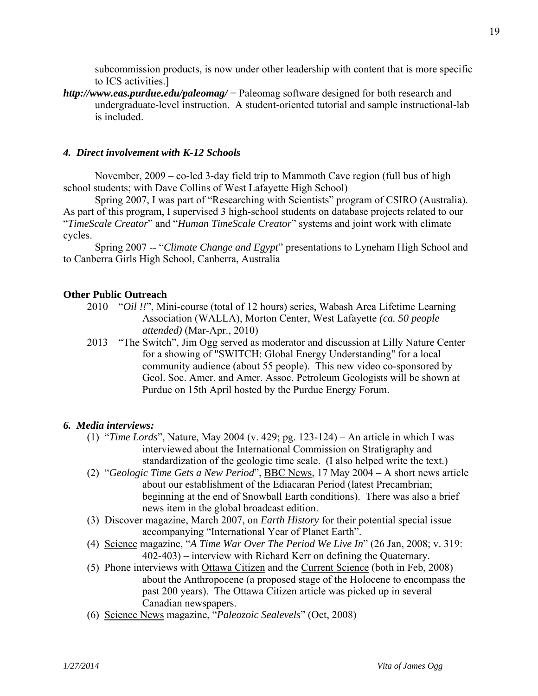subcommission products, is now under other leadership with content that is more specific to ICS activities.]

*http://www.eas.purdue.edu/paleomag/* = Paleomag software designed for both research and undergraduate-level instruction. A student-oriented tutorial and sample instructional-lab is included.

#### *4. Direct involvement with K-12 Schools*

 November, 2009 – co-led 3-day field trip to Mammoth Cave region (full bus of high school students; with Dave Collins of West Lafayette High School)

 Spring 2007, I was part of "Researching with Scientists" program of CSIRO (Australia). As part of this program, I supervised 3 high-school students on database projects related to our "*TimeScale Creator*" and "*Human TimeScale Creator*" systems and joint work with climate cycles.

 Spring 2007 -- "*Climate Change and Egypt*" presentations to Lyneham High School and to Canberra Girls High School, Canberra, Australia

#### **Other Public Outreach**

- 2010 "*Oil !!*", Mini-course (total of 12 hours) series, Wabash Area Lifetime Learning Association (WALLA), Morton Center, West Lafayette *(ca. 50 people attended)* (Mar-Apr., 2010)
- 2013 "The Switch", Jim Ogg served as moderator and discussion at Lilly Nature Center for a showing of "SWITCH: Global Energy Understanding" for a local community audience (about 55 people). This new video co-sponsored by Geol. Soc. Amer. and Amer. Assoc. Petroleum Geologists will be shown at Purdue on 15th April hosted by the Purdue Energy Forum.

#### *6. Media interviews:*

- (1) "*Time Lords*", Nature, May 2004 (v. 429; pg. 123-124) An article in which I was interviewed about the International Commission on Stratigraphy and standardization of the geologic time scale. (I also helped write the text.)
- (2) "*Geologic Time Gets a New Period*", BBC News, 17 May 2004 A short news article about our establishment of the Ediacaran Period (latest Precambrian; beginning at the end of Snowball Earth conditions). There was also a brief news item in the global broadcast edition.
- (3) Discover magazine, March 2007, on *Earth History* for their potential special issue accompanying "International Year of Planet Earth".
- (4) Science magazine, "*A Time War Over The Period We Live In*" (26 Jan, 2008; v. 319: 402-403) – interview with Richard Kerr on defining the Quaternary.
- (5) Phone interviews with Ottawa Citizen and the Current Science (both in Feb, 2008) about the Anthropocene (a proposed stage of the Holocene to encompass the past 200 years). The Ottawa Citizen article was picked up in several Canadian newspapers.
- (6) Science News magazine, "*Paleozoic Sealevels*" (Oct, 2008)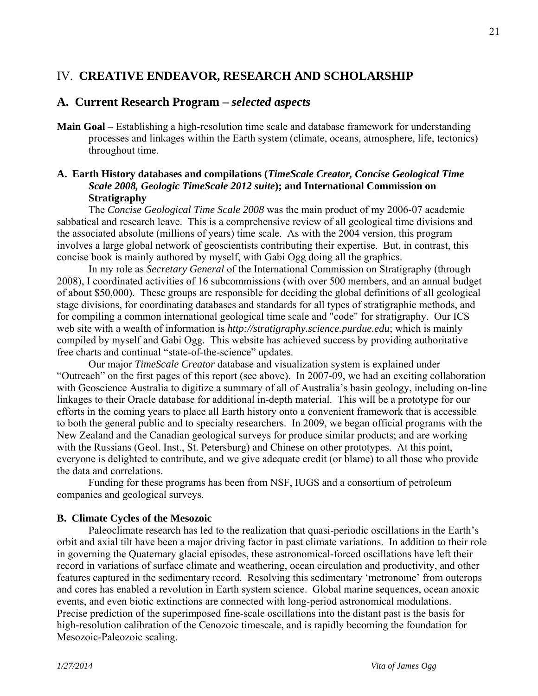## IV. **CREATIVE ENDEAVOR, RESEARCH AND SCHOLARSHIP**

## **A. Current Research Program –** *selected aspects*

**Main Goal** – Establishing a high-resolution time scale and database framework for understanding processes and linkages within the Earth system (climate, oceans, atmosphere, life, tectonics) throughout time.

## **A. Earth History databases and compilations (***TimeScale Creator, Concise Geological Time Scale 2008, Geologic TimeScale 2012 suite***); and International Commission on Stratigraphy**

 The *Concise Geological Time Scale 2008* was the main product of my 2006-07 academic sabbatical and research leave. This is a comprehensive review of all geological time divisions and the associated absolute (millions of years) time scale. As with the 2004 version, this program involves a large global network of geoscientists contributing their expertise. But, in contrast, this concise book is mainly authored by myself, with Gabi Ogg doing all the graphics.

 In my role as *Secretary General* of the International Commission on Stratigraphy (through 2008), I coordinated activities of 16 subcommissions (with over 500 members, and an annual budget of about \$50,000). These groups are responsible for deciding the global definitions of all geological stage divisions, for coordinating databases and standards for all types of stratigraphic methods, and for compiling a common international geological time scale and "code" for stratigraphy. Our ICS web site with a wealth of information is *http://stratigraphy.science.purdue.edu*; which is mainly compiled by myself and Gabi Ogg. This website has achieved success by providing authoritative free charts and continual "state-of-the-science" updates.

 Our major *TimeScale Creator* database and visualization system is explained under "Outreach" on the first pages of this report (see above). In 2007-09, we had an exciting collaboration with Geoscience Australia to digitize a summary of all of Australia's basin geology, including on-line linkages to their Oracle database for additional in-depth material. This will be a prototype for our efforts in the coming years to place all Earth history onto a convenient framework that is accessible to both the general public and to specialty researchers. In 2009, we began official programs with the New Zealand and the Canadian geological surveys for produce similar products; and are working with the Russians (Geol. Inst., St. Petersburg) and Chinese on other prototypes. At this point, everyone is delighted to contribute, and we give adequate credit (or blame) to all those who provide the data and correlations.

 Funding for these programs has been from NSF, IUGS and a consortium of petroleum companies and geological surveys.

## **B. Climate Cycles of the Mesozoic**

 Paleoclimate research has led to the realization that quasi-periodic oscillations in the Earth's orbit and axial tilt have been a major driving factor in past climate variations. In addition to their role in governing the Quaternary glacial episodes, these astronomical-forced oscillations have left their record in variations of surface climate and weathering, ocean circulation and productivity, and other features captured in the sedimentary record. Resolving this sedimentary 'metronome' from outcrops and cores has enabled a revolution in Earth system science. Global marine sequences, ocean anoxic events, and even biotic extinctions are connected with long-period astronomical modulations. Precise prediction of the superimposed fine-scale oscillations into the distant past is the basis for high-resolution calibration of the Cenozoic timescale, and is rapidly becoming the foundation for Mesozoic-Paleozoic scaling.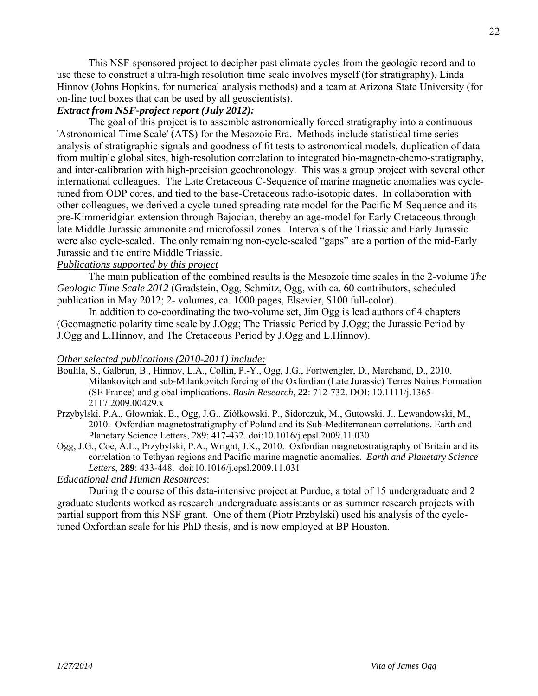This NSF-sponsored project to decipher past climate cycles from the geologic record and to use these to construct a ultra-high resolution time scale involves myself (for stratigraphy), Linda Hinnov (Johns Hopkins, for numerical analysis methods) and a team at Arizona State University (for on-line tool boxes that can be used by all geoscientists).

#### *Extract from NSF-project report (July 2012):*

 The goal of this project is to assemble astronomically forced stratigraphy into a continuous 'Astronomical Time Scale' (ATS) for the Mesozoic Era. Methods include statistical time series analysis of stratigraphic signals and goodness of fit tests to astronomical models, duplication of data from multiple global sites, high-resolution correlation to integrated bio-magneto-chemo-stratigraphy, and inter-calibration with high-precision geochronology. This was a group project with several other international colleagues. The Late Cretaceous C-Sequence of marine magnetic anomalies was cycletuned from ODP cores, and tied to the base-Cretaceous radio-isotopic dates. In collaboration with other colleagues, we derived a cycle-tuned spreading rate model for the Pacific M-Sequence and its pre-Kimmeridgian extension through Bajocian, thereby an age-model for Early Cretaceous through late Middle Jurassic ammonite and microfossil zones. Intervals of the Triassic and Early Jurassic were also cycle-scaled. The only remaining non-cycle-scaled "gaps" are a portion of the mid-Early Jurassic and the entire Middle Triassic.

## *Publications supported by this project*

 The main publication of the combined results is the Mesozoic time scales in the 2-volume *The Geologic Time Scale 2012* (Gradstein, Ogg, Schmitz, Ogg, with ca. 60 contributors, scheduled publication in May 2012; 2- volumes, ca. 1000 pages, Elsevier, \$100 full-color).

 In addition to co-coordinating the two-volume set, Jim Ogg is lead authors of 4 chapters (Geomagnetic polarity time scale by J.Ogg; The Triassic Period by J.Ogg; the Jurassic Period by J.Ogg and L.Hinnov, and The Cretaceous Period by J.Ogg and L.Hinnov).

## *Other selected publications (2010-2011) include:*

- Boulila, S., Galbrun, B., Hinnov, L.A., Collin, P.-Y., Ogg, J.G., Fortwengler, D., Marchand, D., 2010. Milankovitch and sub-Milankovitch forcing of the Oxfordian (Late Jurassic) Terres Noires Formation (SE France) and global implications. *Basin Research*, **22**: 712-732. DOI: 10.1111/j.1365- 2117.2009.00429.x
- Przybylski, P.A., Głowniak, E., Ogg, J.G., Ziółkowski, P., Sidorczuk, M., Gutowski, J., Lewandowski, M., 2010. Oxfordian magnetostratigraphy of Poland and its Sub-Mediterranean correlations. Earth and Planetary Science Letters, 289: 417-432. doi:10.1016/j.epsl.2009.11.030
- Ogg, J.G., Coe, A.L., Przybylski, P.A., Wright, J.K., 2010. Oxfordian magnetostratigraphy of Britain and its correlation to Tethyan regions and Pacific marine magnetic anomalies. *Earth and Planetary Science Letters*, **289**: 433-448. doi:10.1016/j.epsl.2009.11.031

## *Educational and Human Resources*:

 During the course of this data-intensive project at Purdue, a total of 15 undergraduate and 2 graduate students worked as research undergraduate assistants or as summer research projects with partial support from this NSF grant. One of them (Piotr Przbylski) used his analysis of the cycletuned Oxfordian scale for his PhD thesis, and is now employed at BP Houston.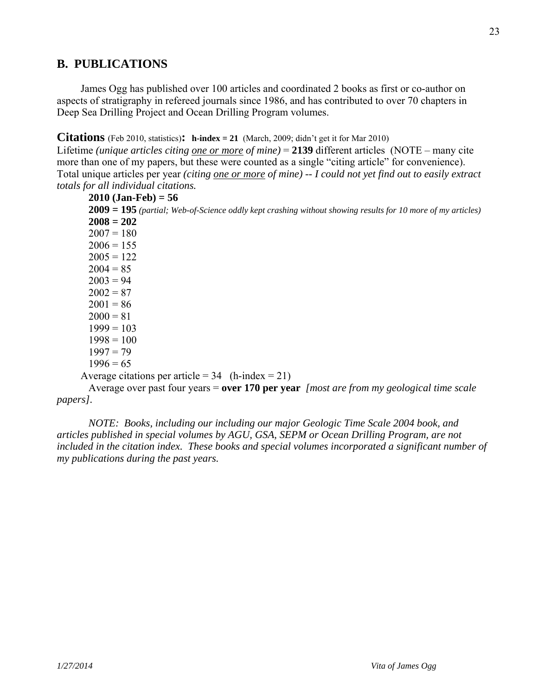## **B. PUBLICATIONS**

 James Ogg has published over 100 articles and coordinated 2 books as first or co-author on aspects of stratigraphy in refereed journals since 1986, and has contributed to over 70 chapters in Deep Sea Drilling Project and Ocean Drilling Program volumes.

**Citations** (Feb 2010, statistics): **h-index** = 21 (March, 2009; didn't get it for Mar 2010)

Lifetime *(unique articles citing one or more of mine)* = 2139 different articles (NOTE – many cite more than one of my papers, but these were counted as a single "citing article" for convenience). Total unique articles per year *(citing one or more of mine) -- I could not yet find out to easily extract totals for all individual citations.* 

```
 2010 (Jan-Feb) = 56 
 2009 = 195 (partial; Web-of-Science oddly kept crashing without showing results for 10 more of my articles)
 2008 = 202 
2007 = 1802006 = 1552005 = 1222004 = 852003 = 942002 = 872001 = 862000 = 811999 = 1031998 = 1001997 = 791996 = 65
```
Average citations per article =  $34$  (h-index =  $21$ )

Average over past four years = **over 170 per year** *[most are from my geological time scale papers].* 

 *NOTE: Books, including our including our major Geologic Time Scale 2004 book, and articles published in special volumes by AGU, GSA, SEPM or Ocean Drilling Program, are not included in the citation index. These books and special volumes incorporated a significant number of my publications during the past years.*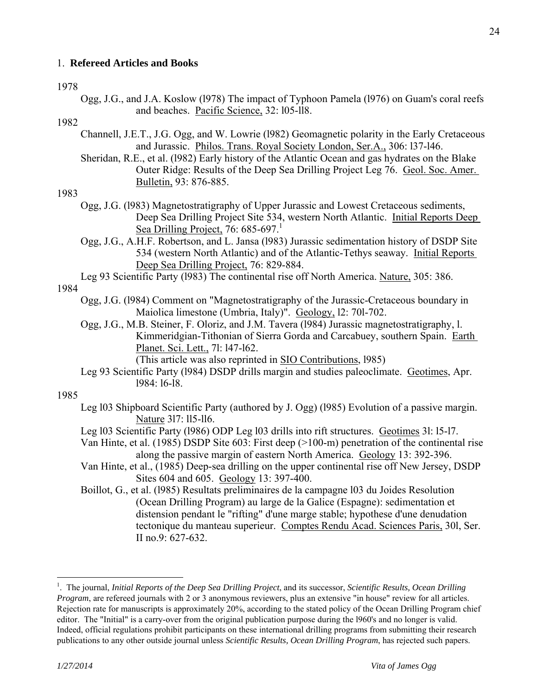## 1. **Refereed Articles and Books**

#### 1978

 Ogg, J.G., and J.A. Koslow (l978) The impact of Typhoon Pamela (l976) on Guam's coral reefs and beaches. Pacific Science, 32: l05-ll8.

## 1982

- Channell, J.E.T., J.G. Ogg, and W. Lowrie (l982) Geomagnetic polarity in the Early Cretaceous and Jurassic. Philos. Trans. Royal Society London, Ser.A., 306: l37-l46.
- Sheridan, R.E., et al. (l982) Early history of the Atlantic Ocean and gas hydrates on the Blake Outer Ridge: Results of the Deep Sea Drilling Project Leg 76. Geol. Soc. Amer. Bulletin, 93: 876-885.

## 1983

- Ogg, J.G. (l983) Magnetostratigraphy of Upper Jurassic and Lowest Cretaceous sediments, Deep Sea Drilling Project Site 534, western North Atlantic. Initial Reports Deep Sea Drilling Project, 76:  $685-697$ <sup>1</sup>
- Ogg, J.G., A.H.F. Robertson, and L. Jansa (l983) Jurassic sedimentation history of DSDP Site 534 (western North Atlantic) and of the Atlantic-Tethys seaway. Initial Reports Deep Sea Drilling Project, 76: 829-884.

 Leg 93 Scientific Party (l983) The continental rise off North America. Nature, 305: 386. 1984

- Ogg, J.G. (l984) Comment on "Magnetostratigraphy of the Jurassic-Cretaceous boundary in Maiolica limestone (Umbria, Italy)". Geology, l2: 70l-702.
- Ogg, J.G., M.B. Steiner, F. Oloriz, and J.M. Tavera (l984) Jurassic magnetostratigraphy, l. Kimmeridgian-Tithonian of Sierra Gorda and Carcabuey, southern Spain. Earth Planet. Sci. Lett., 7l: l47-l62.

(This article was also reprinted in SIO Contributions, l985)

 Leg 93 Scientific Party (l984) DSDP drills margin and studies paleoclimate. Geotimes, Apr. l984: l6-l8.

#### 1985

- Leg l03 Shipboard Scientific Party (authored by J. Ogg) (l985) Evolution of a passive margin. Nature 3l7: ll5-ll6.
- Leg l03 Scientific Party (l986) ODP Leg l03 drills into rift structures. Geotimes 3l: l5-l7.
- Van Hinte, et al. (1985) DSDP Site 603: First deep (>100-m) penetration of the continental rise along the passive margin of eastern North America. Geology 13: 392-396.
- Van Hinte, et al., (1985) Deep-sea drilling on the upper continental rise off New Jersey, DSDP Sites 604 and 605. Geology 13: 397-400.
- Boillot, G., et al. (l985) Resultats preliminaires de la campagne l03 du Joides Resolution (Ocean Drilling Program) au large de la Galice (Espagne): sedimentation et distension pendant le "rifting" d'une marge stable; hypothese d'une denudation tectonique du manteau superieur. Comptes Rendu Acad. Sciences Paris, 30l, Ser. II no.9: 627-632.

 $\overline{a}$ 

<sup>1</sup> . The journal, *Initial Reports of the Deep Sea Drilling Project*, and its successor, *Scientific Results, Ocean Drilling Program*, are refereed journals with 2 or 3 anonymous reviewers, plus an extensive "in house" review for all articles. Rejection rate for manuscripts is approximately 20%, according to the stated policy of the Ocean Drilling Program chief editor. The "Initial" is a carry-over from the original publication purpose during the l960's and no longer is valid. Indeed, official regulations prohibit participants on these international drilling programs from submitting their research publications to any other outside journal unless *Scientific Results, Ocean Drilling Program*, has rejected such papers.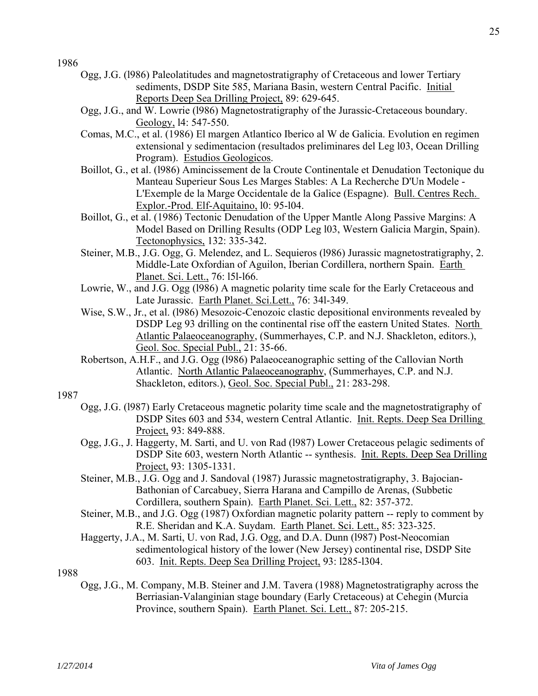- Ogg, J.G. (l986) Paleolatitudes and magnetostratigraphy of Cretaceous and lower Tertiary sediments, DSDP Site 585, Mariana Basin, western Central Pacific. Initial Reports Deep Sea Drilling Project, 89: 629-645.
- Ogg, J.G., and W. Lowrie (l986) Magnetostratigraphy of the Jurassic-Cretaceous boundary. Geology, l4: 547-550.
- Comas, M.C., et al. (1986) El margen Atlantico Iberico al W de Galicia. Evolution en regimen extensional y sedimentacion (resultados preliminares del Leg l03, Ocean Drilling Program). Estudios Geologicos.
- Boillot, G., et al. (l986) Amincissement de la Croute Continentale et Denudation Tectonique du Manteau Superieur Sous Les Marges Stables: A La Recherche D'Un Modele - L'Exemple de la Marge Occidentale de la Galice (Espagne). Bull. Centres Rech. Explor.-Prod. Elf-Aquitaino, l0: 95-l04.
- Boillot, G., et al. (1986) Tectonic Denudation of the Upper Mantle Along Passive Margins: A Model Based on Drilling Results (ODP Leg l03, Western Galicia Margin, Spain). Tectonophysics, 132: 335-342.
- Steiner, M.B., J.G. Ogg, G. Melendez, and L. Sequieros (l986) Jurassic magnetostratigraphy, 2. Middle-Late Oxfordian of Aguilon, Iberian Cordillera, northern Spain. Earth Planet. Sci. Lett., 76: l5l-l66.
- Lowrie, W., and J.G. Ogg (l986) A magnetic polarity time scale for the Early Cretaceous and Late Jurassic. Earth Planet. Sci.Lett., 76: 34l-349.
- Wise, S.W., Jr., et al. (l986) Mesozoic-Cenozoic clastic depositional environments revealed by DSDP Leg 93 drilling on the continental rise off the eastern United States. North Atlantic Palaeoceanography, (Summerhayes, C.P. and N.J. Shackleton, editors.), Geol. Soc. Special Publ., 21: 35-66.
- Robertson, A.H.F., and J.G. Ogg (l986) Palaeoceanographic setting of the Callovian North Atlantic. North Atlantic Palaeoceanography, (Summerhayes, C.P. and N.J. Shackleton, editors.), Geol. Soc. Special Publ., 21: 283-298.

#### 1987

- Ogg, J.G. (l987) Early Cretaceous magnetic polarity time scale and the magnetostratigraphy of DSDP Sites 603 and 534, western Central Atlantic. Init. Repts. Deep Sea Drilling Project, 93: 849-888.
- Ogg, J.G., J. Haggerty, M. Sarti, and U. von Rad (l987) Lower Cretaceous pelagic sediments of DSDP Site 603, western North Atlantic -- synthesis. Init. Repts. Deep Sea Drilling Project, 93: 1305-1331.
- Steiner, M.B., J.G. Ogg and J. Sandoval (1987) Jurassic magnetostratigraphy, 3. Bajocian-Bathonian of Carcabuey, Sierra Harana and Campillo de Arenas, (Subbetic Cordillera, southern Spain). Earth Planet. Sci. Lett., 82: 357-372.
- Steiner, M.B., and J.G. Ogg (1987) Oxfordian magnetic polarity pattern -- reply to comment by R.E. Sheridan and K.A. Suydam. Earth Planet. Sci. Lett., 85: 323-325.
- Haggerty, J.A., M. Sarti, U. von Rad, J.G. Ogg, and D.A. Dunn (l987) Post-Neocomian sedimentological history of the lower (New Jersey) continental rise, DSDP Site 603. Init. Repts. Deep Sea Drilling Project, 93: l285-l304.

1988

 Ogg, J.G., M. Company, M.B. Steiner and J.M. Tavera (1988) Magnetostratigraphy across the Berriasian-Valanginian stage boundary (Early Cretaceous) at Cehegin (Murcia Province, southern Spain). Earth Planet. Sci. Lett., 87: 205-215.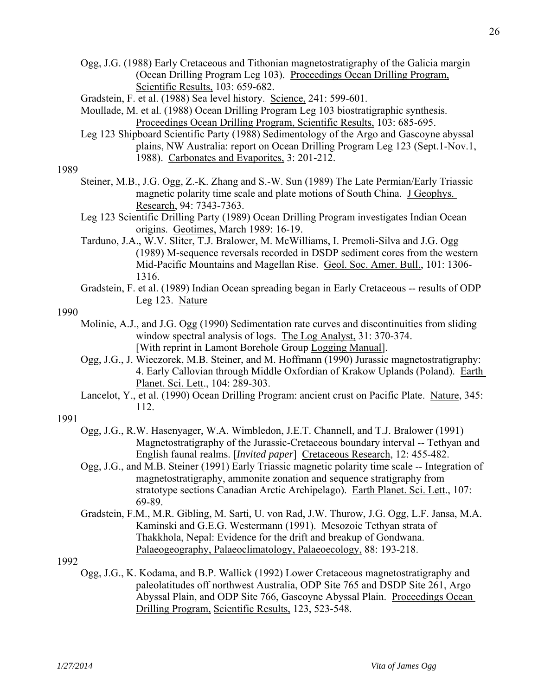- Gradstein, F. et al. (1988) Sea level history. Science, 241: 599-601.
- Moullade, M. et al. (1988) Ocean Drilling Program Leg 103 biostratigraphic synthesis. Proceedings Ocean Drilling Program, Scientific Results, 103: 685-695.
- Leg 123 Shipboard Scientific Party (1988) Sedimentology of the Argo and Gascoyne abyssal plains, NW Australia: report on Ocean Drilling Program Leg 123 (Sept.1-Nov.1, 1988). Carbonates and Evaporites, 3: 201-212.

- Steiner, M.B., J.G. Ogg, Z.-K. Zhang and S.-W. Sun (1989) The Late Permian/Early Triassic magnetic polarity time scale and plate motions of South China. J Geophys. Research, 94: 7343-7363.
- Leg 123 Scientific Drilling Party (1989) Ocean Drilling Program investigates Indian Ocean origins. Geotimes, March 1989: 16-19.
- Tarduno, J.A., W.V. Sliter, T.J. Bralower, M. McWilliams, I. Premoli-Silva and J.G. Ogg (1989) M-sequence reversals recorded in DSDP sediment cores from the western Mid-Pacific Mountains and Magellan Rise. Geol. Soc. Amer. Bull., 101: 1306- 1316.
- Gradstein, F. et al. (1989) Indian Ocean spreading began in Early Cretaceous -- results of ODP Leg 123. Nature

## 1990

- Molinie, A.J., and J.G. Ogg (1990) Sedimentation rate curves and discontinuities from sliding window spectral analysis of logs. The Log Analyst, 31: 370-374. [With reprint in Lamont Borehole Group Logging Manual].
- Ogg, J.G., J. Wieczorek, M.B. Steiner, and M. Hoffmann (1990) Jurassic magnetostratigraphy: 4. Early Callovian through Middle Oxfordian of Krakow Uplands (Poland). Earth Planet. Sci. Lett., 104: 289-303.
- Lancelot, Y., et al. (1990) Ocean Drilling Program: ancient crust on Pacific Plate. Nature, 345: 112.

## 1991

- Ogg, J.G., R.W. Hasenyager, W.A. Wimbledon, J.E.T. Channell, and T.J. Bralower (1991) Magnetostratigraphy of the Jurassic-Cretaceous boundary interval -- Tethyan and English faunal realms. [*Invited paper*] Cretaceous Research, 12: 455-482.
- Ogg, J.G., and M.B. Steiner (1991) Early Triassic magnetic polarity time scale -- Integration of magnetostratigraphy, ammonite zonation and sequence stratigraphy from stratotype sections Canadian Arctic Archipelago). Earth Planet. Sci. Lett., 107: 69-89.
- Gradstein, F.M., M.R. Gibling, M. Sarti, U. von Rad, J.W. Thurow, J.G. Ogg, L.F. Jansa, M.A. Kaminski and G.E.G. Westermann (1991). Mesozoic Tethyan strata of Thakkhola, Nepal: Evidence for the drift and breakup of Gondwana. Palaeogeography, Palaeoclimatology, Palaeoecology, 88: 193-218.

## 1992

 Ogg, J.G., K. Kodama, and B.P. Wallick (1992) Lower Cretaceous magnetostratigraphy and paleolatitudes off northwest Australia, ODP Site 765 and DSDP Site 261, Argo Abyssal Plain, and ODP Site 766, Gascoyne Abyssal Plain. Proceedings Ocean Drilling Program, Scientific Results, 123, 523-548.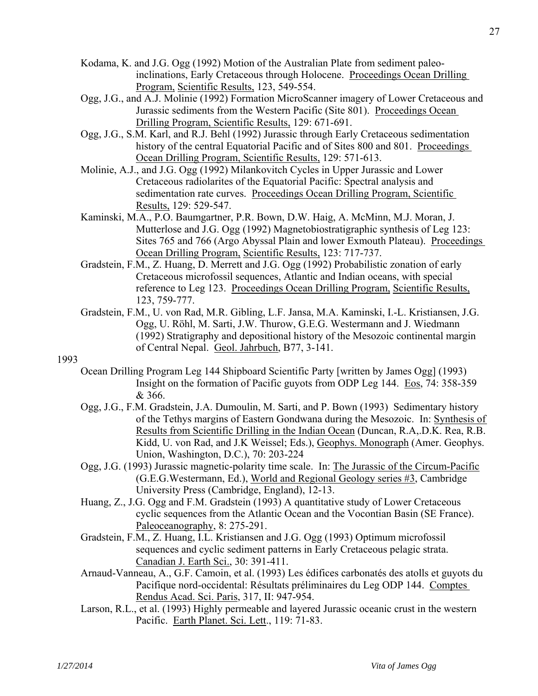- Kodama, K. and J.G. Ogg (1992) Motion of the Australian Plate from sediment paleoinclinations, Early Cretaceous through Holocene. Proceedings Ocean Drilling Program, Scientific Results, 123, 549-554.
- Ogg, J.G., and A.J. Molinie (1992) Formation MicroScanner imagery of Lower Cretaceous and Jurassic sediments from the Western Pacific (Site 801). Proceedings Ocean Drilling Program, Scientific Results, 129: 671-691.
- Ogg, J.G., S.M. Karl, and R.J. Behl (1992) Jurassic through Early Cretaceous sedimentation history of the central Equatorial Pacific and of Sites 800 and 801. Proceedings Ocean Drilling Program, Scientific Results, 129: 571-613.
- Molinie, A.J., and J.G. Ogg (1992) Milankovitch Cycles in Upper Jurassic and Lower Cretaceous radiolarites of the Equatorial Pacific: Spectral analysis and sedimentation rate curves. Proceedings Ocean Drilling Program, Scientific Results, 129: 529-547.
- Kaminski, M.A., P.O. Baumgartner, P.R. Bown, D.W. Haig, A. McMinn, M.J. Moran, J. Mutterlose and J.G. Ogg (1992) Magnetobiostratigraphic synthesis of Leg 123: Sites 765 and 766 (Argo Abyssal Plain and lower Exmouth Plateau). Proceedings Ocean Drilling Program, Scientific Results, 123: 717-737.
- Gradstein, F.M., Z. Huang, D. Merrett and J.G. Ogg (1992) Probabilistic zonation of early Cretaceous microfossil sequences, Atlantic and Indian oceans, with special reference to Leg 123. Proceedings Ocean Drilling Program, Scientific Results, 123, 759-777.
- Gradstein, F.M., U. von Rad, M.R. Gibling, L.F. Jansa, M.A. Kaminski, I.-L. Kristiansen, J.G. Ogg, U. Röhl, M. Sarti, J.W. Thurow, G.E.G. Westermann and J. Wiedmann (1992) Stratigraphy and depositional history of the Mesozoic continental margin of Central Nepal. Geol. Jahrbuch, B77, 3-141.

- Ocean Drilling Program Leg 144 Shipboard Scientific Party [written by James Ogg] (1993) Insight on the formation of Pacific guyots from ODP Leg 144. Eos, 74: 358-359 & 366.
- Ogg, J.G., F.M. Gradstein, J.A. Dumoulin, M. Sarti, and P. Bown (1993) Sedimentary history of the Tethys margins of Eastern Gondwana during the Mesozoic. In: Synthesis of Results from Scientific Drilling in the Indian Ocean (Duncan, R.A,.D.K. Rea, R.B. Kidd, U. von Rad, and J.K Weissel; Eds.), Geophys. Monograph (Amer. Geophys. Union, Washington, D.C.), 70: 203-224
- Ogg, J.G. (1993) Jurassic magnetic-polarity time scale. In: The Jurassic of the Circum-Pacific (G.E.G.Westermann, Ed.), World and Regional Geology series #3, Cambridge University Press (Cambridge, England), 12-13.
- Huang, Z., J.G. Ogg and F.M. Gradstein (1993) A quantitative study of Lower Cretaceous cyclic sequences from the Atlantic Ocean and the Vocontian Basin (SE France). Paleoceanography, 8: 275-291.
- Gradstein, F.M., Z. Huang, I.L. Kristiansen and J.G. Ogg (1993) Optimum microfossil sequences and cyclic sediment patterns in Early Cretaceous pelagic strata. Canadian J. Earth Sci., 30: 391-411.
- Arnaud-Vanneau, A., G.F. Camoin, et al. (1993) Les édifices carbonatés des atolls et guyots du Pacifique nord-occidental: Résultats préliminaires du Leg ODP 144. Comptes Rendus Acad. Sci. Paris, 317, II: 947-954.
- Larson, R.L., et al. (1993) Highly permeable and layered Jurassic oceanic crust in the western Pacific. Earth Planet. Sci. Lett., 119: 71-83.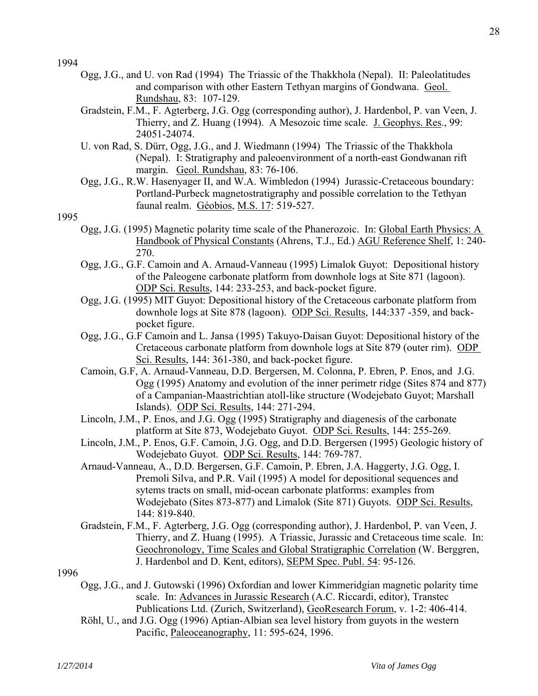- Ogg, J.G., and U. von Rad (1994) The Triassic of the Thakkhola (Nepal). II: Paleolatitudes and comparison with other Eastern Tethyan margins of Gondwana. Geol. Rundshau, 83: 107-129.
- Gradstein, F.M., F. Agterberg, J.G. Ogg (corresponding author), J. Hardenbol, P. van Veen, J. Thierry, and Z. Huang (1994). A Mesozoic time scale. J. Geophys. Res., 99: 24051-24074.
- U. von Rad, S. Dürr, Ogg, J.G., and J. Wiedmann (1994) The Triassic of the Thakkhola (Nepal). I: Stratigraphy and paleoenvironment of a north-east Gondwanan rift margin. Geol. Rundshau, 83: 76-106.
- Ogg, J.G., R.W. Hasenyager II, and W.A. Wimbledon (1994) Jurassic-Cretaceous boundary: Portland-Purbeck magnetostratigraphy and possible correlation to the Tethyan faunal realm. Géobios, M.S. 17: 519-527.

- Ogg, J.G. (1995) Magnetic polarity time scale of the Phanerozoic. In: Global Earth Physics: A Handbook of Physical Constants (Ahrens, T.J., Ed.) AGU Reference Shelf, 1: 240- 270.
- Ogg, J.G., G.F. Camoin and A. Arnaud-Vanneau (1995) Limalok Guyot: Depositional history of the Paleogene carbonate platform from downhole logs at Site 871 (lagoon). ODP Sci. Results, 144: 233-253, and back-pocket figure.
- Ogg, J.G. (1995) MIT Guyot: Depositional history of the Cretaceous carbonate platform from downhole logs at Site 878 (lagoon). ODP Sci. Results, 144:337 -359, and backpocket figure.
- Ogg, J.G., G.F Camoin and L. Jansa (1995) Takuyo-Daisan Guyot: Depositional history of the Cretaceous carbonate platform from downhole logs at Site 879 (outer rim). ODP Sci. Results, 144: 361-380, and back-pocket figure.
- Camoin, G.F, A. Arnaud-Vanneau, D.D. Bergersen, M. Colonna, P. Ebren, P. Enos, and J.G. Ogg (1995) Anatomy and evolution of the inner perimetr ridge (Sites 874 and 877) of a Campanian-Maastrichtian atoll-like structure (Wodejebato Guyot; Marshall Islands). ODP Sci. Results, 144: 271-294.
- Lincoln, J.M., P. Enos, and J.G. Ogg (1995) Stratigraphy and diagenesis of the carbonate platform at Site 873, Wodejebato Guyot. ODP Sci. Results, 144: 255-269.
- Lincoln, J.M., P. Enos, G.F. Camoin, J.G. Ogg, and D.D. Bergersen (1995) Geologic history of Wodejebato Guyot. ODP Sci. Results, 144: 769-787.
- Arnaud-Vanneau, A., D.D. Bergersen, G.F. Camoin, P. Ebren, J.A. Haggerty, J.G. Ogg, I. Premoli Silva, and P.R. Vail (1995) A model for depositional sequences and sytems tracts on small, mid-ocean carbonate platforms: examples from Wodejebato (Sites 873-877) and Limalok (Site 871) Guyots. ODP Sci. Results, 144: 819-840.
- Gradstein, F.M., F. Agterberg, J.G. Ogg (corresponding author), J. Hardenbol, P. van Veen, J. Thierry, and Z. Huang (1995). A Triassic, Jurassic and Cretaceous time scale. In: Geochronology, Time Scales and Global Stratigraphic Correlation (W. Berggren, J. Hardenbol and D. Kent, editors), SEPM Spec. Publ. 54: 95-126.
- 1996
	- Ogg, J.G., and J. Gutowski (1996) Oxfordian and lower Kimmeridgian magnetic polarity time scale. In: Advances in Jurassic Research (A.C. Riccardi, editor), Transtec Publications Ltd. (Zurich, Switzerland), GeoResearch Forum, v. 1-2: 406-414.
	- Röhl, U., and J.G. Ogg (1996) Aptian-Albian sea level history from guyots in the western Pacific, Paleoceanography, 11: 595-624, 1996.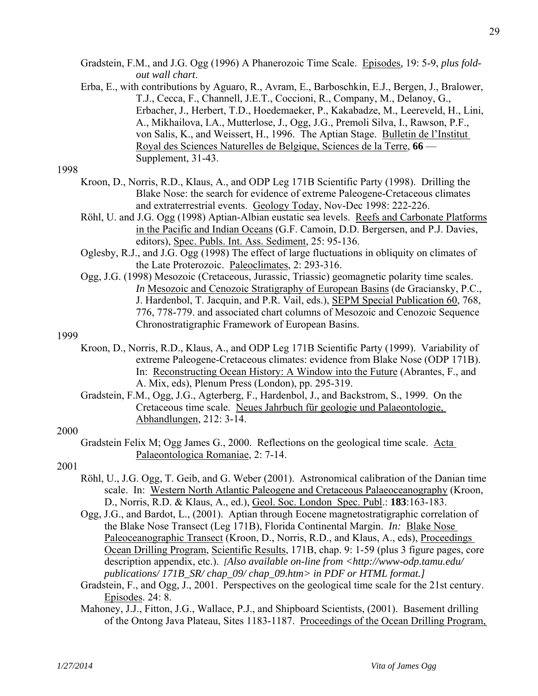- Gradstein, F.M., and J.G. Ogg (1996) A Phanerozoic Time Scale. Episodes*,* 19: 5-9, *plus foldout wall chart*.
- Erba, E., with contributions by Aguaro, R., Avram, E., Barboschkin, E.J., Bergen, J., Bralower, T.J., Cecca, F., Channell, J.E.T., Coccioni, R., Company, M., Delanoy, G., Erbacher, J., Herbert, T.D., Hoedemaeker, P., Kakabadze, M., Leereveld, H., Lini, A., Mikhailova, I.A., Mutterlose, J., Ogg, J.G., Premoli Silva, I., Rawson, P.F., von Salis, K., and Weissert, H., 1996. The Aptian Stage. Bulletin de l'Institut Royal des Sciences Naturelles de Belgique, Sciences de la Terre, **66** — Supplement, 31-43.

- Kroon, D., Norris, R.D., Klaus, A., and ODP Leg 171B Scientific Party (1998). Drilling the Blake Nose: the search for evidence of extreme Paleogene-Cretaceous climates and extraterrestrial events. Geology Today, Nov-Dec 1998: 222-226.
- Röhl, U. and J.G. Ogg (1998) Aptian-Albian eustatic sea levels. Reefs and Carbonate Platforms in the Pacific and Indian Oceans (G.F. Camoin, D.D. Bergersen, and P.J. Davies, editors), Spec. Publs. Int. Ass. Sediment, 25: 95-136.
- Oglesby, R.J., and J.G. Ogg (1998) The effect of large fluctuations in obliquity on climates of the Late Proterozoic. Paleoclimates, 2: 293-316.
- Ogg, J.G. (1998) Mesozoic (Cretaceous, Jurassic, Triassic) geomagnetic polarity time scales. *In* Mesozoic and Cenozoic Stratigraphy of European Basins (de Graciansky, P.C., J. Hardenbol, T. Jacquin, and P.R. Vail, eds.), SEPM Special Publication 60, 768, 776, 778-779. and associated chart columns of Mesozoic and Cenozoic Sequence Chronostratigraphic Framework of European Basins.

## 1999

- Kroon, D., Norris, R.D., Klaus, A., and ODP Leg 171B Scientific Party (1999). Variability of extreme Paleogene-Cretaceous climates: evidence from Blake Nose (ODP 171B). In: Reconstructing Ocean History: A Window into the Future (Abrantes, F., and A. Mix, eds), Plenum Press (London), pp. 295-319.
- Gradstein, F.M., Ogg, J.G., Agterberg, F., Hardenbol, J., and Backstrom, S., 1999. On the Cretaceous time scale. Neues Jahrbuch für geologie und Palaeontologie, Abhandlungen, 212: 3-14.

## 2000

 Gradstein Felix M; Ogg James G., 2000. Reflections on the geological time scale. Acta Palaeontologica Romaniae, 2: 7-14.

- Röhl, U., J.G. Ogg, T. Geib, and G. Weber (2001). Astronomical calibration of the Danian time scale. In: Western North Atlantic Paleogene and Cretaceous Palaeoceanography (Kroon, D., Norris, R.D. & Klaus, A., ed.), Geol. Soc. London Spec. Publ.: **183**:163-183.
- Ogg, J.G., and Bardot, L., (2001). Aptian through Eocene magnetostratigraphic correlation of the Blake Nose Transect (Leg 171B), Florida Continental Margin. *In:* Blake Nose Paleoceanographic Transect (Kroon, D., Norris, R.D., and Klaus, A., eds), Proceedings Ocean Drilling Program, Scientific Results, 171B, chap. 9: 1-59 (plus 3 figure pages, core description appendix, etc.). *[Also available on-line from <http://www-odp.tamu.edu/ publications/ 171B\_SR/ chap\_09/ chap\_09.htm> in PDF or HTML format.]*
- Gradstein, F., and Ogg, J., 2001. Perspectives on the geological time scale for the 21st century. Episodes. 24: 8.
- Mahoney, J.J., Fitton, J.G., Wallace, P.J., and Shipboard Scientists, (2001). Basement drilling of the Ontong Java Plateau, Sites 1183-1187. Proceedings of the Ocean Drilling Program,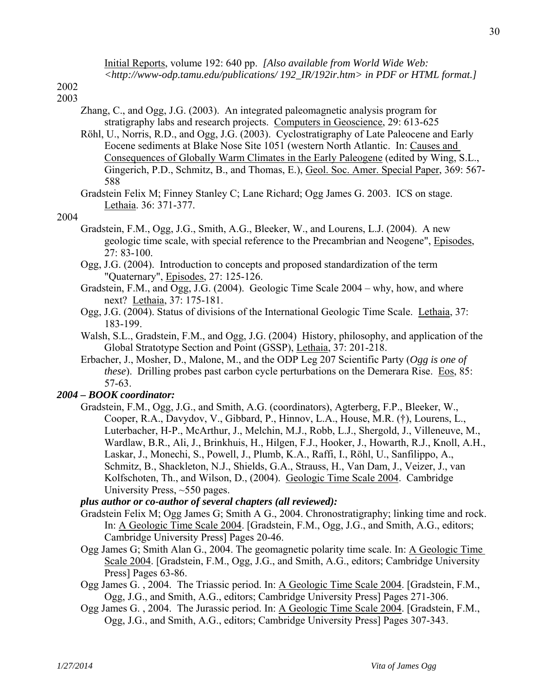Initial Reports, volume 192: 640 pp. *[Also available from World Wide Web: <http://www-odp.tamu.edu/publications/ 192\_IR/192ir.htm> in PDF or HTML format.]*

- 2002 2003
	- Zhang, C., and Ogg, J.G. (2003). An integrated paleomagnetic analysis program for stratigraphy labs and research projects. Computers in Geoscience, 29: 613-625
	- Röhl, U., Norris, R.D., and Ogg, J.G. (2003). Cyclostratigraphy of Late Paleocene and Early Eocene sediments at Blake Nose Site 1051 (western North Atlantic. In: Causes and Consequences of Globally Warm Climates in the Early Paleogene (edited by Wing, S.L., Gingerich, P.D., Schmitz, B., and Thomas, E.), Geol. Soc. Amer. Special Paper, 369: 567- 588
	- Gradstein Felix M; Finney Stanley C; Lane Richard; Ogg James G. 2003. ICS on stage. Lethaia. 36: 371-377.

## 2004

- Gradstein, F.M., Ogg, J.G., Smith, A.G., Bleeker, W., and Lourens, L.J. (2004). A new geologic time scale, with special reference to the Precambrian and Neogene", Episodes,  $27: 83 - 100$ .
- Ogg, J.G. (2004). Introduction to concepts and proposed standardization of the term "Quaternary", Episodes, 27: 125-126.
- Gradstein, F.M., and Ogg, J.G. (2004). Geologic Time Scale 2004 why, how, and where next? Lethaia, 37: 175-181.
- Ogg, J.G. (2004). Status of divisions of the International Geologic Time Scale. Lethaia, 37: 183-199.
- Walsh, S.L., Gradstein, F.M., and Ogg, J.G. (2004) History, philosophy, and application of the Global Stratotype Section and Point (GSSP), Lethaia, 37: 201-218.
- Erbacher, J., Mosher, D., Malone, M., and the ODP Leg 207 Scientific Party (*Ogg is one of these*). Drilling probes past carbon cycle perturbations on the Demerara Rise. Eos, 85: 57-63.

## *2004 – BOOK coordinator:*

 Gradstein, F.M., Ogg, J.G., and Smith, A.G. (coordinators), Agterberg, F.P., Bleeker, W., Cooper, R.A., Davydov, V., Gibbard, P., Hinnov, L.A., House, M.R. (†), Lourens, L., Luterbacher, H-P., McArthur, J., Melchin, M.J., Robb, L.J., Shergold, J., Villeneuve, M., Wardlaw, B.R., Ali, J., Brinkhuis, H., Hilgen, F.J., Hooker, J., Howarth, R.J., Knoll, A.H., Laskar, J., Monechi, S., Powell, J., Plumb, K.A., Raffi, I., Röhl, U., Sanfilippo, A., Schmitz, B., Shackleton, N.J., Shields, G.A., Strauss, H., Van Dam, J., Veizer, J., van Kolfschoten, Th., and Wilson, D., (2004). Geologic Time Scale 2004. Cambridge University Press, ~550 pages.

## *plus author or co-author of several chapters (all reviewed):*

- Gradstein Felix M; Ogg James G; Smith A G., 2004. Chronostratigraphy; linking time and rock. In: A Geologic Time Scale 2004. [Gradstein, F.M., Ogg, J.G., and Smith, A.G., editors; Cambridge University Press] Pages 20-46.
- Ogg James G; Smith Alan G., 2004. The geomagnetic polarity time scale. In: A Geologic Time Scale 2004. [Gradstein, F.M., Ogg, J.G., and Smith, A.G., editors; Cambridge University Press] Pages 63-86.
- Ogg James G. , 2004. The Triassic period. In: A Geologic Time Scale 2004. [Gradstein, F.M., Ogg, J.G., and Smith, A.G., editors; Cambridge University Press] Pages 271-306.
- Ogg James G. , 2004. The Jurassic period. In: A Geologic Time Scale 2004. [Gradstein, F.M., Ogg, J.G., and Smith, A.G., editors; Cambridge University Press] Pages 307-343.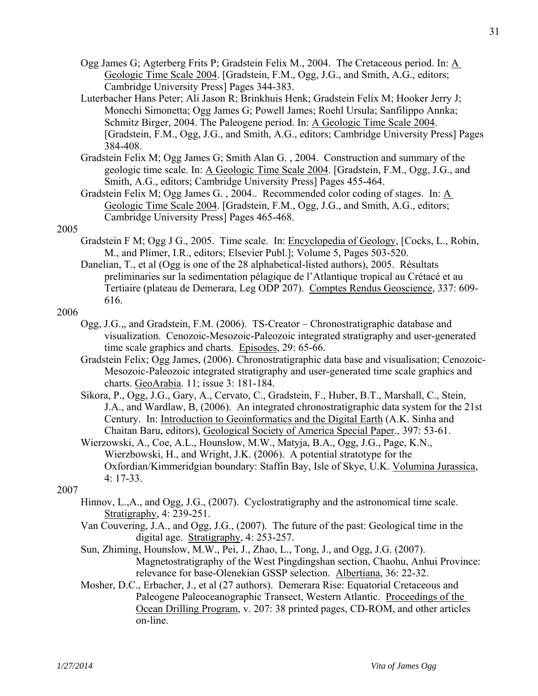- Ogg James G; Agterberg Frits P; Gradstein Felix M., 2004. The Cretaceous period. In: A Geologic Time Scale 2004. [Gradstein, F.M., Ogg, J.G., and Smith, A.G., editors; Cambridge University Press] Pages 344-383.
- Luterbacher Hans Peter; Ali Jason R; Brinkhuis Henk; Gradstein Felix M; Hooker Jerry J; Monechi Simonetta; Ogg James G; Powell James; Roehl Ursula; Sanfilippo Annka; Schmitz Birger, 2004. The Paleogene period. In: A Geologic Time Scale 2004. [Gradstein, F.M., Ogg, J.G., and Smith, A.G., editors; Cambridge University Press] Pages 384-408.
- Gradstein Felix M; Ogg James G; Smith Alan G. , 2004. Construction and summary of the geologic time scale. In: A Geologic Time Scale 2004. [Gradstein, F.M., Ogg, J.G., and Smith, A.G., editors; Cambridge University Press] Pages 455-464.
- Gradstein Felix M; Ogg James G. , 2004.. Recommended color coding of stages. In: A Geologic Time Scale 2004. [Gradstein, F.M., Ogg, J.G., and Smith, A.G., editors; Cambridge University Press] Pages 465-468.

- Gradstein F M; Ogg J G., 2005. Time scale. In: Encyclopedia of Geology, [Cocks, L., Robin, M., and Plimer, I.R., editors; Elsevier Publ.]; Volume 5, Pages 503-520.
- Danelian, T., et al (Ogg is one of the 28 alphabetical-listed authors), 2005. Résultats preliminaries sur la sedimentation pélagique de l'Atlantique tropical au Crétacé et au Tertiaire (plateau de Demerara, Leg ODP 207). Comptes Rendus Geoscience, 337: 609- 616.

## 2006

- Ogg, J.G.,, and Gradstein, F.M. (2006). TS-Creator Chronostratigraphic database and visualization. Cenozoic-Mesozoic-Paleozoic integrated stratigraphy and user-generated time scale graphics and charts. Episodes, 29: 65-66.
- Gradstein Felix; Ogg James, (2006). Chronostratigraphic data base and visualisation; Cenozoic-Mesozoic-Paleozoic integrated stratigraphy and user-generated time scale graphics and charts. GeoArabia. 11; issue 3: 181-184.
- Sikora, P., Ogg, J.G., Gary, A., Cervato, C., Gradstein, F., Huber, B.T., Marshall, C., Stein, J.A., and Wardlaw, B, (2006). An integrated chronostratigraphic data system for the 21st Century. In: Introduction to Geoinformatics and the Digital Earth (A.K. Sinha and Chaitan Baru, editors), Geological Society of America Special Paper., 397: 53-61.
- Wierzowski, A., Coe, A.L., Hounslow, M.W., Matyja, B.A., Ogg, J.G., Page, K.N., Wierzbowski, H., and Wright, J.K. (2006). A potential stratotype for the Oxfordian/Kimmeridgian boundary: Staffin Bay, Isle of Skye, U.K. Volumina Jurassica, 4: 17-33.

- Hinnov, L.,A., and Ogg, J.G., (2007). Cyclostratigraphy and the astronomical time scale. Stratigraphy, 4: 239-251.
- Van Couvering, J.A., and Ogg, J.G., (2007). The future of the past: Geological time in the digital age. Stratigraphy, 4: 253-257.
- Sun, Zhiming, Hounslow, M.W., Pei, J., Zhao, L., Tong, J., and Ogg, J.G. (2007). Magnetostratigraphy of the West Pingdingshan section, Chaohu, Anhui Province: relevance for base-Olenekian GSSP selection. Albertiana, 36: 22-32.
- Mosher, D.C., Erbacher, J., et al (27 authors). Demerara Rise: Equatorial Cretaceous and Paleogene Paleoceanographic Transect, Western Atlantic. Proceedings of the Ocean Drilling Program, v. 207: 38 printed pages, CD-ROM, and other articles on-line.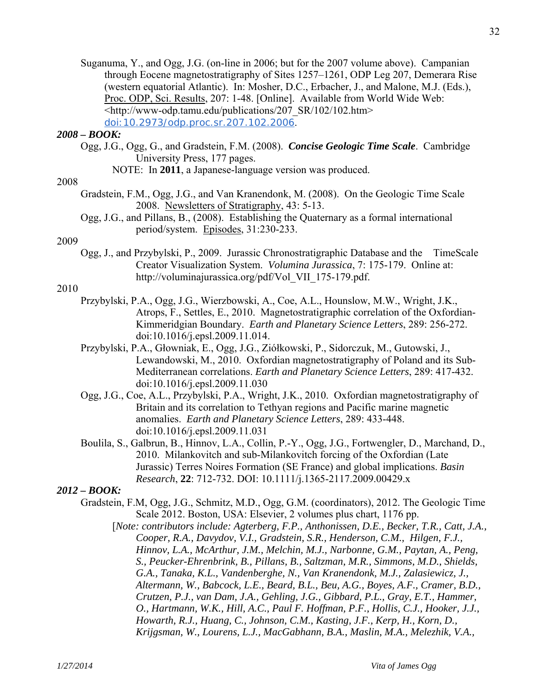Suganuma, Y., and Ogg, J.G. (on-line in 2006; but for the 2007 volume above). Campanian through Eocene magnetostratigraphy of Sites 1257–1261, ODP Leg 207, Demerara Rise (western equatorial Atlantic). In: Mosher, D.C., Erbacher, J., and Malone, M.J. (Eds.), Proc. ODP, Sci. Results, 207: 1-48. [Online]. Available from World Wide Web: <http://www-odp.tamu.edu/publications/207\_SR/102/102.htm> doi:10.2973/odp.proc.sr.207.102.2006.

#### *2008 – BOOK:*

- Ogg, J.G., Ogg, G., and Gradstein, F.M. (2008). *Concise Geologic Time Scale*. Cambridge University Press, 177 pages.
	- NOTE: In **2011**, a Japanese-language version was produced.

#### 2008

- Gradstein, F.M., Ogg, J.G., and Van Kranendonk, M. (2008). On the Geologic Time Scale 2008. Newsletters of Stratigraphy, 43: 5-13.
- Ogg, J.G., and Pillans, B., (2008). Establishing the Quaternary as a formal international period/system. Episodes, 31:230-233.

#### 2009

 Ogg, J., and Przybylski, P., 2009. Jurassic Chronostratigraphic Database and the TimeScale Creator Visualization System. *Volumina Jurassica*, 7: 175-179. Online at: http://voluminajurassica.org/pdf/Vol\_VII\_175-179.pdf.

#### 2010

- Przybylski, P.A., Ogg, J.G., Wierzbowski, A., Coe, A.L., Hounslow, M.W., Wright, J.K., Atrops, F., Settles, E., 2010. Magnetostratigraphic correlation of the Oxfordian-Kimmeridgian Boundary. *Earth and Planetary Science Letters*, 289: 256-272. doi:10.1016/j.epsl.2009.11.014.
- Przybylski, P.A., Głowniak, E., Ogg, J.G., Ziółkowski, P., Sidorczuk, M., Gutowski, J., Lewandowski, M., 2010. Oxfordian magnetostratigraphy of Poland and its Sub-Mediterranean correlations. *Earth and Planetary Science Letters*, 289: 417-432. doi:10.1016/j.epsl.2009.11.030
- Ogg, J.G., Coe, A.L., Przybylski, P.A., Wright, J.K., 2010. Oxfordian magnetostratigraphy of Britain and its correlation to Tethyan regions and Pacific marine magnetic anomalies. *Earth and Planetary Science Letters*, 289: 433-448. doi:10.1016/j.epsl.2009.11.031
- Boulila, S., Galbrun, B., Hinnov, L.A., Collin, P.-Y., Ogg, J.G., Fortwengler, D., Marchand, D., 2010. Milankovitch and sub-Milankovitch forcing of the Oxfordian (Late Jurassic) Terres Noires Formation (SE France) and global implications. *Basin Research*, **22**: 712-732. DOI: 10.1111/j.1365-2117.2009.00429.x

## *2012 – BOOK:*

- Gradstein, F.M, Ogg, J.G., Schmitz, M.D., Ogg, G.M. (coordinators), 2012. The Geologic Time Scale 2012. Boston, USA: Elsevier, 2 volumes plus chart, 1176 pp.
	- [*Note: contributors include: Agterberg, F.P., Anthonissen, D.E., Becker, T.R., Catt, J.A., Cooper, R.A., Davydov, V.I., Gradstein, S.R., Henderson, C.M., Hilgen, F.J., Hinnov, L.A., McArthur, J.M., Melchin, M.J., Narbonne, G.M., Paytan, A., Peng, S., Peucker-Ehrenbrink, B., Pillans, B., Saltzman, M.R., Simmons, M.D., Shields, G.A., Tanaka, K.L., Vandenberghe, N., Van Kranendonk, M.J., Zalasiewicz, J., Altermann, W., Babcock, L.E., Beard, B.L., Beu, A.G., Boyes, A.F., Cramer, B.D., Crutzen, P.J., van Dam, J.A., Gehling, J.G., Gibbard, P.L., Gray, E.T., Hammer, O., Hartmann, W.K., Hill, A.C., Paul F. Hoffman, P.F., Hollis, C.J., Hooker, J.J., Howarth, R.J., Huang, C., Johnson, C.M., Kasting, J.F., Kerp, H., Korn, D., Krijgsman, W., Lourens, L.J., MacGabhann, B.A., Maslin, M.A., Melezhik, V.A.,*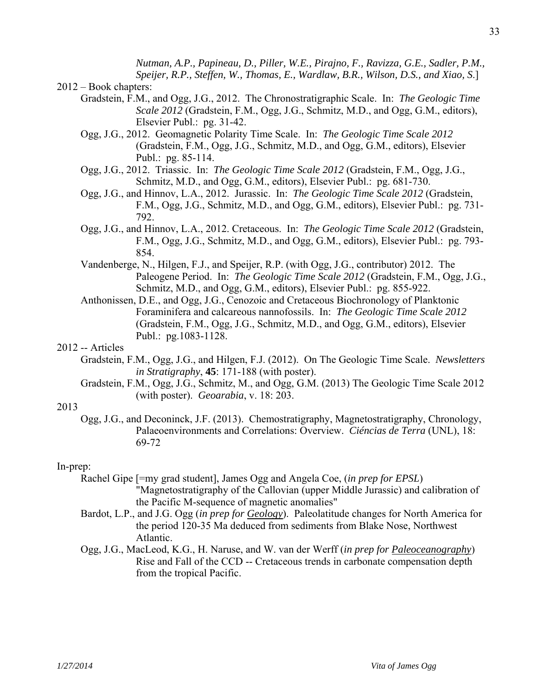*Nutman, A.P., Papineau, D., Piller, W.E., Pirajno, F., Ravizza, G.E., Sadler, P.M., Speijer, R.P., Steffen, W., Thomas, E., Wardlaw, B.R., Wilson, D.S., and Xiao, S*.]

#### 2012 – Book chapters:

- Gradstein, F.M., and Ogg, J.G., 2012. The Chronostratigraphic Scale. In: *The Geologic Time Scale 2012* (Gradstein, F.M., Ogg, J.G., Schmitz, M.D., and Ogg, G.M., editors), Elsevier Publ.: pg. 31-42.
- Ogg, J.G., 2012. Geomagnetic Polarity Time Scale. In: *The Geologic Time Scale 2012* (Gradstein, F.M., Ogg, J.G., Schmitz, M.D., and Ogg, G.M., editors), Elsevier Publ.: pg. 85-114.
- Ogg, J.G., 2012. Triassic. In: *The Geologic Time Scale 2012* (Gradstein, F.M., Ogg, J.G., Schmitz, M.D., and Ogg, G.M., editors), Elsevier Publ.: pg. 681-730.
- Ogg, J.G., and Hinnov, L.A., 2012. Jurassic. In: *The Geologic Time Scale 2012* (Gradstein, F.M., Ogg, J.G., Schmitz, M.D., and Ogg, G.M., editors), Elsevier Publ.: pg. 731- 792.
- Ogg, J.G., and Hinnov, L.A., 2012. Cretaceous. In: *The Geologic Time Scale 2012* (Gradstein, F.M., Ogg, J.G., Schmitz, M.D., and Ogg, G.M., editors), Elsevier Publ.: pg. 793- 854.
- Vandenberge, N., Hilgen, F.J., and Speijer, R.P. (with Ogg, J.G., contributor) 2012. The Paleogene Period. In: *The Geologic Time Scale 2012* (Gradstein, F.M., Ogg, J.G., Schmitz, M.D., and Ogg, G.M., editors), Elsevier Publ.: pg. 855-922.
- Anthonissen, D.E., and Ogg, J.G., Cenozoic and Cretaceous Biochronology of Planktonic Foraminifera and calcareous nannofossils. In: *The Geologic Time Scale 2012* (Gradstein, F.M., Ogg, J.G., Schmitz, M.D., and Ogg, G.M., editors), Elsevier Publ.: pg.1083-1128.

## 2012 -- Articles

- Gradstein, F.M., Ogg, J.G., and Hilgen, F.J. (2012). On The Geologic Time Scale. *Newsletters in Stratigraphy*, **45**: 171-188 (with poster).
- Gradstein, F.M., Ogg, J.G., Schmitz, M., and Ogg, G.M. (2013) The Geologic Time Scale 2012 (with poster). *Geoarabia*, v. 18: 203.

#### 2013

 Ogg, J.G., and Deconinck, J.F. (2013). Chemostratigraphy, Magnetostratigraphy, Chronology, Palaeoenvironments and Correlations: Overview. *Ciéncias de Terra* (UNL), 18: 69-72

#### In-prep:

- Rachel Gipe [=my grad student], James Ogg and Angela Coe, (*in prep for EPSL*) "Magnetostratigraphy of the Callovian (upper Middle Jurassic) and calibration of the Pacific M-sequence of magnetic anomalies"
- Bardot, L.P., and J.G. Ogg (*in prep for Geology*). Paleolatitude changes for North America for the period 120-35 Ma deduced from sediments from Blake Nose, Northwest Atlantic.
- Ogg, J.G., MacLeod, K.G., H. Naruse, and W. van der Werff (*in prep for Paleoceanography*) Rise and Fall of the CCD -- Cretaceous trends in carbonate compensation depth from the tropical Pacific.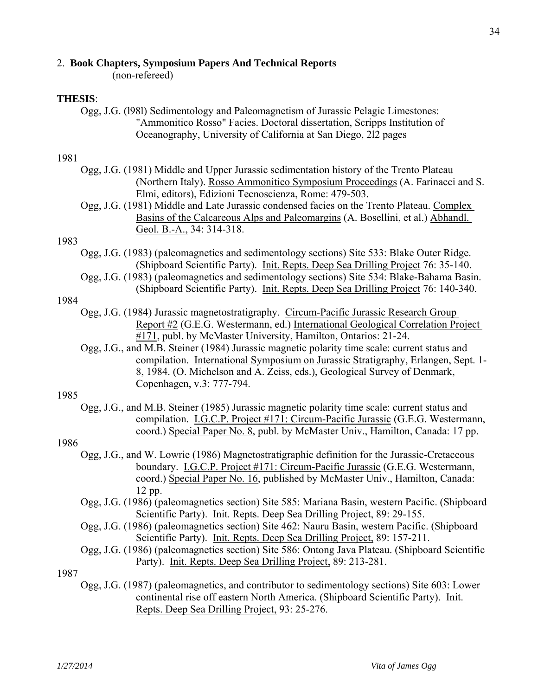#### 2. **Book Chapters, Symposium Papers And Technical Reports**

(non-refereed)

#### **THESIS**:

 Ogg, J.G. (l98l) Sedimentology and Paleomagnetism of Jurassic Pelagic Limestones: "Ammonitico Rosso" Facies. Doctoral dissertation, Scripps Institution of Oceanography, University of California at San Diego, 2l2 pages

#### 1981

- Ogg, J.G. (1981) Middle and Upper Jurassic sedimentation history of the Trento Plateau (Northern Italy). Rosso Ammonitico Symposium Proceedings (A. Farinacci and S. Elmi, editors), Edizioni Tecnoscienza, Rome: 479-503.
- Ogg, J.G. (1981) Middle and Late Jurassic condensed facies on the Trento Plateau. Complex Basins of the Calcareous Alps and Paleomargins (A. Bosellini, et al.) Abhandl. Geol. B.-A., 34: 314-318.

#### 1983

 Ogg, J.G. (1983) (paleomagnetics and sedimentology sections) Site 533: Blake Outer Ridge. (Shipboard Scientific Party). Init. Repts. Deep Sea Drilling Project 76: 35-140.

 Ogg, J.G. (1983) (paleomagnetics and sedimentology sections) Site 534: Blake-Bahama Basin. (Shipboard Scientific Party). Init. Repts. Deep Sea Drilling Project 76: 140-340.

#### 1984

 Ogg, J.G. (1984) Jurassic magnetostratigraphy. Circum-Pacific Jurassic Research Group Report #2 (G.E.G. Westermann, ed.) International Geological Correlation Project #171, publ. by McMaster University, Hamilton, Ontarios: 21-24.

 Ogg, J.G., and M.B. Steiner (1984) Jurassic magnetic polarity time scale: current status and compilation. International Symposium on Jurassic Stratigraphy, Erlangen, Sept. 1- 8, 1984. (O. Michelson and A. Zeiss, eds.), Geological Survey of Denmark, Copenhagen, v.3: 777-794.

#### 1985

 Ogg, J.G., and M.B. Steiner (1985) Jurassic magnetic polarity time scale: current status and compilation. I.G.C.P. Project #171: Circum-Pacific Jurassic (G.E.G. Westermann, coord.) Special Paper No. 8, publ. by McMaster Univ., Hamilton, Canada: 17 pp.

#### 1986

- Ogg, J.G., and W. Lowrie (1986) Magnetostratigraphic definition for the Jurassic-Cretaceous boundary. I.G.C.P. Project #171: Circum-Pacific Jurassic (G.E.G. Westermann, coord.) Special Paper No. 16, published by McMaster Univ., Hamilton, Canada: 12 pp.
- Ogg, J.G. (1986) (paleomagnetics section) Site 585: Mariana Basin, western Pacific. (Shipboard Scientific Party). Init. Repts. Deep Sea Drilling Project, 89: 29-155.
- Ogg, J.G. (1986) (paleomagnetics section) Site 462: Nauru Basin, western Pacific. (Shipboard Scientific Party). Init. Repts. Deep Sea Drilling Project, 89: 157-211.
- Ogg, J.G. (1986) (paleomagnetics section) Site 586: Ontong Java Plateau. (Shipboard Scientific Party). Init. Repts. Deep Sea Drilling Project, 89: 213-281.

1987

 Ogg, J.G. (1987) (paleomagnetics, and contributor to sedimentology sections) Site 603: Lower continental rise off eastern North America. (Shipboard Scientific Party). Init. Repts. Deep Sea Drilling Project, 93: 25-276.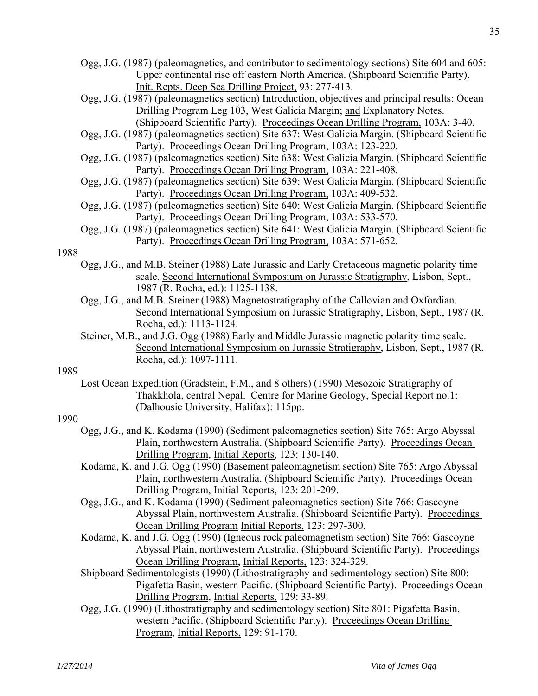- Ogg, J.G. (1987) (paleomagnetics, and contributor to sedimentology sections) Site 604 and 605: Upper continental rise off eastern North America. (Shipboard Scientific Party). Init. Repts. Deep Sea Drilling Project, 93: 277-413.
- Ogg, J.G. (1987) (paleomagnetics section) Introduction, objectives and principal results: Ocean Drilling Program Leg 103, West Galicia Margin; and Explanatory Notes. (Shipboard Scientific Party). Proceedings Ocean Drilling Program, 103A: 3-40.
- Ogg, J.G. (1987) (paleomagnetics section) Site 637: West Galicia Margin. (Shipboard Scientific Party). Proceedings Ocean Drilling Program, 103A: 123-220.
- Ogg, J.G. (1987) (paleomagnetics section) Site 638: West Galicia Margin. (Shipboard Scientific Party). Proceedings Ocean Drilling Program, 103A: 221-408.
- Ogg, J.G. (1987) (paleomagnetics section) Site 639: West Galicia Margin. (Shipboard Scientific Party). Proceedings Ocean Drilling Program, 103A: 409-532.
- Ogg, J.G. (1987) (paleomagnetics section) Site 640: West Galicia Margin. (Shipboard Scientific Party). Proceedings Ocean Drilling Program, 103A: 533-570.
- Ogg, J.G. (1987) (paleomagnetics section) Site 641: West Galicia Margin. (Shipboard Scientific Party). Proceedings Ocean Drilling Program, 103A: 571-652.

- Ogg, J.G., and M.B. Steiner (1988) Late Jurassic and Early Cretaceous magnetic polarity time scale. Second International Symposium on Jurassic Stratigraphy, Lisbon, Sept., 1987 (R. Rocha, ed.): 1125-1138.
- Ogg, J.G., and M.B. Steiner (1988) Magnetostratigraphy of the Callovian and Oxfordian. Second International Symposium on Jurassic Stratigraphy, Lisbon, Sept., 1987 (R. Rocha, ed.): 1113-1124.
- Steiner, M.B., and J.G. Ogg (1988) Early and Middle Jurassic magnetic polarity time scale. Second International Symposium on Jurassic Stratigraphy, Lisbon, Sept., 1987 (R. Rocha, ed.): 1097-1111.

## 1989

 Lost Ocean Expedition (Gradstein, F.M., and 8 others) (1990) Mesozoic Stratigraphy of Thakkhola, central Nepal. Centre for Marine Geology, Special Report no.1: (Dalhousie University, Halifax): 115pp.

- Ogg, J.G., and K. Kodama (1990) (Sediment paleomagnetics section) Site 765: Argo Abyssal Plain, northwestern Australia. (Shipboard Scientific Party). Proceedings Ocean Drilling Program, Initial Reports, 123: 130-140.
- Kodama, K. and J.G. Ogg (1990) (Basement paleomagnetism section) Site 765: Argo Abyssal Plain, northwestern Australia. (Shipboard Scientific Party). Proceedings Ocean Drilling Program, Initial Reports, 123: 201-209.
- Ogg, J.G., and K. Kodama (1990) (Sediment paleomagnetics section) Site 766: Gascoyne Abyssal Plain, northwestern Australia. (Shipboard Scientific Party). Proceedings Ocean Drilling Program Initial Reports, 123: 297-300.
- Kodama, K. and J.G. Ogg (1990) (Igneous rock paleomagnetism section) Site 766: Gascoyne Abyssal Plain, northwestern Australia. (Shipboard Scientific Party). Proceedings Ocean Drilling Program, Initial Reports, 123: 324-329.
- Shipboard Sedimentologists (1990) (Lithostratigraphy and sedimentology section) Site 800: Pigafetta Basin, western Pacific. (Shipboard Scientific Party). Proceedings Ocean Drilling Program, Initial Reports, 129: 33-89.
- Ogg, J.G. (1990) (Lithostratigraphy and sedimentology section) Site 801: Pigafetta Basin, western Pacific. (Shipboard Scientific Party). Proceedings Ocean Drilling Program, Initial Reports, 129: 91-170.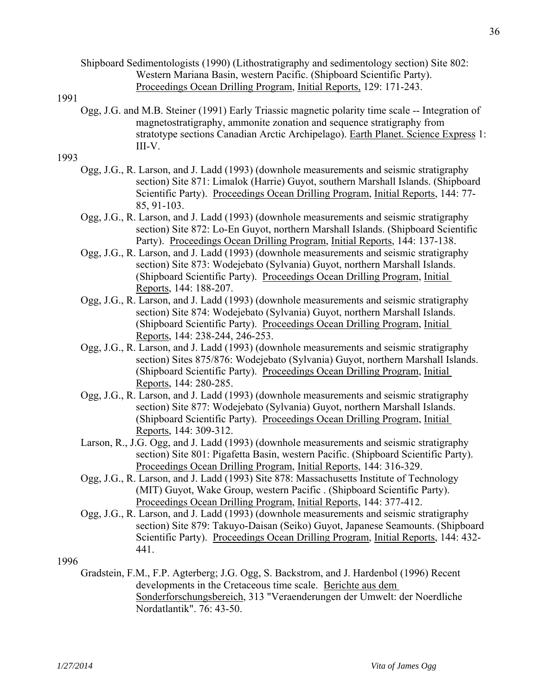Ogg, J.G. and M.B. Steiner (1991) Early Triassic magnetic polarity time scale -- Integration of magnetostratigraphy, ammonite zonation and sequence stratigraphy from stratotype sections Canadian Arctic Archipelago). Earth Planet. Science Express 1: III-V.

## 1993

- Ogg, J.G., R. Larson, and J. Ladd (1993) (downhole measurements and seismic stratigraphy section) Site 871: Limalok (Harrie) Guyot, southern Marshall Islands. (Shipboard Scientific Party). Proceedings Ocean Drilling Program, Initial Reports, 144: 77- 85, 91-103.
- Ogg, J.G., R. Larson, and J. Ladd (1993) (downhole measurements and seismic stratigraphy section) Site 872: Lo-En Guyot, northern Marshall Islands. (Shipboard Scientific Party). Proceedings Ocean Drilling Program, Initial Reports, 144: 137-138.
- Ogg, J.G., R. Larson, and J. Ladd (1993) (downhole measurements and seismic stratigraphy section) Site 873: Wodejebato (Sylvania) Guyot, northern Marshall Islands. (Shipboard Scientific Party). Proceedings Ocean Drilling Program, Initial Reports, 144: 188-207.
- Ogg, J.G., R. Larson, and J. Ladd (1993) (downhole measurements and seismic stratigraphy section) Site 874: Wodejebato (Sylvania) Guyot, northern Marshall Islands. (Shipboard Scientific Party). Proceedings Ocean Drilling Program, Initial Reports, 144: 238-244, 246-253.
- Ogg, J.G., R. Larson, and J. Ladd (1993) (downhole measurements and seismic stratigraphy section) Sites 875/876: Wodejebato (Sylvania) Guyot, northern Marshall Islands. (Shipboard Scientific Party). Proceedings Ocean Drilling Program, Initial Reports, 144: 280-285.
- Ogg, J.G., R. Larson, and J. Ladd (1993) (downhole measurements and seismic stratigraphy section) Site 877: Wodejebato (Sylvania) Guyot, northern Marshall Islands. (Shipboard Scientific Party). Proceedings Ocean Drilling Program, Initial Reports, 144: 309-312.
- Larson, R., J.G. Ogg, and J. Ladd (1993) (downhole measurements and seismic stratigraphy section) Site 801: Pigafetta Basin, western Pacific. (Shipboard Scientific Party). Proceedings Ocean Drilling Program, Initial Reports, 144: 316-329.
- Ogg, J.G., R. Larson, and J. Ladd (1993) Site 878: Massachusetts Institute of Technology (MIT) Guyot, Wake Group, western Pacific . (Shipboard Scientific Party). Proceedings Ocean Drilling Program, Initial Reports, 144: 377-412.
- Ogg, J.G., R. Larson, and J. Ladd (1993) (downhole measurements and seismic stratigraphy section) Site 879: Takuyo-Daisan (Seiko) Guyot, Japanese Seamounts. (Shipboard Scientific Party). Proceedings Ocean Drilling Program, Initial Reports, 144: 432- 441.

1996

 Gradstein, F.M., F.P. Agterberg; J.G. Ogg, S. Backstrom, and J. Hardenbol (1996) Recent developments in the Cretaceous time scale. Berichte aus dem Sonderforschungsbereich, 313 "Veraenderungen der Umwelt: der Noerdliche Nordatlantik". 76: 43-50.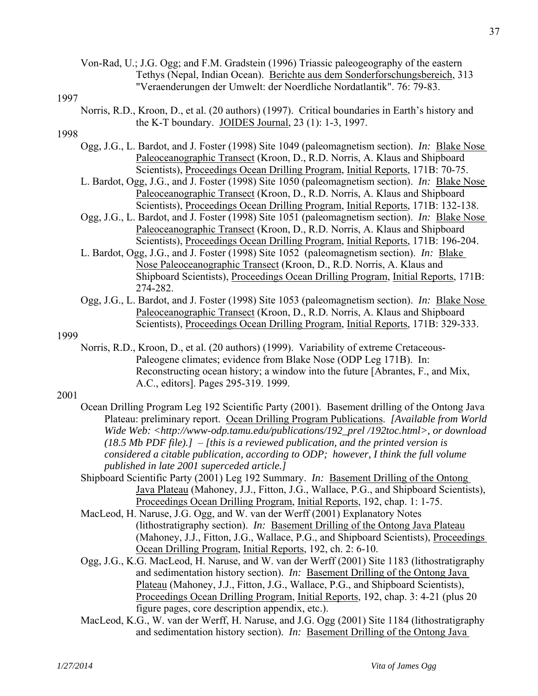Von-Rad, U.; J.G. Ogg; and F.M. Gradstein (1996) Triassic paleogeography of the eastern Tethys (Nepal, Indian Ocean). Berichte aus dem Sonderforschungsbereich, 313 "Veraenderungen der Umwelt: der Noerdliche Nordatlantik". 76: 79-83.

#### 1997

 Norris, R.D., Kroon, D., et al. (20 authors) (1997). Critical boundaries in Earth's history and the K-T boundary. JOIDES Journal, 23 (1): 1-3, 1997.

## 1998

- Ogg, J.G., L. Bardot, and J. Foster (1998) Site 1049 (paleomagnetism section). *In:* Blake Nose Paleoceanographic Transect (Kroon, D., R.D. Norris, A. Klaus and Shipboard Scientists), Proceedings Ocean Drilling Program, Initial Reports, 171B: 70-75.
- L. Bardot, Ogg, J.G., and J. Foster (1998) Site 1050 (paleomagnetism section). *In:* Blake Nose Paleoceanographic Transect (Kroon, D., R.D. Norris, A. Klaus and Shipboard Scientists), Proceedings Ocean Drilling Program, Initial Reports, 171B: 132-138.
- Ogg, J.G., L. Bardot, and J. Foster (1998) Site 1051 (paleomagnetism section). *In:* Blake Nose Paleoceanographic Transect (Kroon, D., R.D. Norris, A. Klaus and Shipboard Scientists), Proceedings Ocean Drilling Program, Initial Reports, 171B: 196-204.
- L. Bardot, Ogg, J.G., and J. Foster (1998) Site 1052 (paleomagnetism section). *In:* Blake Nose Paleoceanographic Transect (Kroon, D., R.D. Norris, A. Klaus and Shipboard Scientists), Proceedings Ocean Drilling Program, Initial Reports, 171B: 274-282.
- Ogg, J.G., L. Bardot, and J. Foster (1998) Site 1053 (paleomagnetism section). *In:* Blake Nose Paleoceanographic Transect (Kroon, D., R.D. Norris, A. Klaus and Shipboard Scientists), Proceedings Ocean Drilling Program, Initial Reports, 171B: 329-333.

#### 1999

 Norris, R.D., Kroon, D., et al. (20 authors) (1999). Variability of extreme Cretaceous-Paleogene climates; evidence from Blake Nose (ODP Leg 171B). In: Reconstructing ocean history; a window into the future [Abrantes, F., and Mix, A.C., editors]. Pages 295-319. 1999.

- Ocean Drilling Program Leg 192 Scientific Party (2001). Basement drilling of the Ontong Java Plateau: preliminary report. Ocean Drilling Program Publications. *[Available from World Wide Web: <http://www-odp.tamu.edu/publications/192\_prel /192toc.html>, or download (18.5 Mb PDF file).]* – *[this is a reviewed publication, and the printed version is considered a citable publication, according to ODP; however, I think the full volume published in late 2001 superceded article.]*
- Shipboard Scientific Party (2001) Leg 192 Summary. *In:* Basement Drilling of the Ontong Java Plateau (Mahoney, J.J., Fitton, J.G., Wallace, P.G., and Shipboard Scientists), Proceedings Ocean Drilling Program, Initial Reports, 192, chap. 1: 1-75.
- MacLeod, H. Naruse, J.G. Ogg, and W. van der Werff (2001) Explanatory Notes (lithostratigraphy section). *In:* Basement Drilling of the Ontong Java Plateau (Mahoney, J.J., Fitton, J.G., Wallace, P.G., and Shipboard Scientists), Proceedings Ocean Drilling Program, Initial Reports, 192, ch. 2: 6-10.
- Ogg, J.G., K.G. MacLeod, H. Naruse, and W. van der Werff (2001) Site 1183 (lithostratigraphy and sedimentation history section). *In:* Basement Drilling of the Ontong Java Plateau (Mahoney, J.J., Fitton, J.G., Wallace, P.G., and Shipboard Scientists), Proceedings Ocean Drilling Program, Initial Reports, 192, chap. 3: 4-21 (plus 20 figure pages, core description appendix, etc.).
- MacLeod, K.G., W. van der Werff, H. Naruse, and J.G. Ogg (2001) Site 1184 (lithostratigraphy and sedimentation history section). *In:* Basement Drilling of the Ontong Java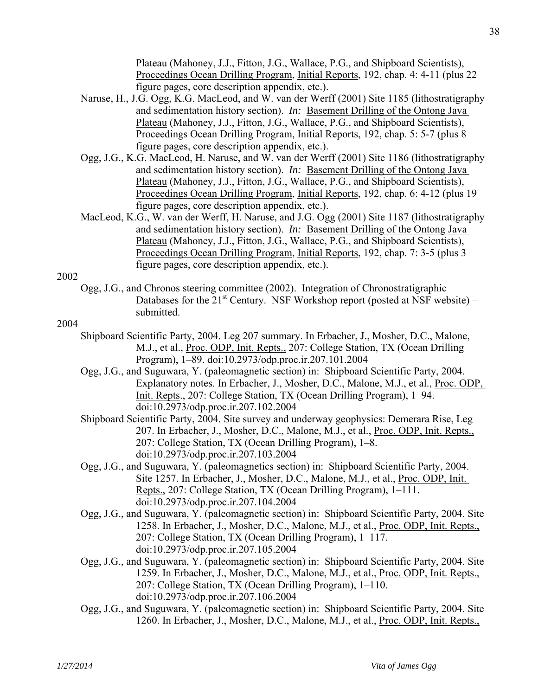Plateau (Mahoney, J.J., Fitton, J.G., Wallace, P.G., and Shipboard Scientists), Proceedings Ocean Drilling Program, Initial Reports, 192, chap. 4: 4-11 (plus 22 figure pages, core description appendix, etc.).

- Naruse, H., J.G. Ogg, K.G. MacLeod, and W. van der Werff (2001) Site 1185 (lithostratigraphy and sedimentation history section). *In:* Basement Drilling of the Ontong Java Plateau (Mahoney, J.J., Fitton, J.G., Wallace, P.G., and Shipboard Scientists), Proceedings Ocean Drilling Program, Initial Reports, 192, chap. 5: 5-7 (plus 8 figure pages, core description appendix, etc.).
- Ogg, J.G., K.G. MacLeod, H. Naruse, and W. van der Werff (2001) Site 1186 (lithostratigraphy and sedimentation history section). *In:* Basement Drilling of the Ontong Java Plateau (Mahoney, J.J., Fitton, J.G., Wallace, P.G., and Shipboard Scientists), Proceedings Ocean Drilling Program, Initial Reports, 192, chap. 6: 4-12 (plus 19 figure pages, core description appendix, etc.).
- MacLeod, K.G., W. van der Werff, H. Naruse, and J.G. Ogg (2001) Site 1187 (lithostratigraphy and sedimentation history section). *In:* Basement Drilling of the Ontong Java Plateau (Mahoney, J.J., Fitton, J.G., Wallace, P.G., and Shipboard Scientists), Proceedings Ocean Drilling Program, Initial Reports, 192, chap. 7: 3-5 (plus 3 figure pages, core description appendix, etc.).

2002

 Ogg, J.G., and Chronos steering committee (2002). Integration of Chronostratigraphic Databases for the  $21^{st}$  Century. NSF Workshop report (posted at NSF website) – submitted.

- Shipboard Scientific Party, 2004. Leg 207 summary. In Erbacher, J., Mosher, D.C., Malone, M.J., et al., Proc. ODP, Init. Repts., 207: College Station, TX (Ocean Drilling Program), 1–89. doi:10.2973/odp.proc.ir.207.101.2004
- Ogg, J.G., and Suguwara, Y. (paleomagnetic section) in: Shipboard Scientific Party, 2004. Explanatory notes. In Erbacher, J., Mosher, D.C., Malone, M.J., et al., Proc. ODP, Init. Repts., 207: College Station, TX (Ocean Drilling Program), 1–94. doi:10.2973/odp.proc.ir.207.102.2004
- Shipboard Scientific Party, 2004. Site survey and underway geophysics: Demerara Rise, Leg 207. In Erbacher, J., Mosher, D.C., Malone, M.J., et al., Proc. ODP, Init. Repts., 207: College Station, TX (Ocean Drilling Program), 1–8. doi:10.2973/odp.proc.ir.207.103.2004
- Ogg, J.G., and Suguwara, Y. (paleomagnetics section) in: Shipboard Scientific Party, 2004. Site 1257. In Erbacher, J., Mosher, D.C., Malone, M.J., et al., Proc. ODP, Init. Repts., 207: College Station, TX (Ocean Drilling Program), 1–111. doi:10.2973/odp.proc.ir.207.104.2004
- Ogg, J.G., and Suguwara, Y. (paleomagnetic section) in: Shipboard Scientific Party, 2004. Site 1258. In Erbacher, J., Mosher, D.C., Malone, M.J., et al., Proc. ODP, Init. Repts., 207: College Station, TX (Ocean Drilling Program), 1–117. doi:10.2973/odp.proc.ir.207.105.2004
- Ogg, J.G., and Suguwara, Y. (paleomagnetic section) in: Shipboard Scientific Party, 2004. Site 1259. In Erbacher, J., Mosher, D.C., Malone, M.J., et al., Proc. ODP, Init. Repts., 207: College Station, TX (Ocean Drilling Program), 1–110. doi:10.2973/odp.proc.ir.207.106.2004
- Ogg, J.G., and Suguwara, Y. (paleomagnetic section) in: Shipboard Scientific Party, 2004. Site 1260. In Erbacher, J., Mosher, D.C., Malone, M.J., et al., Proc. ODP, Init. Repts.,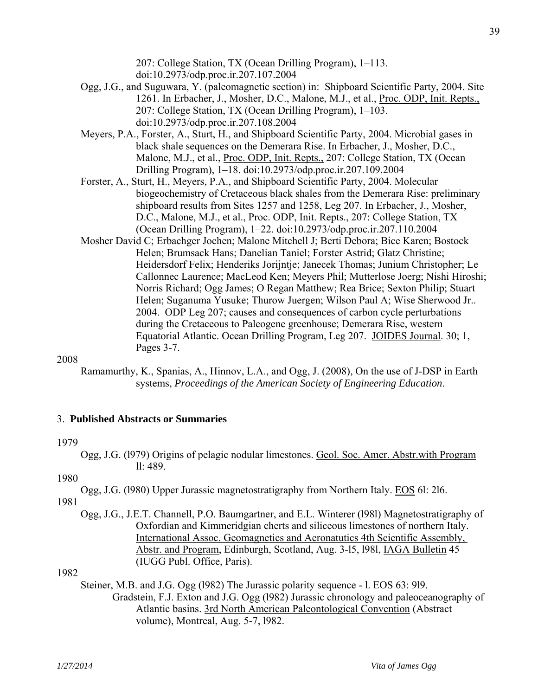207: College Station, TX (Ocean Drilling Program), 1–113. doi:10.2973/odp.proc.ir.207.107.2004

- Ogg, J.G., and Suguwara, Y. (paleomagnetic section) in: Shipboard Scientific Party, 2004. Site 1261. In Erbacher, J., Mosher, D.C., Malone, M.J., et al., Proc. ODP, Init. Repts., 207: College Station, TX (Ocean Drilling Program), 1–103. doi:10.2973/odp.proc.ir.207.108.2004
- Meyers, P.A., Forster, A., Sturt, H., and Shipboard Scientific Party, 2004. Microbial gases in black shale sequences on the Demerara Rise. In Erbacher, J., Mosher, D.C., Malone, M.J., et al., Proc. ODP, Init. Repts., 207: College Station, TX (Ocean Drilling Program), 1–18. doi:10.2973/odp.proc.ir.207.109.2004
- Forster, A., Sturt, H., Meyers, P.A., and Shipboard Scientific Party, 2004. Molecular biogeochemistry of Cretaceous black shales from the Demerara Rise: preliminary shipboard results from Sites 1257 and 1258, Leg 207. In Erbacher, J., Mosher, D.C., Malone, M.J., et al., Proc. ODP, Init. Repts., 207: College Station, TX (Ocean Drilling Program), 1–22. doi:10.2973/odp.proc.ir.207.110.2004
- Mosher David C; Erbachger Jochen; Malone Mitchell J; Berti Debora; Bice Karen; Bostock Helen; Brumsack Hans; Danelian Taniel; Forster Astrid; Glatz Christine; Heidersdorf Felix; Henderiks Jorijntje; Janecek Thomas; Junium Christopher; Le Callonnec Laurence; MacLeod Ken; Meyers Phil; Mutterlose Joerg; Nishi Hiroshi; Norris Richard; Ogg James; O Regan Matthew; Rea Brice; Sexton Philip; Stuart Helen; Suganuma Yusuke; Thurow Juergen; Wilson Paul A; Wise Sherwood Jr.. 2004. ODP Leg 207; causes and consequences of carbon cycle perturbations during the Cretaceous to Paleogene greenhouse; Demerara Rise, western Equatorial Atlantic. Ocean Drilling Program, Leg 207. JOIDES Journal. 30; 1, Pages 3-7.

#### 2008

Ramamurthy, K., Spanias, A., Hinnov, L.A., and Ogg, J. (2008), On the use of J-DSP in Earth systems, *Proceedings of the American Society of Engineering Education*.

#### 3. **Published Abstracts or Summaries**

#### 1979

 Ogg, J.G. (l979) Origins of pelagic nodular limestones. Geol. Soc. Amer. Abstr.with Program ll: 489.

## 1980

Ogg, J.G. (l980) Upper Jurassic magnetostratigraphy from Northern Italy. EOS 6l: 2l6.

- 1981
	- Ogg, J.G., J.E.T. Channell, P.O. Baumgartner, and E.L. Winterer (l98l) Magnetostratigraphy of Oxfordian and Kimmeridgian cherts and siliceous limestones of northern Italy. International Assoc. Geomagnetics and Aeronatutics 4th Scientific Assembly, Abstr. and Program, Edinburgh, Scotland, Aug. 3-l5, l98l, IAGA Bulletin 45 (IUGG Publ. Office, Paris).

## 1982

 Steiner, M.B. and J.G. Ogg (l982) The Jurassic polarity sequence - l. EOS 63: 9l9. Gradstein, F.J. Exton and J.G. Ogg (l982) Jurassic chronology and paleoceanography of Atlantic basins. 3rd North American Paleontological Convention (Abstract volume), Montreal, Aug. 5-7, l982.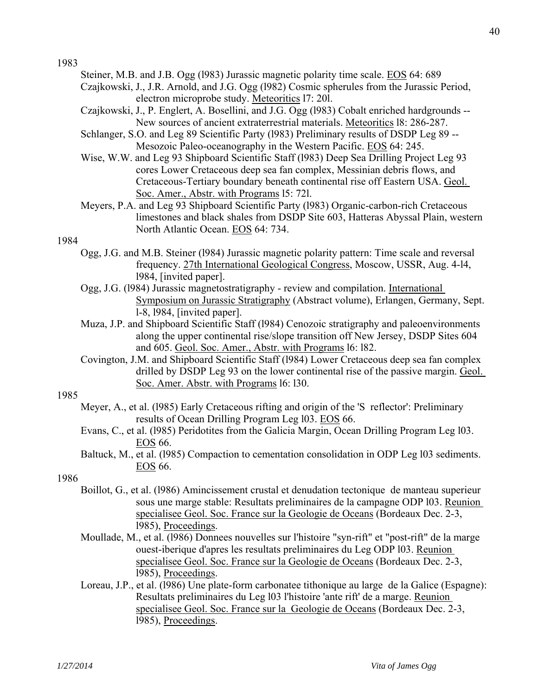- Steiner, M.B. and J.B. Ogg (l983) Jurassic magnetic polarity time scale. EOS 64: 689
- Czajkowski, J., J.R. Arnold, and J.G. Ogg (l982) Cosmic spherules from the Jurassic Period, electron microprobe study. Meteoritics l7: 20l.
- Czajkowski, J., P. Englert, A. Bosellini, and J.G. Ogg (l983) Cobalt enriched hardgrounds -- New sources of ancient extraterrestrial materials. Meteoritics l8: 286-287.
- Schlanger, S.O. and Leg 89 Scientific Party (l983) Preliminary results of DSDP Leg 89 -- Mesozoic Paleo-oceanography in the Western Pacific. EOS 64: 245.
- Wise, W.W. and Leg 93 Shipboard Scientific Staff (l983) Deep Sea Drilling Project Leg 93 cores Lower Cretaceous deep sea fan complex, Messinian debris flows, and Cretaceous-Tertiary boundary beneath continental rise off Eastern USA. Geol. Soc. Amer., Abstr. with Programs l5: 72l.
- Meyers, P.A. and Leg 93 Shipboard Scientific Party (l983) Organic-carbon-rich Cretaceous limestones and black shales from DSDP Site 603, Hatteras Abyssal Plain, western North Atlantic Ocean. EOS 64: 734.

## 1984

- Ogg, J.G. and M.B. Steiner (l984) Jurassic magnetic polarity pattern: Time scale and reversal frequency. 27th International Geological Congress, Moscow, USSR, Aug. 4-l4, l984, [invited paper].
- Ogg, J.G. (l984) Jurassic magnetostratigraphy review and compilation. International Symposium on Jurassic Stratigraphy (Abstract volume), Erlangen, Germany, Sept. l-8, l984, [invited paper].
- Muza, J.P. and Shipboard Scientific Staff (l984) Cenozoic stratigraphy and paleoenvironments along the upper continental rise/slope transition off New Jersey, DSDP Sites 604 and 605. Geol. Soc. Amer., Abstr. with Programs 16: 182.
- Covington, J.M. and Shipboard Scientific Staff (l984) Lower Cretaceous deep sea fan complex drilled by DSDP Leg 93 on the lower continental rise of the passive margin. Geol. Soc. Amer. Abstr. with Programs l6: l30.

## 1985

- Meyer, A., et al. (l985) Early Cretaceous rifting and origin of the 'S reflector': Preliminary results of Ocean Drilling Program Leg l03. EOS 66.
- Evans, C., et al. (l985) Peridotites from the Galicia Margin, Ocean Drilling Program Leg l03. EOS 66.
- Baltuck, M., et al. (1985) Compaction to cementation consolidation in ODP Leg 103 sediments. EOS 66.

- Boillot, G., et al. (l986) Amincissement crustal et denudation tectonique de manteau superieur sous une marge stable: Resultats preliminaires de la campagne ODP l03. Reunion specialisee Geol. Soc. France sur la Geologie de Oceans (Bordeaux Dec. 2-3, l985), Proceedings.
- Moullade, M., et al. (l986) Donnees nouvelles sur l'histoire "syn-rift" et "post-rift" de la marge ouest-iberique d'apres les resultats preliminaires du Leg ODP l03. Reunion specialisee Geol. Soc. France sur la Geologie de Oceans (Bordeaux Dec. 2-3, l985), Proceedings.
- Loreau, J.P., et al. (l986) Une plate-form carbonatee tithonique au large de la Galice (Espagne): Resultats preliminaires du Leg l03 l'histoire 'ante rift' de a marge. Reunion specialisee Geol. Soc. France sur la Geologie de Oceans (Bordeaux Dec. 2-3, l985), Proceedings.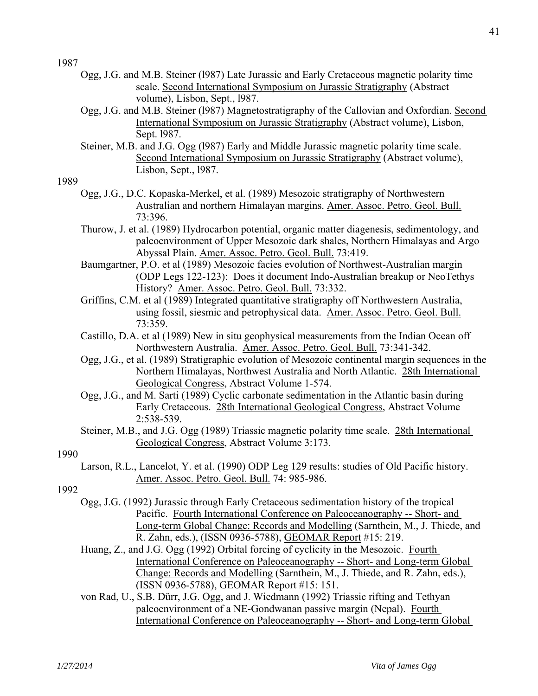- Ogg, J.G. and M.B. Steiner (l987) Late Jurassic and Early Cretaceous magnetic polarity time scale. Second International Symposium on Jurassic Stratigraphy (Abstract volume), Lisbon, Sept., l987.
- Ogg, J.G. and M.B. Steiner (l987) Magnetostratigraphy of the Callovian and Oxfordian. Second International Symposium on Jurassic Stratigraphy (Abstract volume), Lisbon, Sept. l987.
- Steiner, M.B. and J.G. Ogg (l987) Early and Middle Jurassic magnetic polarity time scale. Second International Symposium on Jurassic Stratigraphy (Abstract volume), Lisbon, Sept., l987.

## 1989

- Ogg, J.G., D.C. Kopaska-Merkel, et al. (1989) Mesozoic stratigraphy of Northwestern Australian and northern Himalayan margins. Amer. Assoc. Petro. Geol. Bull. 73:396.
- Thurow, J. et al. (1989) Hydrocarbon potential, organic matter diagenesis, sedimentology, and paleoenvironment of Upper Mesozoic dark shales, Northern Himalayas and Argo Abyssal Plain. Amer. Assoc. Petro. Geol. Bull. 73:419.
- Baumgartner, P.O. et al (1989) Mesozoic facies evolution of Northwest-Australian margin (ODP Legs 122-123): Does it document Indo-Australian breakup or NeoTethys History? Amer. Assoc. Petro. Geol. Bull. 73:332.
- Griffins, C.M. et al (1989) Integrated quantitative stratigraphy off Northwestern Australia, using fossil, siesmic and petrophysical data. Amer. Assoc. Petro. Geol. Bull. 73:359.
- Castillo, D.A. et al (1989) New in situ geophysical measurements from the Indian Ocean off Northwestern Australia. Amer. Assoc. Petro. Geol. Bull. 73:341-342.
- Ogg, J.G., et al. (1989) Stratigraphic evolution of Mesozoic continental margin sequences in the Northern Himalayas, Northwest Australia and North Atlantic. 28th International Geological Congress, Abstract Volume 1-574.
- Ogg, J.G., and M. Sarti (1989) Cyclic carbonate sedimentation in the Atlantic basin during Early Cretaceous. 28th International Geological Congress, Abstract Volume 2:538-539.
- Steiner, M.B., and J.G. Ogg (1989) Triassic magnetic polarity time scale. 28th International Geological Congress, Abstract Volume 3:173.

## 1990

 Larson, R.L., Lancelot, Y. et al. (1990) ODP Leg 129 results: studies of Old Pacific history. Amer. Assoc. Petro. Geol. Bull. 74: 985-986.

- Ogg, J.G. (1992) Jurassic through Early Cretaceous sedimentation history of the tropical Pacific. Fourth International Conference on Paleoceanography -- Short- and Long-term Global Change: Records and Modelling (Sarnthein, M., J. Thiede, and R. Zahn, eds.), (ISSN 0936-5788), GEOMAR Report #15: 219.
- Huang, Z., and J.G. Ogg (1992) Orbital forcing of cyclicity in the Mesozoic. Fourth International Conference on Paleoceanography -- Short- and Long-term Global Change: Records and Modelling (Sarnthein, M., J. Thiede, and R. Zahn, eds.), (ISSN 0936-5788), GEOMAR Report #15: 151.
- von Rad, U., S.B. Dürr, J.G. Ogg, and J. Wiedmann (1992) Triassic rifting and Tethyan paleoenvironment of a NE-Gondwanan passive margin (Nepal). Fourth International Conference on Paleoceanography -- Short- and Long-term Global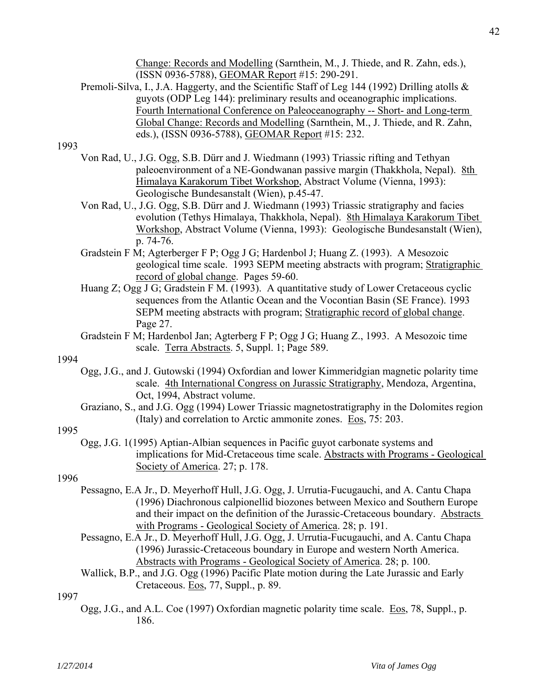Change: Records and Modelling (Sarnthein, M., J. Thiede, and R. Zahn, eds.), (ISSN 0936-5788), GEOMAR Report #15: 290-291.

Premoli-Silva, I., J.A. Haggerty, and the Scientific Staff of Leg 144 (1992) Drilling atolls & guyots (ODP Leg 144): preliminary results and oceanographic implications. Fourth International Conference on Paleoceanography -- Short- and Long-term Global Change: Records and Modelling (Sarnthein, M., J. Thiede, and R. Zahn, eds.), (ISSN 0936-5788), GEOMAR Report #15: 232.

## 1993

- Von Rad, U., J.G. Ogg, S.B. Dürr and J. Wiedmann (1993) Triassic rifting and Tethyan paleoenvironment of a NE-Gondwanan passive margin (Thakkhola, Nepal). 8th Himalaya Karakorum Tibet Workshop, Abstract Volume (Vienna, 1993): Geologische Bundesanstalt (Wien), p.45-47.
- Von Rad, U., J.G. Ogg, S.B. Dürr and J. Wiedmann (1993) Triassic stratigraphy and facies evolution (Tethys Himalaya, Thakkhola, Nepal). 8th Himalaya Karakorum Tibet Workshop, Abstract Volume (Vienna, 1993): Geologische Bundesanstalt (Wien), p. 74-76.
- Gradstein F M; Agterberger F P; Ogg J G; Hardenbol J; Huang Z. (1993). A Mesozoic geological time scale. 1993 SEPM meeting abstracts with program; Stratigraphic record of global change. Pages 59-60.
- Huang Z; Ogg J G; Gradstein F M. (1993). A quantitative study of Lower Cretaceous cyclic sequences from the Atlantic Ocean and the Vocontian Basin (SE France). 1993 SEPM meeting abstracts with program; Stratigraphic record of global change. Page 27.
- Gradstein F M; Hardenbol Jan; Agterberg F P; Ogg J G; Huang Z., 1993. A Mesozoic time scale. Terra Abstracts. 5, Suppl. 1; Page 589.

#### 1994

- Ogg, J.G., and J. Gutowski (1994) Oxfordian and lower Kimmeridgian magnetic polarity time scale. 4th International Congress on Jurassic Stratigraphy, Mendoza, Argentina, Oct, 1994, Abstract volume.
- Graziano, S., and J.G. Ogg (1994) Lower Triassic magnetostratigraphy in the Dolomites region (Italy) and correlation to Arctic ammonite zones. Eos, 75: 203.

## 1995

 Ogg, J.G. 1(1995) Aptian-Albian sequences in Pacific guyot carbonate systems and implications for Mid-Cretaceous time scale. Abstracts with Programs - Geological Society of America. 27; p. 178.

## 1996

- Pessagno, E.A Jr., D. Meyerhoff Hull, J.G. Ogg, J. Urrutia-Fucugauchi, and A. Cantu Chapa (1996) Diachronous calpionellid biozones between Mexico and Southern Europe and their impact on the definition of the Jurassic-Cretaceous boundary. Abstracts with Programs - Geological Society of America. 28; p. 191.
- Pessagno, E.A Jr., D. Meyerhoff Hull, J.G. Ogg, J. Urrutia-Fucugauchi, and A. Cantu Chapa (1996) Jurassic-Cretaceous boundary in Europe and western North America. Abstracts with Programs - Geological Society of America. 28; p. 100.
- Wallick, B.P., and J.G. Ogg (1996) Pacific Plate motion during the Late Jurassic and Early Cretaceous. Eos, 77, Suppl., p. 89.

## 1997

 Ogg, J.G., and A.L. Coe (1997) Oxfordian magnetic polarity time scale. Eos, 78, Suppl., p. 186.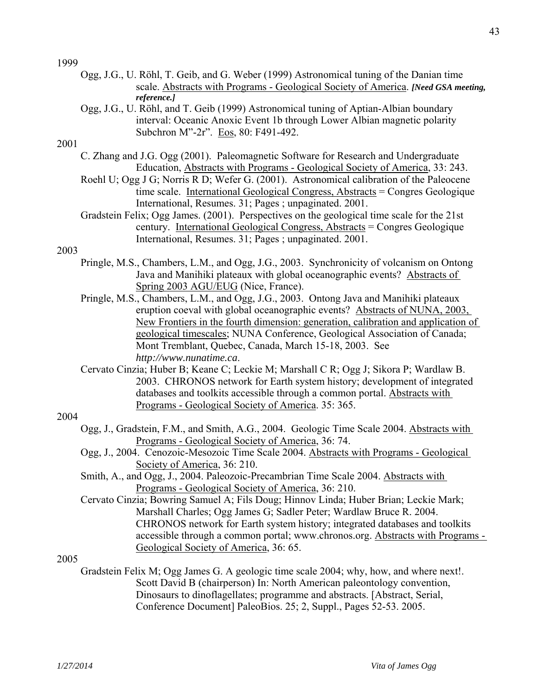- Ogg, J.G., U. Röhl, T. Geib, and G. Weber (1999) Astronomical tuning of the Danian time scale. Abstracts with Programs - Geological Society of America. *[Need GSA meeting, reference.]*
- Ogg, J.G., U. Röhl, and T. Geib (1999) Astronomical tuning of Aptian-Albian boundary interval: Oceanic Anoxic Event 1b through Lower Albian magnetic polarity Subchron M"-2r". Eos, 80: F491-492.

#### 2001

- C. Zhang and J.G. Ogg (2001). Paleomagnetic Software for Research and Undergraduate Education, Abstracts with Programs - Geological Society of America, 33: 243.
- Roehl U; Ogg J G; Norris R D; Wefer G. (2001). Astronomical calibration of the Paleocene time scale. International Geological Congress, Abstracts = Congres Geologique International, Resumes. 31; Pages ; unpaginated. 2001.
- Gradstein Felix; Ogg James. (2001). Perspectives on the geological time scale for the 21st century. International Geological Congress, Abstracts = Congres Geologique International, Resumes. 31; Pages ; unpaginated. 2001.

#### 2003

- Pringle, M.S., Chambers, L.M., and Ogg, J.G., 2003. Synchronicity of volcanism on Ontong Java and Manihiki plateaux with global oceanographic events? Abstracts of Spring 2003 AGU/EUG (Nice, France).
- Pringle, M.S., Chambers, L.M., and Ogg, J.G., 2003. Ontong Java and Manihiki plateaux eruption coeval with global oceanographic events? Abstracts of NUNA, 2003, New Frontiers in the fourth dimension: generation, calibration and application of geological timescales; NUNA Conference, Geological Association of Canada; Mont Tremblant, Quebec, Canada, March 15-18, 2003. See *http://www.nunatime.ca*.
- Cervato Cinzia; Huber B; Keane C; Leckie M; Marshall C R; Ogg J; Sikora P; Wardlaw B. 2003. CHRONOS network for Earth system history; development of integrated databases and toolkits accessible through a common portal. Abstracts with Programs - Geological Society of America. 35: 365.

## 2004

- Ogg, J., Gradstein, F.M., and Smith, A.G., 2004. Geologic Time Scale 2004. Abstracts with Programs - Geological Society of America, 36: 74.
- Ogg, J., 2004. Cenozoic-Mesozoic Time Scale 2004. Abstracts with Programs Geological Society of America, 36: 210.
- Smith, A., and Ogg, J., 2004. Paleozoic-Precambrian Time Scale 2004. Abstracts with Programs - Geological Society of America, 36: 210.
- Cervato Cinzia; Bowring Samuel A; Fils Doug; Hinnov Linda; Huber Brian; Leckie Mark; Marshall Charles; Ogg James G; Sadler Peter; Wardlaw Bruce R. 2004. CHRONOS network for Earth system history; integrated databases and toolkits accessible through a common portal; www.chronos.org. Abstracts with Programs - Geological Society of America, 36: 65.

## 2005

 Gradstein Felix M; Ogg James G. A geologic time scale 2004; why, how, and where next!. Scott David B (chairperson) In: North American paleontology convention, Dinosaurs to dinoflagellates; programme and abstracts. [Abstract, Serial, Conference Document] PaleoBios. 25; 2, Suppl., Pages 52-53. 2005.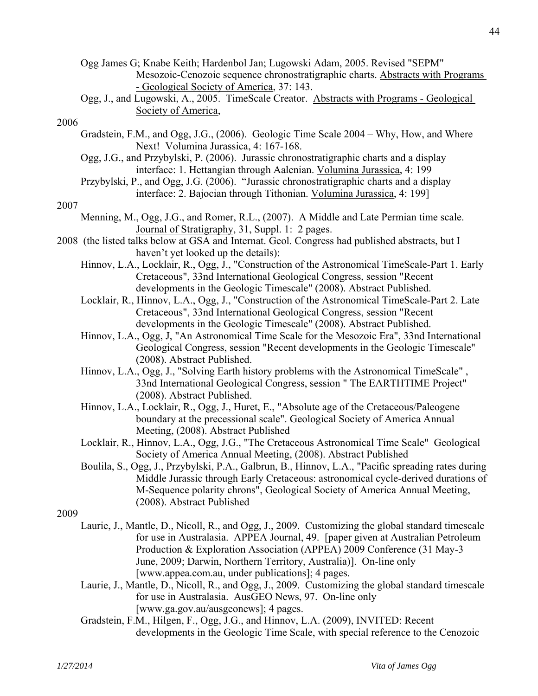- Ogg James G; Knabe Keith; Hardenbol Jan; Lugowski Adam, 2005. Revised "SEPM" Mesozoic-Cenozoic sequence chronostratigraphic charts. Abstracts with Programs - Geological Society of America, 37: 143.
- Ogg, J., and Lugowski, A., 2005. TimeScale Creator. Abstracts with Programs Geological Society of America,

- Gradstein, F.M., and Ogg, J.G., (2006). Geologic Time Scale 2004 Why, How, and Where Next! Volumina Jurassica, 4: 167-168.
- Ogg, J.G., and Przybylski, P. (2006). Jurassic chronostratigraphic charts and a display interface: 1. Hettangian through Aalenian. Volumina Jurassica, 4: 199
- Przybylski, P., and Ogg, J.G. (2006). "Jurassic chronostratigraphic charts and a display interface: 2. Bajocian through Tithonian. Volumina Jurassica, 4: 199]

## 2007

- Menning, M., Ogg, J.G., and Romer, R.L., (2007). A Middle and Late Permian time scale. Journal of Stratigraphy, 31, Suppl. 1: 2 pages.
- 2008 (the listed talks below at GSA and Internat. Geol. Congress had published abstracts, but I haven't yet looked up the details):
	- Hinnov, L.A., Locklair, R., Ogg, J., "Construction of the Astronomical TimeScale-Part 1. Early Cretaceous", 33nd International Geological Congress, session "Recent developments in the Geologic Timescale" (2008). Abstract Published.
	- Locklair, R., Hinnov, L.A., Ogg, J., "Construction of the Astronomical TimeScale-Part 2. Late Cretaceous", 33nd International Geological Congress, session "Recent developments in the Geologic Timescale" (2008). Abstract Published.
	- Hinnov, L.A., Ogg, J, "An Astronomical Time Scale for the Mesozoic Era", 33nd International Geological Congress, session "Recent developments in the Geologic Timescale" (2008). Abstract Published.
	- Hinnov, L.A., Ogg, J., "Solving Earth history problems with the Astronomical TimeScale" , 33nd International Geological Congress, session " The EARTHTIME Project" (2008). Abstract Published.
	- Hinnov, L.A., Locklair, R., Ogg, J., Huret, E., "Absolute age of the Cretaceous/Paleogene boundary at the precessional scale". Geological Society of America Annual Meeting, (2008). Abstract Published
	- Locklair, R., Hinnov, L.A., Ogg, J.G., "The Cretaceous Astronomical Time Scale" Geological Society of America Annual Meeting, (2008). Abstract Published
	- Boulila, S., Ogg, J., Przybylski, P.A., Galbrun, B., Hinnov, L.A., "Pacific spreading rates during Middle Jurassic through Early Cretaceous: astronomical cycle-derived durations of M-Sequence polarity chrons", Geological Society of America Annual Meeting, (2008). Abstract Published

- Laurie, J., Mantle, D., Nicoll, R., and Ogg, J., 2009. Customizing the global standard timescale for use in Australasia. APPEA Journal, 49. [paper given at Australian Petroleum Production & Exploration Association (APPEA) 2009 Conference (31 May-3 June, 2009; Darwin, Northern Territory, Australia)]. On-line only [www.appea.com.au, under publications]; 4 pages.
- Laurie, J., Mantle, D., Nicoll, R., and Ogg, J., 2009. Customizing the global standard timescale for use in Australasia. AusGEO News, 97. On-line only [www.ga.gov.au/ausgeonews]; 4 pages.
- Gradstein, F.M., Hilgen, F., Ogg, J.G., and Hinnov, L.A. (2009), INVITED: Recent developments in the Geologic Time Scale, with special reference to the Cenozoic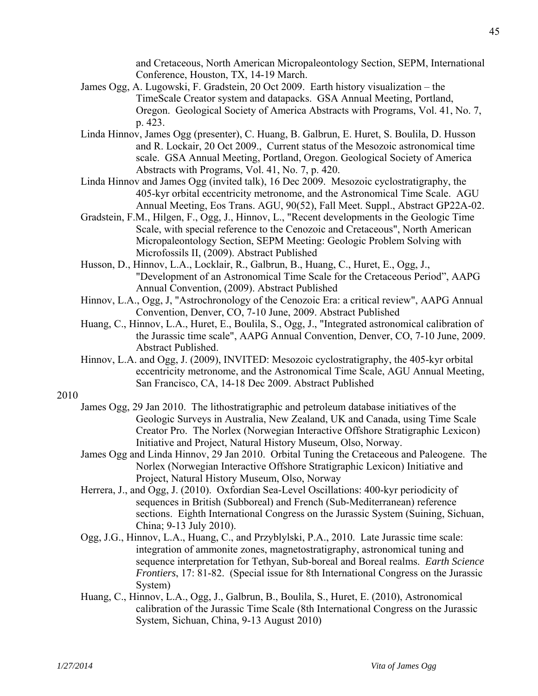and Cretaceous, North American Micropaleontology Section, SEPM, International Conference, Houston, TX, 14-19 March.

- James Ogg, A. Lugowski, F. Gradstein, 20 Oct 2009. Earth history visualization the TimeScale Creator system and datapacks. GSA Annual Meeting, Portland, Oregon. Geological Society of America Abstracts with Programs, Vol. 41, No. 7, p. 423.
- Linda Hinnov, James Ogg (presenter), C. Huang, B. Galbrun, E. Huret, S. Boulila, D. Husson and R. Lockair, 20 Oct 2009., Current status of the Mesozoic astronomical time scale. GSA Annual Meeting, Portland, Oregon. Geological Society of America Abstracts with Programs, Vol. 41, No. 7, p. 420.
- Linda Hinnov and James Ogg (invited talk), 16 Dec 2009. Mesozoic cyclostratigraphy, the 405-kyr orbital eccentricity metronome, and the Astronomical Time Scale. AGU Annual Meeting, Eos Trans. AGU, 90(52), Fall Meet. Suppl., Abstract GP22A-02.
- Gradstein, F.M., Hilgen, F., Ogg, J., Hinnov, L., "Recent developments in the Geologic Time Scale, with special reference to the Cenozoic and Cretaceous", North American Micropaleontology Section, SEPM Meeting: Geologic Problem Solving with Microfossils II, (2009). Abstract Published
- Husson, D., Hinnov, L.A., Locklair, R., Galbrun, B., Huang, C., Huret, E., Ogg, J., "Development of an Astronomical Time Scale for the Cretaceous Period", AAPG Annual Convention, (2009). Abstract Published
- Hinnov, L.A., Ogg, J, "Astrochronology of the Cenozoic Era: a critical review", AAPG Annual Convention, Denver, CO, 7-10 June, 2009. Abstract Published
- Huang, C., Hinnov, L.A., Huret, E., Boulila, S., Ogg, J., "Integrated astronomical calibration of the Jurassic time scale", AAPG Annual Convention, Denver, CO, 7-10 June, 2009. Abstract Published.
- Hinnov, L.A. and Ogg, J. (2009), INVITED: Mesozoic cyclostratigraphy, the 405-kyr orbital eccentricity metronome, and the Astronomical Time Scale, AGU Annual Meeting, San Francisco, CA, 14-18 Dec 2009. Abstract Published

- James Ogg, 29 Jan 2010. The lithostratigraphic and petroleum database initiatives of the Geologic Surveys in Australia, New Zealand, UK and Canada, using Time Scale Creator Pro. The Norlex (Norwegian Interactive Offshore Stratigraphic Lexicon) Initiative and Project, Natural History Museum, Olso, Norway.
- James Ogg and Linda Hinnov, 29 Jan 2010. Orbital Tuning the Cretaceous and Paleogene. The Norlex (Norwegian Interactive Offshore Stratigraphic Lexicon) Initiative and Project, Natural History Museum, Olso, Norway
- Herrera, J., and Ogg, J. (2010). Oxfordian Sea-Level Oscillations: 400-kyr periodicity of sequences in British (Subboreal) and French (Sub-Mediterranean) reference sections. Eighth International Congress on the Jurassic System (Suining, Sichuan, China; 9-13 July 2010).
- Ogg, J.G., Hinnov, L.A., Huang, C., and Przyblylski, P.A., 2010. Late Jurassic time scale: integration of ammonite zones, magnetostratigraphy, astronomical tuning and sequence interpretation for Tethyan, Sub-boreal and Boreal realms. *Earth Science Frontiers*, 17: 81-82. (Special issue for 8th International Congress on the Jurassic System)
- Huang, C., Hinnov, L.A., Ogg, J., Galbrun, B., Boulila, S., Huret, E. (2010), Astronomical calibration of the Jurassic Time Scale (8th International Congress on the Jurassic System, Sichuan, China, 9-13 August 2010)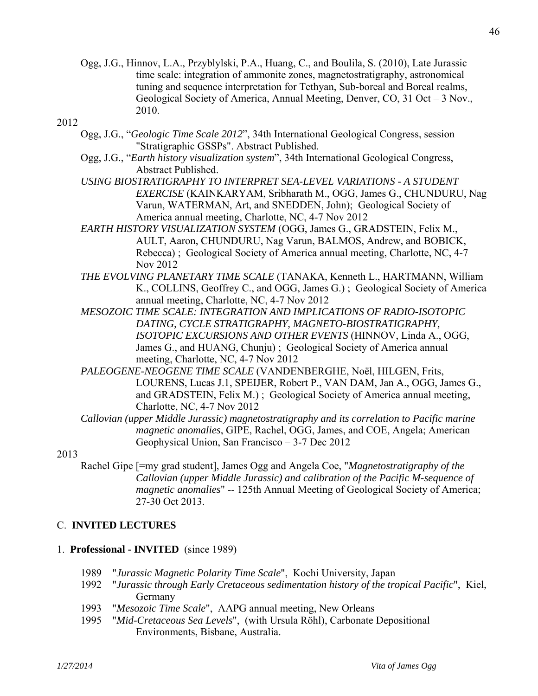Ogg, J.G., Hinnov, L.A., Przyblylski, P.A., Huang, C., and Boulila, S. (2010), Late Jurassic time scale: integration of ammonite zones, magnetostratigraphy, astronomical tuning and sequence interpretation for Tethyan, Sub-boreal and Boreal realms, Geological Society of America, Annual Meeting, Denver, CO, 31 Oct – 3 Nov., 2010.

## 2012

- Ogg, J.G., "*Geologic Time Scale 2012*", 34th International Geological Congress, session "Stratigraphic GSSPs". Abstract Published.
- Ogg, J.G., "*Earth history visualization system*", 34th International Geological Congress, Abstract Published.
- *USING BIOSTRATIGRAPHY TO INTERPRET SEA-LEVEL VARIATIONS A STUDENT EXERCISE* (KAINKARYAM, Sribharath M., OGG, James G., CHUNDURU, Nag Varun, WATERMAN, Art, and SNEDDEN, John); Geological Society of America annual meeting, Charlotte, NC, 4-7 Nov 2012
- *EARTH HISTORY VISUALIZATION SYSTEM* (OGG, James G., GRADSTEIN, Felix M., AULT, Aaron, CHUNDURU, Nag Varun, BALMOS, Andrew, and BOBICK, Rebecca) ; Geological Society of America annual meeting, Charlotte, NC, 4-7 Nov 2012
- *THE EVOLVING PLANETARY TIME SCALE* (TANAKA, Kenneth L., HARTMANN, William K., COLLINS, Geoffrey C., and OGG, James G.) ; Geological Society of America annual meeting, Charlotte, NC, 4-7 Nov 2012
- *MESOZOIC TIME SCALE: INTEGRATION AND IMPLICATIONS OF RADIO-ISOTOPIC DATING, CYCLE STRATIGRAPHY, MAGNETO-BIOSTRATIGRAPHY, ISOTOPIC EXCURSIONS AND OTHER EVENTS* (HINNOV, Linda A., OGG, James G., and HUANG, Chunju) ; Geological Society of America annual meeting, Charlotte, NC, 4-7 Nov 2012
- *PALEOGENE-NEOGENE TIME SCALE* (VANDENBERGHE, Noël, HILGEN, Frits, LOURENS, Lucas J.1, SPEIJER, Robert P., VAN DAM, Jan A., OGG, James G., and GRADSTEIN, Felix M.) ; Geological Society of America annual meeting, Charlotte, NC, 4-7 Nov 2012
- *Callovian (upper Middle Jurassic) magnetostratigraphy and its correlation to Pacific marine magnetic anomalies*, GIPE, Rachel, OGG, James, and COE, Angela; American Geophysical Union, San Francisco – 3-7 Dec 2012

## 2013

 Rachel Gipe [=my grad student], James Ogg and Angela Coe, "*Magnetostratigraphy of the Callovian (upper Middle Jurassic) and calibration of the Pacific M-sequence of magnetic anomalies*" -- 125th Annual Meeting of Geological Society of America; 27-30 Oct 2013.

## C. **INVITED LECTURES**

## 1. **Professional - INVITED** (since 1989)

- 1989 "*Jurassic Magnetic Polarity Time Scale*", Kochi University, Japan
- 1992 "*Jurassic through Early Cretaceous sedimentation history of the tropical Pacific*", Kiel, Germany
- 1993 "*Mesozoic Time Scale*", AAPG annual meeting, New Orleans
- 1995 "*Mid-Cretaceous Sea Levels*", (with Ursula Röhl), Carbonate Depositional Environments, Bisbane, Australia.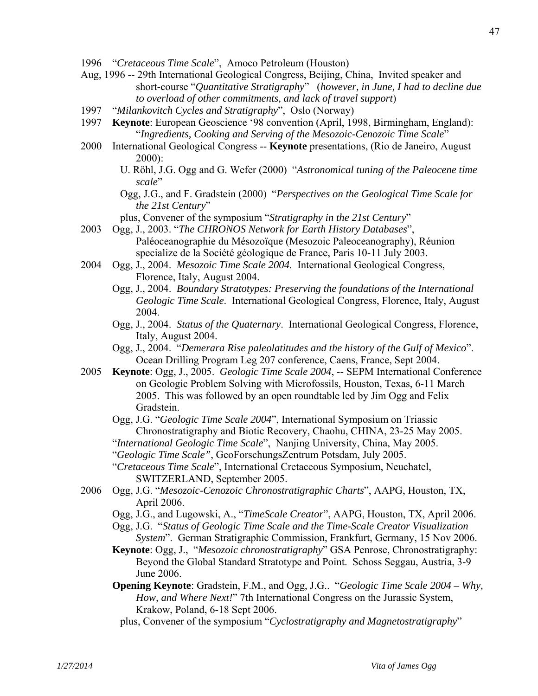- 1996 "*Cretaceous Time Scale*", Amoco Petroleum (Houston)
- Aug, 1996 -- 29th International Geological Congress, Beijing, China, Invited speaker and short-course "*Quantitative Stratigraphy*" (*however, in June, I had to decline due to overload of other commitments, and lack of travel support*)
- 1997 "*Milankovitch Cycles and Stratigraphy*", Oslo (Norway)
- 1997 **Keynote**: European Geoscience '98 convention (April, 1998, Birmingham, England): "*Ingredients, Cooking and Serving of the Mesozoic-Cenozoic Time Scale*"
- 2000 International Geological Congress -- **Keynote** presentations, (Rio de Janeiro, August 2000):
	- U. Röhl, J.G. Ogg and G. Wefer (2000) "*Astronomical tuning of the Paleocene time scale*"
	- Ogg, J.G., and F. Gradstein (2000) "*Perspectives on the Geological Time Scale for the 21st Century*"
	- plus, Convener of the symposium "*Stratigraphy in the 21st Century*"
- 2003 Ogg, J., 2003. "*The CHRONOS Network for Earth History Databases*", Paléoceanographie du Mésozoïque (Mesozoic Paleoceanography), Réunion specialize de la Société géologique de France, Paris 10-11 July 2003.
- 2004 Ogg, J., 2004. *Mesozoic Time Scale 2004*. International Geological Congress, Florence, Italy, August 2004.
	- Ogg, J., 2004. *Boundary Stratotypes: Preserving the foundations of the International Geologic Time Scale*. International Geological Congress, Florence, Italy, August 2004.
	- Ogg, J., 2004. *Status of the Quaternary*. International Geological Congress, Florence, Italy, August 2004.
	- Ogg, J., 2004. "*Demerara Rise paleolatitudes and the history of the Gulf of Mexico*". Ocean Drilling Program Leg 207 conference, Caens, France, Sept 2004.
- 2005 **Keynote**: Ogg, J., 2005. *Geologic Time Scale 2004*, -- SEPM International Conference on Geologic Problem Solving with Microfossils, Houston, Texas, 6-11 March 2005. This was followed by an open roundtable led by Jim Ogg and Felix Gradstein.
	- Ogg, J.G. "*Geologic Time Scale 2004*", International Symposium on Triassic Chronostratigraphy and Biotic Recovery, Chaohu, CHINA, 23-25 May 2005.
	- "*International Geologic Time Scale*", Nanjing University, China, May 2005.
	- "*Geologic Time Scale"*, GeoForschungsZentrum Potsdam, July 2005.
	- "*Cretaceous Time Scale*", International Cretaceous Symposium, Neuchatel, SWITZERLAND, September 2005.
- 2006 Ogg, J.G. "*Mesozoic-Cenozoic Chronostratigraphic Charts*", AAPG, Houston, TX, April 2006.
	- Ogg, J.G., and Lugowski, A., "*TimeScale Creator*", AAPG, Houston, TX, April 2006.
	- Ogg, J.G. "*Status of Geologic Time Scale and the Time-Scale Creator Visualization System*". German Stratigraphic Commission, Frankfurt, Germany, 15 Nov 2006.
	- **Keynote**: Ogg, J., "*Mesozoic chronostratigraphy*" GSA Penrose, Chronostratigraphy: Beyond the Global Standard Stratotype and Point. Schoss Seggau, Austria, 3-9 June 2006.
	- **Opening Keynote**: Gradstein, F.M., and Ogg, J.G.. "*Geologic Time Scale 2004 Why, How, and Where Next!*" 7th International Congress on the Jurassic System, Krakow, Poland, 6-18 Sept 2006.
		- plus, Convener of the symposium "*Cyclostratigraphy and Magnetostratigraphy*"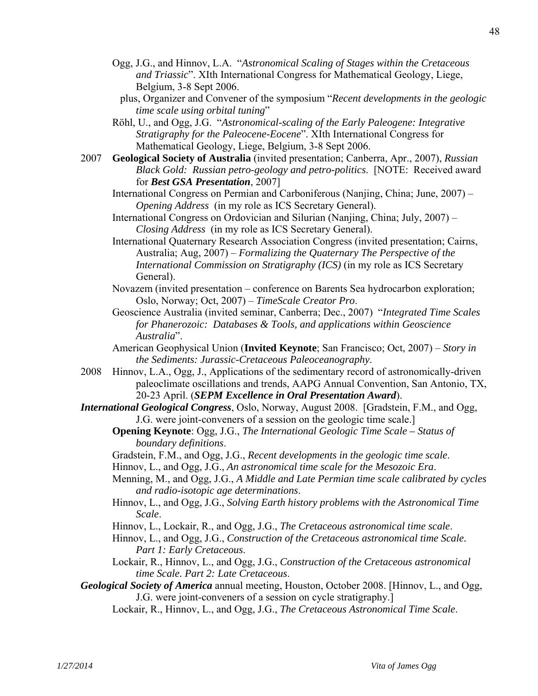- Ogg, J.G., and Hinnov, L.A. "*Astronomical Scaling of Stages within the Cretaceous and Triassic*". XIth International Congress for Mathematical Geology, Liege, Belgium, 3-8 Sept 2006.
	- plus, Organizer and Convener of the symposium "*Recent developments in the geologic time scale using orbital tuning*"
- Röhl, U., and Ogg, J.G. "*Astronomical-scaling of the Early Paleogene: Integrative Stratigraphy for the Paleocene-Eocene*". XIth International Congress for Mathematical Geology, Liege, Belgium, 3-8 Sept 2006.
- 2007 **Geological Society of Australia** (invited presentation; Canberra, Apr., 2007), *Russian Black Gold: Russian petro-geology and petro-politics*. [NOTE: Received award for *Best GSA Presentation*, 2007]

 International Congress on Permian and Carboniferous (Nanjing, China; June, 2007) – *Opening Address* (in my role as ICS Secretary General).

- International Congress on Ordovician and Silurian (Nanjing, China; July, 2007) *Closing Address* (in my role as ICS Secretary General).
- International Quaternary Research Association Congress (invited presentation; Cairns, Australia; Aug, 2007) – *Formalizing the Quaternary The Perspective of the International Commission on Stratigraphy (ICS)* (in my role as ICS Secretary General).
- Novazem (invited presentation conference on Barents Sea hydrocarbon exploration; Oslo, Norway; Oct, 2007) – *TimeScale Creator Pro*.
- Geoscience Australia (invited seminar, Canberra; Dec., 2007) "*Integrated Time Scales for Phanerozoic: Databases & Tools, and applications within Geoscience Australia*".
- American Geophysical Union (**Invited Keynote**; San Francisco; Oct, 2007) *Story in the Sediments: Jurassic-Cretaceous Paleoceanography*.
- 2008 Hinnov, L.A., Ogg, J., Applications of the sedimentary record of astronomically-driven paleoclimate oscillations and trends, AAPG Annual Convention, San Antonio, TX, 20-23 April. (*SEPM Excellence in Oral Presentation Award*).
- *International Geological Congress*, Oslo, Norway, August 2008. [Gradstein, F.M., and Ogg, J.G. were joint-conveners of a session on the geologic time scale.]
	- **Opening Keynote**: Ogg, J.G., *The International Geologic Time Scale Status of boundary definitions*.
	- Gradstein, F.M., and Ogg, J.G., *Recent developments in the geologic time scale*.
	- Hinnov, L., and Ogg, J.G., *An astronomical time scale for the Mesozoic Era*.
	- Menning, M., and Ogg, J.G., *A Middle and Late Permian time scale calibrated by cycles and radio-isotopic age determinations*.
	- Hinnov, L., and Ogg, J.G., *Solving Earth history problems with the Astronomical Time Scale*.
	- Hinnov, L., Lockair, R., and Ogg, J.G., *The Cretaceous astronomical time scale*.
	- Hinnov, L., and Ogg, J.G., *Construction of the Cretaceous astronomical time Scale. Part 1: Early Cretaceous*.
	- Lockair, R., Hinnov, L., and Ogg, J.G., *Construction of the Cretaceous astronomical time Scale. Part 2: Late Cretaceous*.
- *Geological Society of America* annual meeting, Houston, October 2008. [Hinnov, L., and Ogg, J.G. were joint-conveners of a session on cycle stratigraphy.]
	- Lockair, R., Hinnov, L., and Ogg, J.G., *The Cretaceous Astronomical Time Scale*.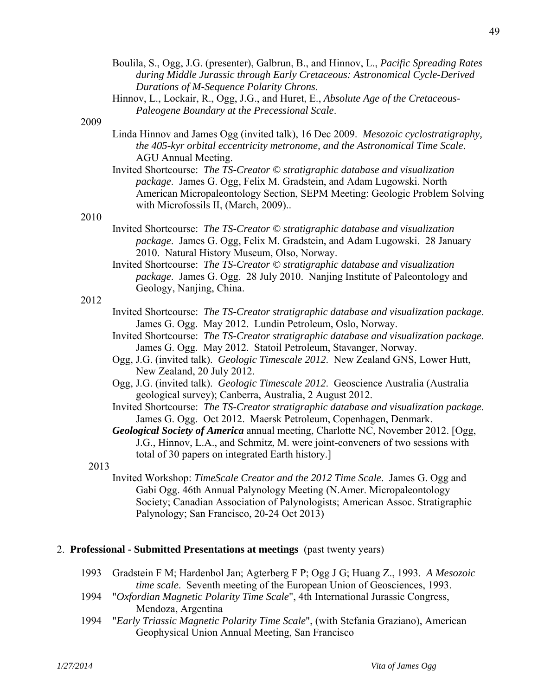Boulila, S., Ogg, J.G. (presenter), Galbrun, B., and Hinnov, L., *Pacific Spreading Rates during Middle Jurassic through Early Cretaceous: Astronomical Cycle-Derived Durations of M-Sequence Polarity Chrons*. Hinnov, L., Lockair, R., Ogg, J.G., and Huret, E., *Absolute Age of the Cretaceous-Paleogene Boundary at the Precessional Scale*.

#### 2009

- Linda Hinnov and James Ogg (invited talk), 16 Dec 2009. *Mesozoic cyclostratigraphy, the 405-kyr orbital eccentricity metronome, and the Astronomical Time Scale*. AGU Annual Meeting.
- Invited Shortcourse: *The TS-Creator © stratigraphic database and visualization package*. James G. Ogg, Felix M. Gradstein, and Adam Lugowski. North American Micropaleontology Section, SEPM Meeting: Geologic Problem Solving with Microfossils II, (March, 2009)..

#### 2010

- Invited Shortcourse: *The TS-Creator © stratigraphic database and visualization package*. James G. Ogg, Felix M. Gradstein, and Adam Lugowski. 28 January 2010. Natural History Museum, Olso, Norway.
- Invited Shortcourse: *The TS-Creator © stratigraphic database and visualization package*. James G. Ogg. 28 July 2010. Nanjing Institute of Paleontology and Geology, Nanjing, China.

#### 2012

- Invited Shortcourse: *The TS-Creator stratigraphic database and visualization package*. James G. Ogg. May 2012. Lundin Petroleum, Oslo, Norway.
- Invited Shortcourse: *The TS-Creator stratigraphic database and visualization package*. James G. Ogg. May 2012. Statoil Petroleum, Stavanger, Norway.
- Ogg, J.G. (invited talk). *Geologic Timescale 2012*. New Zealand GNS, Lower Hutt, New Zealand, 20 July 2012.
- Ogg, J.G. (invited talk). *Geologic Timescale 2012*. Geoscience Australia (Australia geological survey); Canberra, Australia, 2 August 2012.
- Invited Shortcourse: *The TS-Creator stratigraphic database and visualization package*. James G. Ogg. Oct 2012. Maersk Petroleum, Copenhagen, Denmark.

 *Geological Society of America* annual meeting, Charlotte NC, November 2012. [Ogg, J.G., Hinnov, L.A., and Schmitz, M. were joint-conveners of two sessions with total of 30 papers on integrated Earth history.]

#### 2013

 Invited Workshop: *TimeScale Creator and the 2012 Time Scale*. James G. Ogg and Gabi Ogg. 46th Annual Palynology Meeting (N.Amer. Micropaleontology Society; Canadian Association of Palynologists; American Assoc. Stratigraphic Palynology; San Francisco, 20-24 Oct 2013)

#### 2. **Professional - Submitted Presentations at meetings** (past twenty years)

- 1993 Gradstein F M; Hardenbol Jan; Agterberg F P; Ogg J G; Huang Z., 1993. *A Mesozoic time scale*. Seventh meeting of the European Union of Geosciences, 1993.
- 1994 "*Oxfordian Magnetic Polarity Time Scale*", 4th International Jurassic Congress, Mendoza, Argentina
- 1994 "*Early Triassic Magnetic Polarity Time Scale*", (with Stefania Graziano), American Geophysical Union Annual Meeting, San Francisco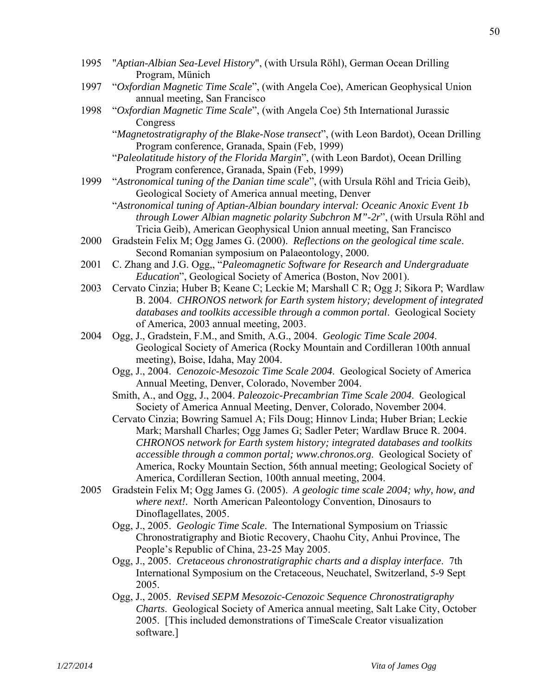- 1995 "*Aptian-Albian Sea-Level History*", (with Ursula Röhl), German Ocean Drilling Program, Münich
- 1997 "*Oxfordian Magnetic Time Scale*", (with Angela Coe), American Geophysical Union annual meeting, San Francisco
- 1998 "*Oxfordian Magnetic Time Scale*", (with Angela Coe) 5th International Jurassic Congress

 "*Magnetostratigraphy of the Blake-Nose transect*", (with Leon Bardot), Ocean Drilling Program conference, Granada, Spain (Feb, 1999)

- "*Paleolatitude history of the Florida Margin*", (with Leon Bardot), Ocean Drilling Program conference, Granada, Spain (Feb, 1999)
- 1999 "*Astronomical tuning of the Danian time scale*", (with Ursula Röhl and Tricia Geib), Geological Society of America annual meeting, Denver
	- "*Astronomical tuning of Aptian-Albian boundary interval: Oceanic Anoxic Event 1b through Lower Albian magnetic polarity Subchron M"-2r*", (with Ursula Röhl and Tricia Geib), American Geophysical Union annual meeting, San Francisco
- 2000 Gradstein Felix M; Ogg James G. (2000). *Reflections on the geological time scale*. Second Romanian symposium on Palaeontology, 2000.
- 2001 C. Zhang and J.G. Ogg,, "*Paleomagnetic Software for Research and Undergraduate Education*", Geological Society of America (Boston, Nov 2001).
- 2003 Cervato Cinzia; Huber B; Keane C; Leckie M; Marshall C R; Ogg J; Sikora P; Wardlaw B. 2004. *CHRONOS network for Earth system history; development of integrated databases and toolkits accessible through a common portal*. Geological Society of America, 2003 annual meeting, 2003.
- 2004 Ogg, J., Gradstein, F.M., and Smith, A.G., 2004. *Geologic Time Scale 2004*. Geological Society of America (Rocky Mountain and Cordilleran 100th annual meeting), Boise, Idaha, May 2004.
	- Ogg, J., 2004. *Cenozoic-Mesozoic Time Scale 2004*. Geological Society of America Annual Meeting, Denver, Colorado, November 2004.
	- Smith, A., and Ogg, J., 2004. *Paleozoic-Precambrian Time Scale 2004*. Geological Society of America Annual Meeting, Denver, Colorado, November 2004.
	- Cervato Cinzia; Bowring Samuel A; Fils Doug; Hinnov Linda; Huber Brian; Leckie Mark; Marshall Charles; Ogg James G; Sadler Peter; Wardlaw Bruce R. 2004. *CHRONOS network for Earth system history; integrated databases and toolkits accessible through a common portal; www.chronos.org*. Geological Society of America, Rocky Mountain Section, 56th annual meeting; Geological Society of America, Cordilleran Section, 100th annual meeting, 2004.
- 2005 Gradstein Felix M; Ogg James G. (2005). *A geologic time scale 2004; why, how, and where next!.* North American Paleontology Convention, Dinosaurs to Dinoflagellates, 2005.
	- Ogg, J., 2005. *Geologic Time Scale*. The International Symposium on Triassic Chronostratigraphy and Biotic Recovery, Chaohu City, Anhui Province, The People's Republic of China, 23-25 May 2005.
	- Ogg, J., 2005. *Cretaceous chronostratigraphic charts and a display interface*. 7th International Symposium on the Cretaceous, Neuchatel, Switzerland, 5-9 Sept 2005.
	- Ogg, J., 2005. *Revised SEPM Mesozoic-Cenozoic Sequence Chronostratigraphy Charts*. Geological Society of America annual meeting, Salt Lake City, October 2005. [This included demonstrations of TimeScale Creator visualization software.]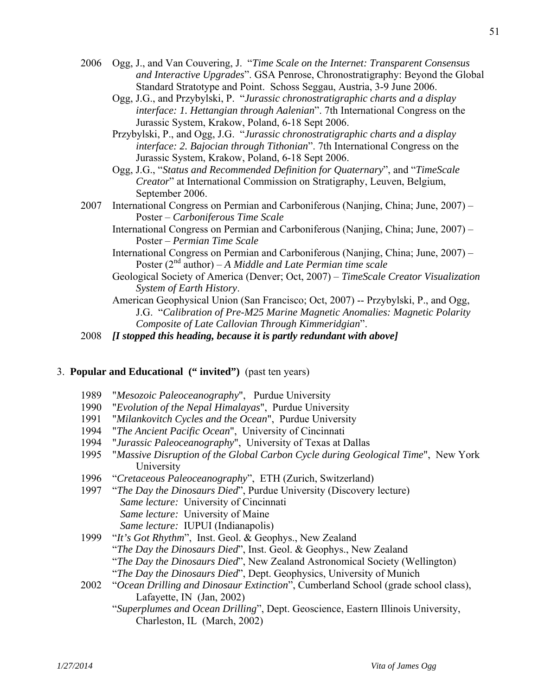- 2006 Ogg, J., and Van Couvering, J. "*Time Scale on the Internet: Transparent Consensus and Interactive Upgrades*". GSA Penrose, Chronostratigraphy: Beyond the Global Standard Stratotype and Point. Schoss Seggau, Austria, 3-9 June 2006.
	- Ogg, J.G., and Przybylski, P. "*Jurassic chronostratigraphic charts and a display interface: 1. Hettangian through Aalenian*". 7th International Congress on the Jurassic System, Krakow, Poland, 6-18 Sept 2006.
	- Przybylski, P., and Ogg, J.G. "*Jurassic chronostratigraphic charts and a display interface: 2. Bajocian through Tithonian*". 7th International Congress on the Jurassic System, Krakow, Poland, 6-18 Sept 2006.
	- Ogg, J.G., "*Status and Recommended Definition for Quaternary*", and "*TimeScale Creator*" at International Commission on Stratigraphy, Leuven, Belgium, September 2006.
- 2007 International Congress on Permian and Carboniferous (Nanjing, China; June, 2007) Poster – *Carboniferous Time Scale*
	- International Congress on Permian and Carboniferous (Nanjing, China; June, 2007) Poster – *Permian Time Scale*
	- International Congress on Permian and Carboniferous (Nanjing, China; June, 2007) Poster (2<sup>nd</sup> author) – *A Middle and Late Permian time scale*
	- Geological Society of America (Denver; Oct, 2007) *TimeScale Creator Visualization System of Earth History*.
	- American Geophysical Union (San Francisco; Oct, 2007) -- Przybylski, P., and Ogg, J.G. "*Calibration of Pre-M25 Marine Magnetic Anomalies: Magnetic Polarity Composite of Late Callovian Through Kimmeridgian*".
- 2008 *[I stopped this heading, because it is partly redundant with above]*

## 3. **Popular and Educational (" invited")** (past ten years)

- 1989 "*Mesozoic Paleoceanography*", Purdue University
- 1990 "*Evolution of the Nepal Himalayas*", Purdue University
- 1991 "*Milankovitch Cycles and the Ocean*", Purdue University
- 1994 "*The Ancient Pacific Ocean*", University of Cincinnati
- 1994 "*Jurassic Paleoceanography*", University of Texas at Dallas
- 1995 "*Massive Disruption of the Global Carbon Cycle during Geological Time*", New York University
- 1996 "*Cretaceous Paleoceanography*", ETH (Zurich, Switzerland)
- 1997 "*The Day the Dinosaurs Died*", Purdue University (Discovery lecture) *Same lecture:* University of Cincinnati *Same lecture:* University of Maine *Same lecture:* IUPUI (Indianapolis)
- 1999 "*It's Got Rhythm*", Inst. Geol. & Geophys., New Zealand "*The Day the Dinosaurs Died*", Inst. Geol. & Geophys., New Zealand "*The Day the Dinosaurs Died*", New Zealand Astronomical Society (Wellington) "*The Day the Dinosaurs Died*", Dept. Geophysics, University of Munich
- 2002 "*Ocean Drilling and Dinosaur Extinction*", Cumberland School (grade school class), Lafayette, IN (Jan, 2002)
	- "*Superplumes and Ocean Drilling*", Dept. Geoscience, Eastern Illinois University, Charleston, IL (March, 2002)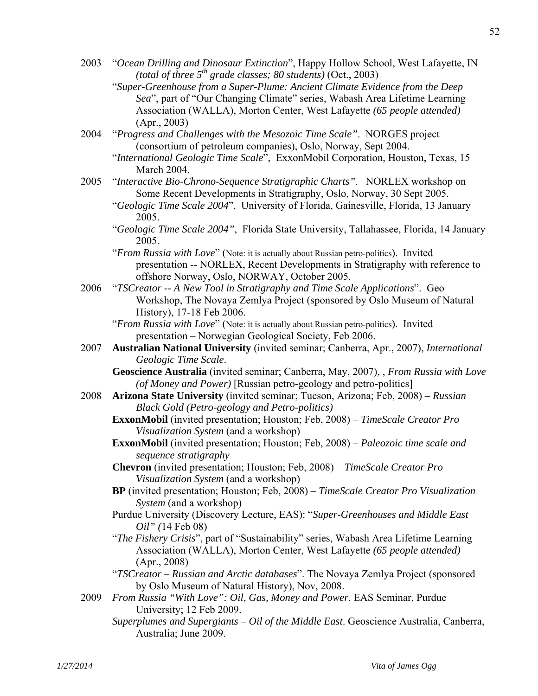- 2003 "*Ocean Drilling and Dinosaur Extinction*", Happy Hollow School, West Lafayette, IN *(total of three*  $5^{th}$  *grade classes; 80 students)* (Oct., 2003)
	- "*Super-Greenhouse from a Super-Plume: Ancient Climate Evidence from the Deep Sea*", part of "Our Changing Climate" series, Wabash Area Lifetime Learning Association (WALLA), Morton Center, West Lafayette *(65 people attended)*  (Apr., 2003)
- 2004 "*Progress and Challenges with the Mesozoic Time Scale"*. NORGES project (consortium of petroleum companies), Oslo, Norway, Sept 2004.
	- "*International Geologic Time Scale*", ExxonMobil Corporation, Houston, Texas, 15 March 2004.
- 2005 "*Interactive Bio-Chrono-Sequence Stratigraphic Charts"*. NORLEX workshop on Some Recent Developments in Stratigraphy, Oslo, Norway, 30 Sept 2005.
	- "*Geologic Time Scale 2004*", University of Florida, Gainesville, Florida, 13 January 2005.
	- "*Geologic Time Scale 2004"*, Florida State University, Tallahassee, Florida, 14 January 2005.
	- "*From Russia with Love*" (Note: it is actually about Russian petro-politics). Invited presentation -- NORLEX, Recent Developments in Stratigraphy with reference to offshore Norway, Oslo, NORWAY, October 2005.
- 2006 "*TSCreator -- A New Tool in Stratigraphy and Time Scale Applications*". Geo Workshop, The Novaya Zemlya Project (sponsored by Oslo Museum of Natural History), 17-18 Feb 2006.
	- "*From Russia with Love*" (Note: it is actually about Russian petro-politics). Invited presentation – Norwegian Geological Society, Feb 2006.
- 2007 **Australian National University** (invited seminar; Canberra, Apr., 2007), *International Geologic Time Scale*.
	- **Geoscience Australia** (invited seminar; Canberra, May, 2007), , *From Russia with Love (of Money and Power)* [Russian petro-geology and petro-politics]
- 2008 **Arizona State University** (invited seminar; Tucson, Arizona; Feb, 2008) *Russian Black Gold (Petro-geology and Petro-politics)*
	- **ExxonMobil** (invited presentation; Houston; Feb, 2008) *TimeScale Creator Pro Visualization System* (and a workshop)
	- **ExxonMobil** (invited presentation; Houston; Feb, 2008) *Paleozoic time scale and sequence stratigraphy*
	- **Chevron** (invited presentation; Houston; Feb, 2008) *TimeScale Creator Pro Visualization System* (and a workshop)
	- **BP** (invited presentation; Houston; Feb, 2008) *TimeScale Creator Pro Visualization System* (and a workshop)
	- Purdue University (Discovery Lecture, EAS): "*Super-Greenhouses and Middle East Oil" (*14 Feb 08)
	- "*The Fishery Crisis*", part of "Sustainability" series, Wabash Area Lifetime Learning Association (WALLA), Morton Center, West Lafayette *(65 people attended)*  (Apr., 2008)
	- "*TSCreator Russian and Arctic databases*". The Novaya Zemlya Project (sponsored by Oslo Museum of Natural History), Nov, 2008.
- 2009 *From Russia "With Love": Oil, Gas, Money and Power*. EAS Seminar, Purdue University; 12 Feb 2009.
	- *Superplumes and Supergiants Oil of the Middle East*. Geoscience Australia, Canberra, Australia; June 2009.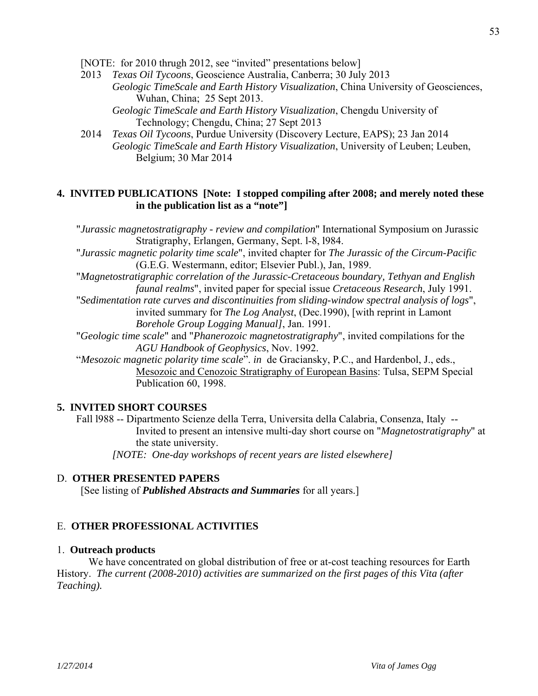[NOTE: for 2010 thrugh 2012, see "invited" presentations below]

- 2013 *Texas Oil Tycoons*, Geoscience Australia, Canberra; 30 July 2013 *Geologic TimeScale and Earth History Visualization*, China University of Geosciences,
	- Wuhan, China; 25 Sept 2013.
	- *Geologic TimeScale and Earth History Visualization*, Chengdu University of Technology; Chengdu, China; 27 Sept 2013
- 2014 *Texas Oil Tycoons*, Purdue University (Discovery Lecture, EAPS); 23 Jan 2014 *Geologic TimeScale and Earth History Visualization*, University of Leuben; Leuben, Belgium; 30 Mar 2014

## **4. INVITED PUBLICATIONS [Note: I stopped compiling after 2008; and merely noted these in the publication list as a "note"]**

 "*Jurassic magnetostratigraphy - review and compilation*" International Symposium on Jurassic Stratigraphy, Erlangen, Germany, Sept. l-8, l984.

 "*Jurassic magnetic polarity time scale*", invited chapter for *The Jurassic of the Circum-Pacific* (G.E.G. Westermann, editor; Elsevier Publ.), Jan, 1989.

 "*Magnetostratigraphic correlation of the Jurassic-Cretaceous boundary, Tethyan and English faunal realms*", invited paper for special issue *Cretaceous Research*, July 1991.

- "*Sedimentation rate curves and discontinuities from sliding-window spectral analysis of logs*", invited summary for *The Log Analyst*, (Dec.1990), [with reprint in Lamont *Borehole Group Logging Manual]*, Jan. 1991.
- "*Geologic time scale*" and "*Phanerozoic magnetostratigraphy*", invited compilations for the *AGU Handbook of Geophysics*, Nov. 1992.
- "*Mesozoic magnetic polarity time scale*". *in* de Graciansky, P.C., and Hardenbol, J., eds., Mesozoic and Cenozoic Stratigraphy of European Basins: Tulsa, SEPM Special Publication 60, 1998.

## **5. INVITED SHORT COURSES**

 Fall l988 -- Dipartmento Scienze della Terra, Universita della Calabria, Consenza, Italy -- Invited to present an intensive multi-day short course on "*Magnetostratigraphy*" at the state university.

 *[NOTE: One-day workshops of recent years are listed elsewhere]* 

## D. **OTHER PRESENTED PAPERS**

[See listing of *Published Abstracts and Summaries* for all years.]

## E. **OTHER PROFESSIONAL ACTIVITIES**

## 1. **Outreach products**

 We have concentrated on global distribution of free or at-cost teaching resources for Earth History. *The current (2008-2010) activities are summarized on the first pages of this Vita (after Teaching).*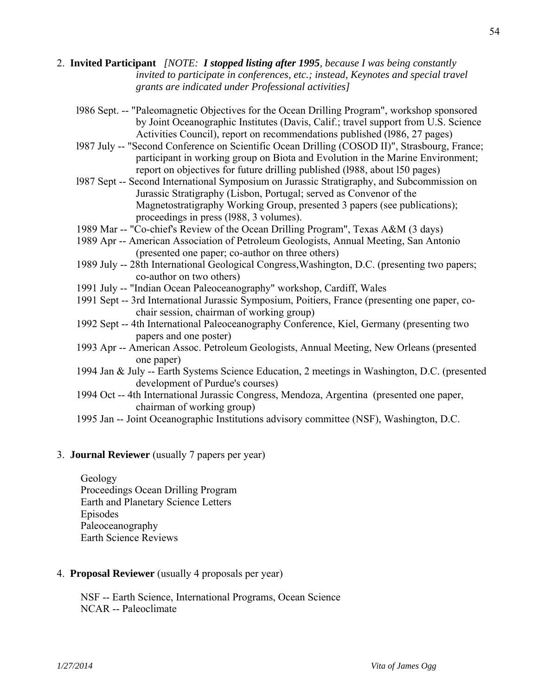- 2. **Invited Participant** *[NOTE: I stopped listing after 1995, because I was being constantly invited to participate in conferences, etc.; instead, Keynotes and special travel grants are indicated under Professional activities]*
	- l986 Sept. -- "Paleomagnetic Objectives for the Ocean Drilling Program", workshop sponsored by Joint Oceanographic Institutes (Davis, Calif.; travel support from U.S. Science Activities Council), report on recommendations published (l986, 27 pages)
	- l987 July -- "Second Conference on Scientific Ocean Drilling (COSOD II)", Strasbourg, France; participant in working group on Biota and Evolution in the Marine Environment; report on objectives for future drilling published (l988, about l50 pages)
	- l987 Sept -- Second International Symposium on Jurassic Stratigraphy, and Subcommission on Jurassic Stratigraphy (Lisbon, Portugal; served as Convenor of the Magnetostratigraphy Working Group, presented 3 papers (see publications); proceedings in press (l988, 3 volumes).
	- 1989 Mar -- "Co-chief's Review of the Ocean Drilling Program", Texas A&M (3 days)
	- 1989 Apr -- American Association of Petroleum Geologists, Annual Meeting, San Antonio (presented one paper; co-author on three others)
	- 1989 July -- 28th International Geological Congress,Washington, D.C. (presenting two papers; co-author on two others)
	- 1991 July -- "Indian Ocean Paleoceanography" workshop, Cardiff, Wales
	- 1991 Sept -- 3rd International Jurassic Symposium, Poitiers, France (presenting one paper, cochair session, chairman of working group)
	- 1992 Sept -- 4th International Paleoceanography Conference, Kiel, Germany (presenting two papers and one poster)
	- 1993 Apr -- American Assoc. Petroleum Geologists, Annual Meeting, New Orleans (presented one paper)
	- 1994 Jan & July -- Earth Systems Science Education, 2 meetings in Washington, D.C. (presented development of Purdue's courses)
	- 1994 Oct -- 4th International Jurassic Congress, Mendoza, Argentina (presented one paper, chairman of working group)
	- 1995 Jan -- Joint Oceanographic Institutions advisory committee (NSF), Washington, D.C.

## 3. **Journal Reviewer** (usually 7 papers per year)

 Geology Proceedings Ocean Drilling Program Earth and Planetary Science Letters Episodes Paleoceanography Earth Science Reviews

4. **Proposal Reviewer** (usually 4 proposals per year)

 NSF -- Earth Science, International Programs, Ocean Science NCAR -- Paleoclimate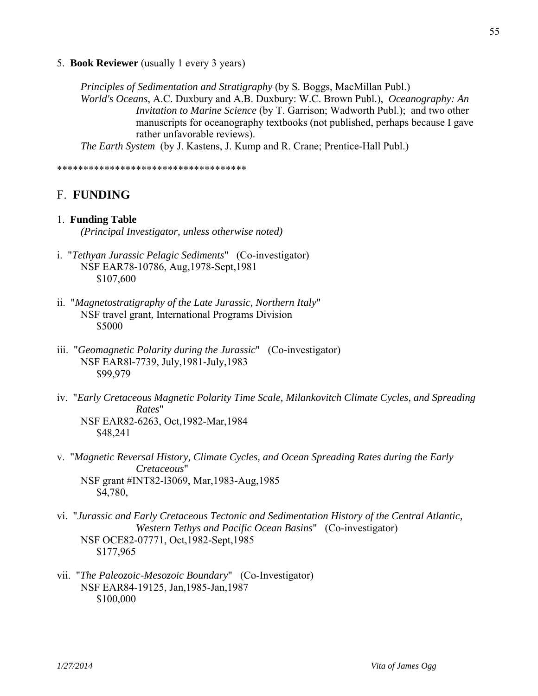5. **Book Reviewer** (usually 1 every 3 years)

*Principles of Sedimentation and Stratigraphy* (by S. Boggs, MacMillan Publ.) *World's Oceans*, A.C. Duxbury and A.B. Duxbury: W.C. Brown Publ.), *Oceanography: An Invitation to Marine Science* (by T. Garrison; Wadworth Publ.); and two other manuscripts for oceanography textbooks (not published, perhaps because I gave rather unfavorable reviews).

*The Earth System* (by J. Kastens, J. Kump and R. Crane; Prentice-Hall Publ.)

\*\*\*\*\*\*\*\*\*\*\*\*\*\*\*\*\*\*\*\*\*\*\*\*\*\*\*\*\*\*\*\*\*\*\*\*

## F. **FUNDING**

- 1. **Funding Table**  *(Principal Investigator, unless otherwise noted)*
- i. "*Tethyan Jurassic Pelagic Sediments*" (Co-investigator) NSF EAR78-10786, Aug,1978-Sept,1981 \$107,600
- ii. "*Magnetostratigraphy of the Late Jurassic, Northern Italy*" NSF travel grant, International Programs Division \$5000
- iii. "*Geomagnetic Polarity during the Jurassic*" (Co-investigator) NSF EAR8l-7739, July,1981-July,1983 \$99,979
- iv. "*Early Cretaceous Magnetic Polarity Time Scale, Milankovitch Climate Cycles, and Spreading Rates*" NSF EAR82-6263, Oct,1982-Mar,1984 \$48,241
- v. "*Magnetic Reversal History, Climate Cycles, and Ocean Spreading Rates during the Early Cretaceous*" NSF grant #INT82-l3069, Mar,1983-Aug,1985 \$4,780,
- vi. "*Jurassic and Early Cretaceous Tectonic and Sedimentation History of the Central Atlantic, Western Tethys and Pacific Ocean Basins*" (Co-investigator) NSF OCE82-07771, Oct,1982-Sept,1985 \$177,965
- vii. "*The Paleozoic-Mesozoic Boundary*" (Co-Investigator) NSF EAR84-19125, Jan,1985-Jan,1987 \$100,000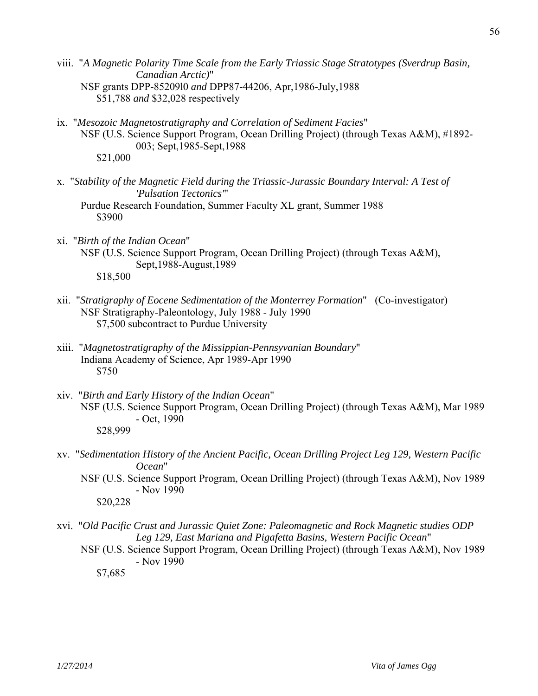- viii. "*A Magnetic Polarity Time Scale from the Early Triassic Stage Stratotypes (Sverdrup Basin, Canadian Arctic)*" NSF grants DPP-85209l0 *and* DPP87-44206, Apr,1986-July,1988 \$51,788 *and* \$32,028 respectively
- ix. "*Mesozoic Magnetostratigraphy and Correlation of Sediment Facies*" NSF (U.S. Science Support Program, Ocean Drilling Project) (through Texas A&M), #1892- 003; Sept,1985-Sept,1988 \$21,000
- x. "*Stability of the Magnetic Field during the Triassic-Jurassic Boundary Interval: A Test of 'Pulsation Tectonics'*"

 Purdue Research Foundation, Summer Faculty XL grant, Summer 1988 \$3900

- xi. "*Birth of the Indian Ocean*" NSF (U.S. Science Support Program, Ocean Drilling Project) (through Texas A&M), Sept,1988-August,1989 \$18,500
- xii. "*Stratigraphy of Eocene Sedimentation of the Monterrey Formation*" (Co-investigator) NSF Stratigraphy-Paleontology, July 1988 - July 1990 \$7,500 subcontract to Purdue University
- xiii. "*Magnetostratigraphy of the Missippian-Pennsyvanian Boundary*" Indiana Academy of Science, Apr 1989-Apr 1990 \$750
- xiv. "*Birth and Early History of the Indian Ocean*" NSF (U.S. Science Support Program, Ocean Drilling Project) (through Texas A&M), Mar 1989 - Oct, 1990 \$28,999
- xv. "*Sedimentation History of the Ancient Pacific, Ocean Drilling Project Leg 129, Western Pacific Ocean*"
	- NSF (U.S. Science Support Program, Ocean Drilling Project) (through Texas A&M), Nov 1989 - Nov 1990 \$20,228
- xvi. "*Old Pacific Crust and Jurassic Quiet Zone: Paleomagnetic and Rock Magnetic studies ODP Leg 129, East Mariana and Pigafetta Basins, Western Pacific Ocean*"
	- NSF (U.S. Science Support Program, Ocean Drilling Project) (through Texas A&M), Nov 1989 - Nov 1990

\$7,685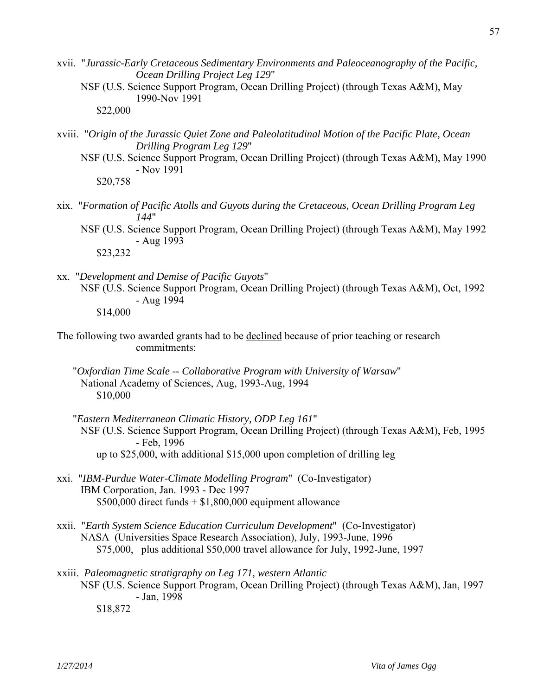xvii. "*Jurassic-Early Cretaceous Sedimentary Environments and Paleoceanography of the Pacific, Ocean Drilling Project Leg 129*"

 NSF (U.S. Science Support Program, Ocean Drilling Project) (through Texas A&M), May 1990-Nov 1991

\$22,000

- xviii. "*Origin of the Jurassic Quiet Zone and Paleolatitudinal Motion of the Pacific Plate, Ocean Drilling Program Leg 129*"
	- NSF (U.S. Science Support Program, Ocean Drilling Project) (through Texas A&M), May 1990 - Nov 1991 \$20,758
- xix. "*Formation of Pacific Atolls and Guyots during the Cretaceous, Ocean Drilling Program Leg 144*"
	- NSF (U.S. Science Support Program, Ocean Drilling Project) (through Texas A&M), May 1992 - Aug 1993 \$23,232
- xx. "*Development and Demise of Pacific Guyots*" NSF (U.S. Science Support Program, Ocean Drilling Project) (through Texas A&M), Oct, 1992 - Aug 1994 \$14,000
- The following two awarded grants had to be declined because of prior teaching or research commitments:
	- "*Oxfordian Time Scale -- Collaborative Program with University of Warsaw*" National Academy of Sciences, Aug, 1993-Aug, 1994 \$10,000
	- "*Eastern Mediterranean Climatic History, ODP Leg 161*" NSF (U.S. Science Support Program, Ocean Drilling Project) (through Texas A&M), Feb, 1995 - Feb, 1996 up to \$25,000, with additional \$15,000 upon completion of drilling leg
- xxi. "*IBM-Purdue Water-Climate Modelling Program*" (Co-Investigator) IBM Corporation, Jan. 1993 - Dec 1997  $$500,000$  direct funds  $+ $1,800,000$  equipment allowance
- xxii. "*Earth System Science Education Curriculum Development*" (Co-Investigator) NASA (Universities Space Research Association), July, 1993-June, 1996 \$75,000, plus additional \$50,000 travel allowance for July, 1992-June, 1997
- xxiii. *Paleomagnetic stratigraphy on Leg 171, western Atlantic* NSF (U.S. Science Support Program, Ocean Drilling Project) (through Texas A&M), Jan, 1997 - Jan, 1998

\$18,872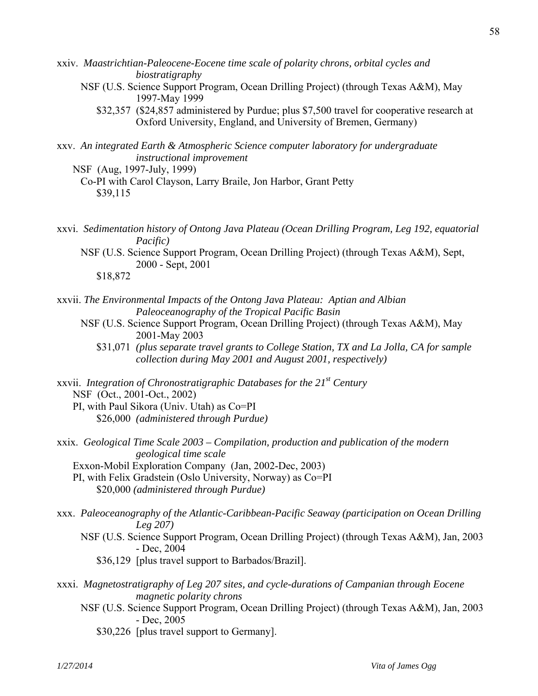- xxiv. *Maastrichtian-Paleocene-Eocene time scale of polarity chrons, orbital cycles and biostratigraphy*
	- NSF (U.S. Science Support Program, Ocean Drilling Project) (through Texas A&M), May 1997-May 1999
		- \$32,357 (\$24,857 administered by Purdue; plus \$7,500 travel for cooperative research at Oxford University, England, and University of Bremen, Germany)
- xxv. *An integrated Earth & Atmospheric Science computer laboratory for undergraduate instructional improvement*
	- NSF (Aug, 1997-July, 1999) Co-PI with Carol Clayson, Larry Braile, Jon Harbor, Grant Petty \$39,115
- xxvi. *Sedimentation history of Ontong Java Plateau (Ocean Drilling Program, Leg 192, equatorial Pacific)*
	- NSF (U.S. Science Support Program, Ocean Drilling Project) (through Texas A&M), Sept, 2000 - Sept, 2001

\$18,872

- xxvii. *The Environmental Impacts of the Ontong Java Plateau: Aptian and Albian Paleoceanography of the Tropical Pacific Basin*
	- NSF (U.S. Science Support Program, Ocean Drilling Project) (through Texas A&M), May 2001-May 2003
		- \$31,071 *(plus separate travel grants to College Station, TX and La Jolla, CA for sample collection during May 2001 and August 2001, respectively)*
- xxvii. *Integration of Chronostratigraphic Databases for the 21st Century* NSF (Oct., 2001-Oct., 2002) PI, with Paul Sikora (Univ. Utah) as Co=PI
	- \$26,000 *(administered through Purdue)*
- xxix. *Geological Time Scale 2003 Compilation, production and publication of the modern geological time scale* Exxon-Mobil Exploration Company (Jan, 2002-Dec, 2003) PI, with Felix Gradstein (Oslo University, Norway) as Co=PI \$20,000 *(administered through Purdue)*
- xxx. *Paleoceanography of the Atlantic-Caribbean-Pacific Seaway (participation on Ocean Drilling Leg 207)*
	- NSF (U.S. Science Support Program, Ocean Drilling Project) (through Texas A&M), Jan, 2003 - Dec, 2004
		- \$36,129 [plus travel support to Barbados/Brazil].
- xxxi. *Magnetostratigraphy of Leg 207 sites, and cycle-durations of Campanian through Eocene magnetic polarity chrons*
	- NSF (U.S. Science Support Program, Ocean Drilling Project) (through Texas A&M), Jan, 2003 - Dec, 2005
		- \$30,226 [plus travel support to Germany].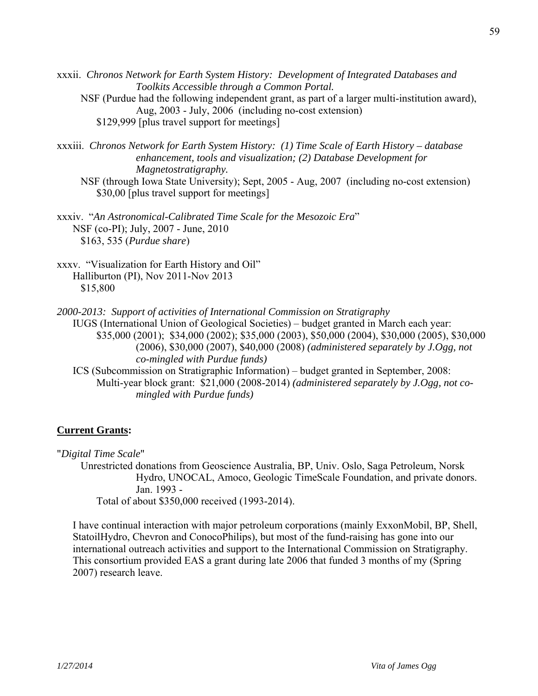xxxii. *Chronos Network for Earth System History: Development of Integrated Databases and Toolkits Accessible through a Common Portal.* NSF (Purdue had the following independent grant, as part of a larger multi-institution award), Aug, 2003 - July, 2006 (including no-cost extension)

\$129,999 [plus travel support for meetings]

- xxxiii. *Chronos Network for Earth System History: (1) Time Scale of Earth History database enhancement, tools and visualization; (2) Database Development for Magnetostratigraphy.*
	- NSF (through Iowa State University); Sept, 2005 Aug, 2007 (including no-cost extension) \$30,00 [plus travel support for meetings]

xxxiv. "*An Astronomical-Calibrated Time Scale for the Mesozoic Era*" NSF (co-PI); July, 2007 - June, 2010 \$163, 535 (*Purdue share*)

xxxv. "Visualization for Earth History and Oil" Halliburton (PI), Nov 2011-Nov 2013 \$15,800

*2000-2013: Support of activities of International Commission on Stratigraphy*

 IUGS (International Union of Geological Societies) – budget granted in March each year: \$35,000 (2001); \$34,000 (2002); \$35,000 (2003), \$50,000 (2004), \$30,000 (2005), \$30,000 (2006), \$30,000 (2007), \$40,000 (2008) *(administered separately by J.Ogg, not co-mingled with Purdue funds)*

 ICS (Subcommission on Stratigraphic Information) – budget granted in September, 2008: Multi-year block grant: \$21,000 (2008-2014) *(administered separately by J.Ogg, not comingled with Purdue funds)*

## **Current Grants:**

"*Digital Time Scale*"

 Unrestricted donations from Geoscience Australia, BP, Univ. Oslo, Saga Petroleum, Norsk Hydro, UNOCAL, Amoco, Geologic TimeScale Foundation, and private donors. Jan. 1993 -

Total of about \$350,000 received (1993-2014).

I have continual interaction with major petroleum corporations (mainly ExxonMobil, BP, Shell, StatoilHydro, Chevron and ConocoPhilips), but most of the fund-raising has gone into our international outreach activities and support to the International Commission on Stratigraphy. This consortium provided EAS a grant during late 2006 that funded 3 months of my (Spring 2007) research leave.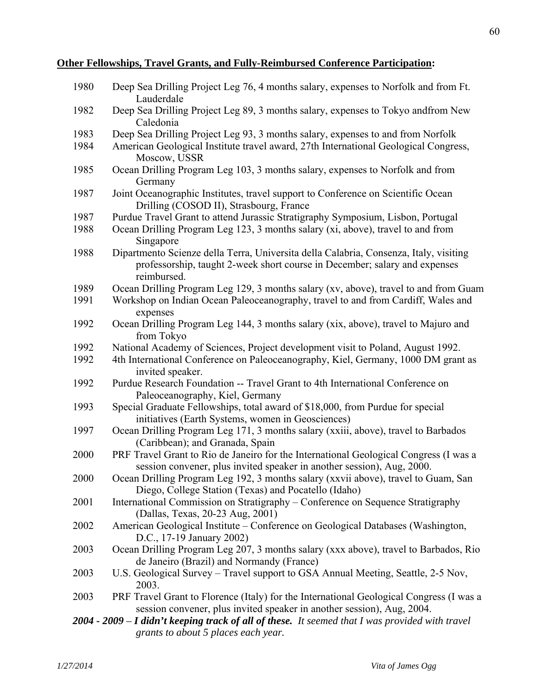## **Other Fellowships, Travel Grants, and Fully-Reimbursed Conference Participation:**

| 1980 | Deep Sea Drilling Project Leg 76, 4 months salary, expenses to Norfolk and from Ft.<br>Lauderdale                                                                                  |
|------|------------------------------------------------------------------------------------------------------------------------------------------------------------------------------------|
| 1982 | Deep Sea Drilling Project Leg 89, 3 months salary, expenses to Tokyo and from New                                                                                                  |
| 1983 | Caledonia<br>Deep Sea Drilling Project Leg 93, 3 months salary, expenses to and from Norfolk                                                                                       |
| 1984 | American Geological Institute travel award, 27th International Geological Congress,<br>Moscow, USSR                                                                                |
| 1985 | Ocean Drilling Program Leg 103, 3 months salary, expenses to Norfolk and from<br>Germany                                                                                           |
| 1987 | Joint Oceanographic Institutes, travel support to Conference on Scientific Ocean<br>Drilling (COSOD II), Strasbourg, France                                                        |
| 1987 | Purdue Travel Grant to attend Jurassic Stratigraphy Symposium, Lisbon, Portugal                                                                                                    |
| 1988 | Ocean Drilling Program Leg 123, 3 months salary (xi, above), travel to and from<br>Singapore                                                                                       |
| 1988 | Dipartmento Scienze della Terra, Universita della Calabria, Consenza, Italy, visiting<br>professorship, taught 2-week short course in December; salary and expenses<br>reimbursed. |
| 1989 | Ocean Drilling Program Leg 129, 3 months salary (xv, above), travel to and from Guam                                                                                               |
| 1991 | Workshop on Indian Ocean Paleoceanography, travel to and from Cardiff, Wales and<br>expenses                                                                                       |
| 1992 | Ocean Drilling Program Leg 144, 3 months salary (xix, above), travel to Majuro and<br>from Tokyo                                                                                   |
| 1992 | National Academy of Sciences, Project development visit to Poland, August 1992.                                                                                                    |
| 1992 | 4th International Conference on Paleoceanography, Kiel, Germany, 1000 DM grant as<br>invited speaker.                                                                              |
| 1992 | Purdue Research Foundation -- Travel Grant to 4th International Conference on<br>Paleoceanography, Kiel, Germany                                                                   |
| 1993 | Special Graduate Fellowships, total award of \$18,000, from Purdue for special<br>initiatives (Earth Systems, women in Geosciences)                                                |
| 1997 | Ocean Drilling Program Leg 171, 3 months salary (xxiii, above), travel to Barbados<br>(Caribbean); and Granada, Spain                                                              |
| 2000 | PRF Travel Grant to Rio de Janeiro for the International Geological Congress (I was a<br>session convener, plus invited speaker in another session), Aug, 2000.                    |
| 2000 | Ocean Drilling Program Leg 192, 3 months salary (xxvii above), travel to Guam, San<br>Diego, College Station (Texas) and Pocatello (Idaho)                                         |
| 2001 | International Commission on Stratigraphy – Conference on Sequence Stratigraphy<br>(Dallas, Texas, 20-23 Aug, 2001)                                                                 |
| 2002 | American Geological Institute – Conference on Geological Databases (Washington,<br>D.C., 17-19 January 2002)                                                                       |
| 2003 | Ocean Drilling Program Leg 207, 3 months salary (xxx above), travel to Barbados, Rio<br>de Janeiro (Brazil) and Normandy (France)                                                  |
| 2003 | U.S. Geological Survey - Travel support to GSA Annual Meeting, Seattle, 2-5 Nov,<br>2003.                                                                                          |
| 2003 | PRF Travel Grant to Florence (Italy) for the International Geological Congress (I was a<br>session convener, plus invited speaker in another session), Aug, 2004.                  |
|      | $2004$ - $2009$ – I didn't keeping track of all of these. It seemed that I was provided with travel                                                                                |
|      | grants to about 5 places each year.                                                                                                                                                |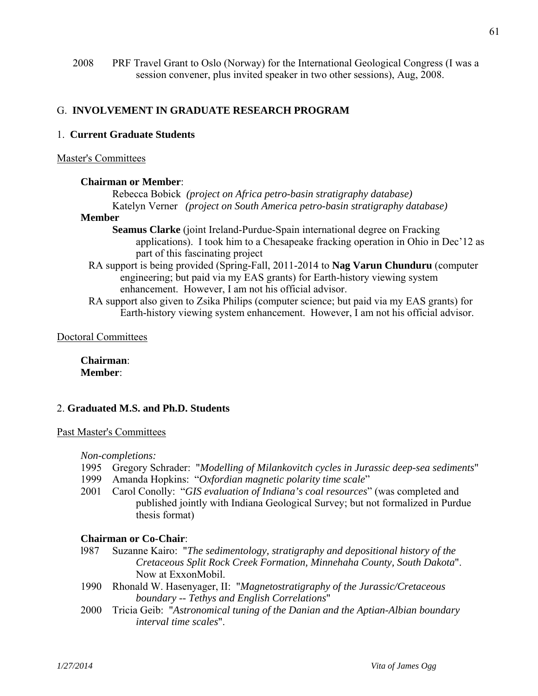2008 PRF Travel Grant to Oslo (Norway) for the International Geological Congress (I was a session convener, plus invited speaker in two other sessions), Aug, 2008.

## G. **INVOLVEMENT IN GRADUATE RESEARCH PROGRAM**

## 1. **Current Graduate Students**

## Master's Committees

## **Chairman or Member**:

 Rebecca Bobick *(project on Africa petro-basin stratigraphy database)* Katelyn Verner *(project on South America petro-basin stratigraphy database)* 

#### **Member**

- **Seamus Clarke** (joint Ireland-Purdue-Spain international degree on Fracking applications). I took him to a Chesapeake fracking operation in Ohio in Dec'12 as part of this fascinating project
- RA support is being provided (Spring-Fall, 2011-2014 to **Nag Varun Chunduru** (computer engineering; but paid via my EAS grants) for Earth-history viewing system enhancement. However, I am not his official advisor.
- RA support also given to Zsika Philips (computer science; but paid via my EAS grants) for Earth-history viewing system enhancement. However, I am not his official advisor.

## Doctoral Committees

**Chairman**: **Member**:

## 2. **Graduated M.S. and Ph.D. Students**

## Past Master's Committees

 *Non-completions:* 

- 1995 Gregory Schrader: "*Modelling of Milankovitch cycles in Jurassic deep-sea sediments*"
- 1999 Amanda Hopkins: "*Oxfordian magnetic polarity time scale*"
- 2001 Carol Conolly: "*GIS evaluation of Indiana's coal resources*" (was completed and published jointly with Indiana Geological Survey; but not formalized in Purdue thesis format)

## **Chairman or Co-Chair**:

- l987 Suzanne Kairo: "*The sedimentology, stratigraphy and depositional history of the Cretaceous Split Rock Creek Formation, Minnehaha County, South Dakota*". Now at ExxonMobil.
- 1990 Rhonald W. Hasenyager, II: "*Magnetostratigraphy of the Jurassic/Cretaceous boundary -- Tethys and English Correlations*"
- 2000 Tricia Geib: "*Astronomical tuning of the Danian and the Aptian-Albian boundary interval time scales*".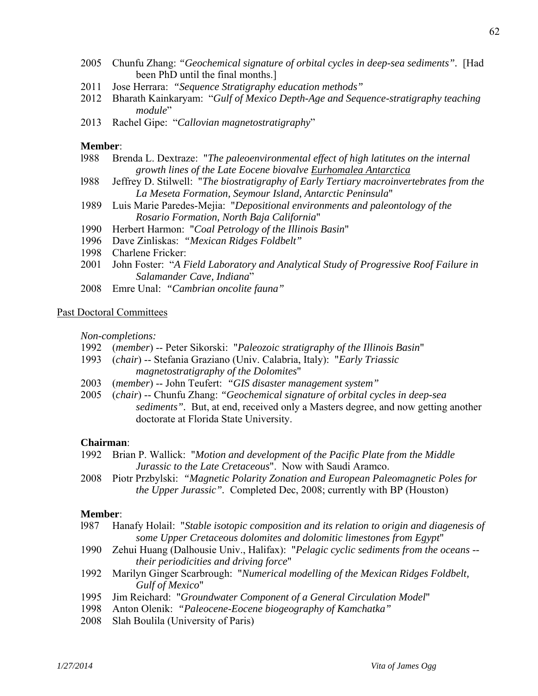- 2005 Chunfu Zhang: *"Geochemical signature of orbital cycles in deep-sea sediments".* [Had been PhD until the final months.]
- 2011 Jose Herrara: *"Sequence Stratigraphy education methods"*
- 2012 Bharath Kainkaryam: "*Gulf of Mexico Depth-Age and Sequence-stratigraphy teaching module*"
- 2013 Rachel Gipe: "*Callovian magnetostratigraphy*"

#### **Member**:

- l988 Brenda L. Dextraze: "*The paleoenvironmental effect of high latitutes on the internal growth lines of the Late Eocene biovalve Eurhomalea Antarctica*
- l988 Jeffrey D. Stilwell: "*The biostratigraphy of Early Tertiary macroinvertebrates from the La Meseta Formation, Seymour Island, Antarctic Peninsula*"
- 1989 Luis Marie Paredes-Mejia: "*Depositional environments and paleontology of the Rosario Formation, North Baja California*"
- 1990 Herbert Harmon: "*Coal Petrology of the Illinois Basin*"
- 1996 Dave Zinliskas: *"Mexican Ridges Foldbelt"*
- 1998 Charlene Fricker:
- 2001 John Foster: "*A Field Laboratory and Analytical Study of Progressive Roof Failure in Salamander Cave, Indiana*"
- 2008 Emre Unal: *"Cambrian oncolite fauna"*

## Past Doctoral Committees

 *Non-completions:* 

- 1992 (*member*) -- Peter Sikorski: "*Paleozoic stratigraphy of the Illinois Basin*"
- 1993 (*chair*) -- Stefania Graziano (Univ. Calabria, Italy): "*Early Triassic magnetostratigraphy of the Dolomites*"
- 2003 (*member*) -- John Teufert: *"GIS disaster management system"*
- 2005 (*chair*) -- Chunfu Zhang: *"Geochemical signature of orbital cycles in deep-sea sediments".* But, at end, received only a Masters degree, and now getting another doctorate at Florida State University.

## **Chairman**:

- 1992 Brian P. Wallick: "*Motion and development of the Pacific Plate from the Middle Jurassic to the Late Cretaceous*". Now with Saudi Aramco.
- 2008 Piotr Przbylski: *"Magnetic Polarity Zonation and European Paleomagnetic Poles for the Upper Jurassic".* Completed Dec, 2008; currently with BP (Houston)

## **Member**:

- l987 Hanafy Holail: "*Stable isotopic composition and its relation to origin and diagenesis of some Upper Cretaceous dolomites and dolomitic limestones from Egypt*"
- 1990 Zehui Huang (Dalhousie Univ., Halifax): "*Pelagic cyclic sediments from the oceans their periodicities and driving force*"
- 1992 Marilyn Ginger Scarbrough: "*Numerical modelling of the Mexican Ridges Foldbelt, Gulf of Mexico*"
- 1995 Jim Reichard: "*Groundwater Component of a General Circulation Model*"
- 1998 Anton Olenik: *"Paleocene-Eocene biogeography of Kamchatka"*
- 2008 Slah Boulila (University of Paris)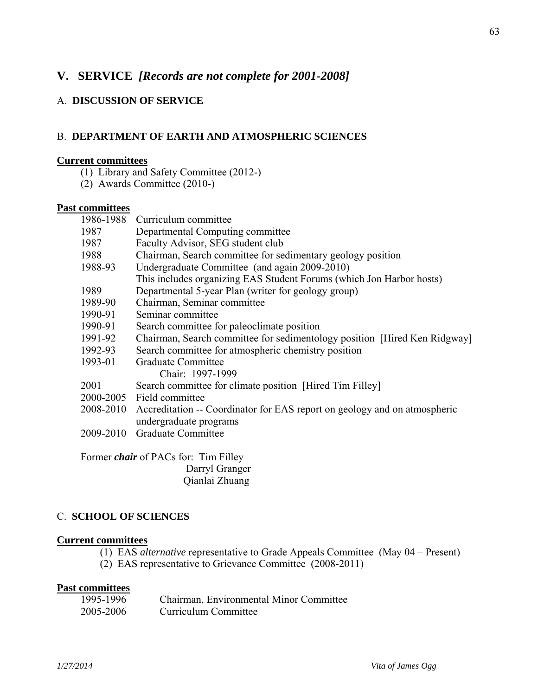## **V. SERVICE** *[Records are not complete for 2001-2008]*

## A. **DISCUSSION OF SERVICE**

## B. **DEPARTMENT OF EARTH AND ATMOSPHERIC SCIENCES**

#### **Current committees**

- (1) Library and Safety Committee (2012-)
- (2) Awards Committee (2010-)

## **Past committees**

|           | 1986-1988 Curriculum committee                                                      |
|-----------|-------------------------------------------------------------------------------------|
| 1987      | Departmental Computing committee                                                    |
| 1987      | Faculty Advisor, SEG student club                                                   |
| 1988      | Chairman, Search committee for sedimentary geology position                         |
| 1988-93   | Undergraduate Committee (and again 2009-2010)                                       |
|           | This includes organizing EAS Student Forums (which Jon Harbor hosts)                |
| 1989      | Departmental 5-year Plan (writer for geology group)                                 |
| 1989-90   | Chairman, Seminar committee                                                         |
| 1990-91   | Seminar committee                                                                   |
| 1990-91   | Search committee for paleoclimate position                                          |
| 1991-92   | Chairman, Search committee for sedimentology position [Hired Ken Ridgway]           |
| 1992-93   | Search committee for atmospheric chemistry position                                 |
| 1993-01   | Graduate Committee                                                                  |
|           | Chair: 1997-1999                                                                    |
| 2001      | Search committee for climate position [Hired Tim Filley]                            |
|           | 2000-2005 Field committee                                                           |
|           | 2008-2010 Accreditation -- Coordinator for EAS report on geology and on atmospheric |
|           | undergraduate programs                                                              |
| 2009-2010 | Graduate Committee                                                                  |
|           |                                                                                     |

 Former *chair* of PACs for: Tim Filley Darryl Granger Qianlai Zhuang

## C. **SCHOOL OF SCIENCES**

## **Current committees**

- (1) EAS *alternative* representative to Grade Appeals Committee (May 04 Present)
- (2) EAS representative to Grievance Committee (2008-2011)

## **Past committees**

| 1995-1996 | Chairman, Environmental Minor Committee |
|-----------|-----------------------------------------|
| 2005-2006 | Curriculum Committee                    |